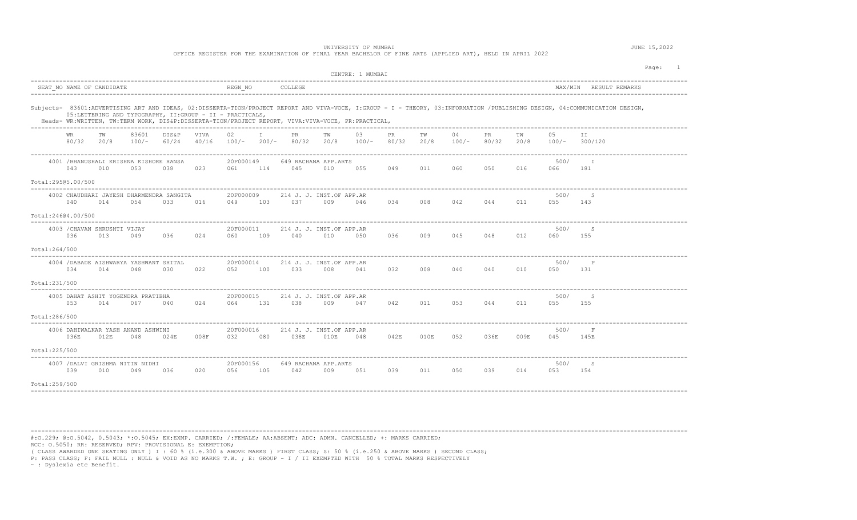## UNIVERSITY OF MUMBAI **JUNE 15, 2022**

OFFICE REGISTER FOR THE EXAMINATION OF FINAL YEAR BACHELOR OF FINE ARTS (APPLIED ART), HELD IN APRIL 2022

|                                                                                         | CENTRE: 1 MUMBAI                                                                                                                                                                                                                                                                  | Page:<br>$\mathbf{1}$                          |
|-----------------------------------------------------------------------------------------|-----------------------------------------------------------------------------------------------------------------------------------------------------------------------------------------------------------------------------------------------------------------------------------|------------------------------------------------|
| SEAT NO NAME OF CANDIDATE                                                               | REGN NO<br>COLLEGE                                                                                                                                                                                                                                                                | MAX/MIN RESULT REMARKS                         |
| 05:LETTERING AND TYPOGRAPHY, II:GROUP - II - PRACTICALS,                                | Subjects- 83601:ADVERTISING ART AND IDEAS, 02:DISSERTA-TION/PROJECT REPORT AND VIVA-VOCE, I:GROUP - I - THEORY, 03:INFORMATION /PUBLISHING DESIGN, 04:COMMUNICATION DESIGN,<br>Heads- WR:WRITTEN, TW:TERM WORK, DIS&P:DISSERTA-TION/PROJECT REPORT, VIVA:VIVA-VOCE, PR:PRACTICAL, |                                                |
| 83601<br>DIS&P<br>VIVA<br><b>WR</b><br>TW<br>80/32<br>60/24<br>40/16<br>20/8<br>$100/-$ | $\mathbb{I}$<br>TW<br>02<br>PR<br>TW<br>03<br>PR<br>04<br><b>PR</b><br>100/-<br>$200/-$<br>80/32<br>20/8<br>80/32<br>20/8<br>80/32<br>$100/-$<br>100/-                                                                                                                            | TW<br>0.5<br>T T<br>300/120<br>20/8<br>$100/-$ |
| 4001 / BHANUSHALI KRISHNA KISHORE HANSA<br>010<br>053<br>023<br>043<br>038              | 20F000149<br>649 RACHANA APP.ARTS<br>114<br>045<br>049<br>011<br>060<br>050<br>061<br>010<br>055                                                                                                                                                                                  | 500/<br>I.<br>016<br>181<br>066                |
| Total:29505.00/500                                                                      |                                                                                                                                                                                                                                                                                   |                                                |
| 4002 CHAUDHARI JAYESH DHARMENDRA SANGITA<br>054<br>033<br>040<br>014<br>016             | 20F000009<br>214 J. J. INST.OF APP.AR<br>049<br>037<br>034<br>008<br>042<br>044<br>103<br>009<br>046                                                                                                                                                                              | 500/<br>-S<br>011<br>055<br>143                |
| Total:24604.00/500                                                                      |                                                                                                                                                                                                                                                                                   |                                                |
| 4003 / CHAVAN SHRUSHTI VIJAY<br>036<br>013<br>049<br>036<br>024                         | 20F000011<br>214 J. J. INST.OF APP.AR<br>009<br>109<br>040<br>036<br>045<br>048<br>060<br>010<br>050                                                                                                                                                                              | 500/<br>-S<br>012<br>060<br>155                |
| Total:264/500                                                                           |                                                                                                                                                                                                                                                                                   |                                                |
| 4004 / DABADE AISHWARYA YASHWANT SHITAL<br>034<br>014<br>048<br>030<br>022              | 20F000014<br>214 J. J. INST.OF APP.AR<br>032<br>100<br>033<br>008<br>008<br>040<br>040<br>052<br>041                                                                                                                                                                              | 500/<br>$\mathbb{P}$<br>010<br>050<br>131      |
| Total: 231/500                                                                          |                                                                                                                                                                                                                                                                                   |                                                |
| 4005 DAHAT ASHIT YOGENDRA PRATIBHA<br>053<br>014<br>067<br>040<br>024                   | 20F000015<br>214 J. J. INST.OF APP.AR<br>042<br>131<br>038<br>009<br>047<br>011<br>053<br>044<br>064                                                                                                                                                                              | 500/<br>-S<br>011<br>055 155                   |
| Total:286/500                                                                           |                                                                                                                                                                                                                                                                                   |                                                |
| 4006 DAHIWALKAR YASH ANAND ASHWINI<br>036E<br>008F<br>012E<br>048<br>024E               | 20F000016<br>214 J. J. INST.OF APP.AR<br>038E<br>010E<br>042E<br>052<br>036E<br>032<br>080<br>048<br>010E                                                                                                                                                                         | 500/<br>$\mathbf{F}$<br>009E<br>045<br>145E    |
| Total: 225/500                                                                          |                                                                                                                                                                                                                                                                                   | ----------------------------------             |
| 4007 / DALVI GRISHMA NITIN NIDHI<br>039<br>049<br>036<br>020<br>010                     | 20F000156<br>649 RACHANA APP.ARTS<br>105<br>042<br>051<br>039<br>011<br>050<br>039<br>056<br>009                                                                                                                                                                                  | 500/<br>S<br>014<br>053<br>154                 |
| Total: 259/500                                                                          |                                                                                                                                                                                                                                                                                   |                                                |

----------------------------------------------------------------------------------------------------------------------------------------------------------------------------------------

#:O.229; @:O.5042, 0.5043; \*:O.5045; EX:EXMP. CARRIED; /:FEMALE; AA:ABSENT; ADC: ADMN. CANCELLED; +: MARKS CARRIED; RCC: O.5050; RR: RESERVED; RPV: PROVISIONAL E: EXEMPTION;

( CLASS AWARDED ONE SEATING ONLY ) I : 60 % (i.e.300 & ABOVE MARKS ) FIRST CLASS; S: 50 % (i.e.250 & ABOVE MARKS ) SECOND CLASS;

P: PASS CLASS; F: FAIL NULL : NULL & VOID AS NO MARKS T.W. ; E: GROUP - I / II EXEMPTED WITH 50 % TOTAL MARKS RESPECTIVELY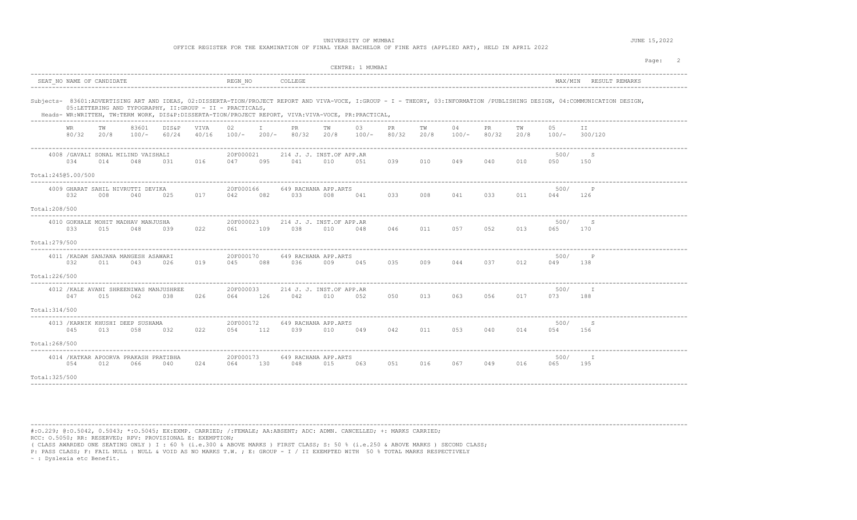OFFICE REGISTER FOR THE EXAMINATION OF FINAL YEAR BACHELOR OF FINE ARTS (APPLIED ART), HELD IN APRIL 2022

|                                     |     |                           |                                               |                                                |                                                          |                      |        |                                                                                                    |     | CENTRE: 1 MUMBAI |     |         |               |                   |     |                  |                                                                                                                                                                             | Page: |
|-------------------------------------|-----|---------------------------|-----------------------------------------------|------------------------------------------------|----------------------------------------------------------|----------------------|--------|----------------------------------------------------------------------------------------------------|-----|------------------|-----|---------|---------------|-------------------|-----|------------------|-----------------------------------------------------------------------------------------------------------------------------------------------------------------------------|-------|
|                                     |     | SEAT NO NAME OF CANDIDATE |                                               |                                                |                                                          | REGN NO              |        | COLLEGE                                                                                            |     |                  |     |         |               |                   |     |                  | MAX/MIN RESULT REMARKS                                                                                                                                                      |       |
|                                     |     |                           |                                               |                                                | 05:LETTERING AND TYPOGRAPHY, II:GROUP - II - PRACTICALS, |                      |        | Heads- WR:WRITTEN, TW:TERM WORK, DIS&P:DISSERTA-TION/PROJECT REPORT, VIVA:VIVA-VOCE, PR:PRACTICAL, |     |                  |     |         |               |                   |     |                  | Subjects- 83601:ADVERTISING ART AND IDEAS, 02:DISSERTA-TION/PROJECT REPORT AND VIVA-VOCE, I:GROUP - I - THEORY, 03:INFORMATION /PUBLISHING DESIGN, 04:COMMUNICATION DESIGN, |       |
|                                     | WR  | TW<br>80/32 20/8          | 83601<br>$100/-$                              | DIS&P<br>60/24                                 | VIVA<br>40/16                                            | 02                   | $\top$ | PR<br>$100/-$ 200/- 80/32 20/8 100/- 80/32 20/8                                                    | TW  | 03               | PR  | TW      | 04<br>$100/-$ | PR.<br>80/32 20/8 | TW  | 05               | TT.<br>$100/-$ 300/120                                                                                                                                                      |       |
|                                     | 034 | 014                       | 4008 / GAVALI SONAL MILIND VAISHALI<br>048    | 031                                            | 016                                                      | 20F000021<br>047 095 |        | 214 J. J. INST.OF APP.AR<br>041                                                                    | 010 | 051              | 039 | 010 049 |               | 040               | 010 | 500/<br>050      | S<br>150                                                                                                                                                                    |       |
| Total:24505.00/500<br>Total:208/500 | 032 | 008                       | 4009 GHARAT SAHIL NIVRUTTI DEVIKA<br>040      | 025                                            | 017                                                      | 20F000166<br>042     | 082    | 649 RACHANA APP.ARTS<br>033                                                                        | 008 | 041              | 033 | 008     | 041           | 033               | 011 | 500/<br>044      | $_{\rm P}$<br>126                                                                                                                                                           |       |
| Total: 279/500                      | 033 | 015                       | 4010 GOKHALE MOHIT MADHAV MANJUSHA<br>048     | 039                                            | 022                                                      | 20F000023<br>061     | 109    | 214 J. J. INST.OF APP.AR<br>038                                                                    | 010 | 048              | 046 | 011     | 057           | 052               | 013 | 500/<br>065      | S<br>170                                                                                                                                                                    |       |
| Total:226/500                       | 032 | 011                       | 4011 / KADAM SANJANA MANGESH ASAWARI<br>043   | 026                                            | 019                                                      | 20F000170<br>045     | 088    | 649 RACHANA APP.ARTS<br>036                                                                        | 009 | 045              | 035 | 009     | 044           | 037               | 012 | 500/<br>049      | $_{\rm P}$<br>138                                                                                                                                                           |       |
| Total:314/500                       | 047 | 015                       | 062                                           | 4012 / KALE AVANI SHREENIWAS MANJUSHREE<br>038 | 026                                                      | 20F000033<br>064 126 |        | 214 J. J. INST.OF APP.AR<br>042                                                                    | 010 | 052              | 050 |         | 013 063       | 056               | 017 | 500/<br>073      | I<br>188                                                                                                                                                                    |       |
| Total:268/500                       | 045 | 013                       | 4013 / KARNIK KHUSHI DEEP SUSHAMA<br>058      | 032                                            | 022                                                      | 20F000172<br>054 112 |        | 649 RACHANA APP.ARTS<br>039                                                                        | 010 | 049              | 042 | 011     | 053           | 040               | 014 | 500/<br>054      | S<br>156                                                                                                                                                                    |       |
| Total: 325/500                      | 054 | 012                       | 4014 / KATKAR APOORVA PRAKASH PRATIBHA<br>066 | 040                                            | 024                                                      | 20F000173<br>064     | 130    | 649 RACHANA APP.ARTS<br>048 015                                                                    |     | 063              | 051 | 016     | 067           | 049 016           |     | 500/<br>065 - 10 | $\top$<br>195                                                                                                                                                               |       |
|                                     |     |                           |                                               |                                                |                                                          |                      |        |                                                                                                    |     |                  |     |         |               |                   |     |                  |                                                                                                                                                                             |       |

----------------------------------------------------------------------------------------------------------------------------------------------------------------------------------------

#:O.229; @:O.5042, 0.5043; \*:O.5045; EX:EXMP. CARRIED; /:FEMALE; AA:ABSENT; ADC: ADMN. CANCELLED; +: MARKS CARRIED; RCC: O.5050; RR: RESERVED; RPV: PROVISIONAL E: EXEMPTION;

( CLASS AWARDED ONE SEATING ONLY ) I : 60 % (i.e.300 & ABOVE MARKS ) FIRST CLASS; S: 50 % (i.e.250 & ABOVE MARKS ) SECOND CLASS;

P: PASS CLASS; F: FAIL NULL : NULL & VOID AS NO MARKS T.W. ; E: GROUP - I / II EXEMPTED WITH 50 % TOTAL MARKS RESPECTIVELY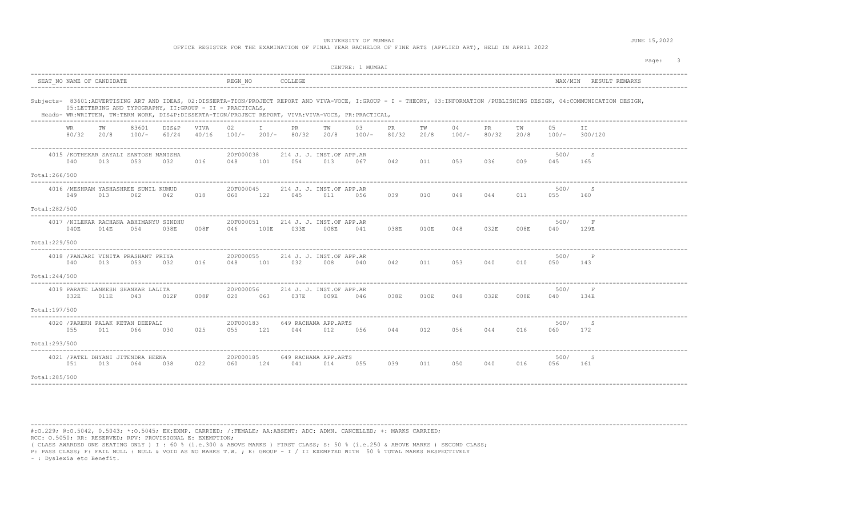OFFICE REGISTER FOR THE EXAMINATION OF FINAL YEAR BACHELOR OF FINE ARTS (APPLIED ART), HELD IN APRIL 2022

|                                |                  |                           |                                                          |                |               |                      |              |                                       |      | CENTRE: 1 MUMBAI                                                                                   |             |            |               |              |            |             | Page:                                                                                                                                                                       |
|--------------------------------|------------------|---------------------------|----------------------------------------------------------|----------------|---------------|----------------------|--------------|---------------------------------------|------|----------------------------------------------------------------------------------------------------|-------------|------------|---------------|--------------|------------|-------------|-----------------------------------------------------------------------------------------------------------------------------------------------------------------------------|
|                                |                  | SEAT NO NAME OF CANDIDATE |                                                          |                |               | REGN NO              |              | COLLEGE                               |      |                                                                                                    |             |            |               |              |            |             | MAX/MIN RESULT REMARKS                                                                                                                                                      |
|                                |                  |                           | 05:LETTERING AND TYPOGRAPHY, II:GROUP - II - PRACTICALS, |                |               |                      |              |                                       |      | Heads- WR:WRITTEN, TW:TERM WORK, DIS&P:DISSERTA-TION/PROJECT REPORT, VIVA:VIVA-VOCE, PR:PRACTICAL, |             |            |               |              |            |             | Subjects- 83601:ADVERTISING ART AND IDEAS, 02:DISSERTA-TION/PROJECT REPORT AND VIVA-VOCE, I:GROUP - I - THEORY, 03:INFORMATION /PUBLISHING DESIGN, 04:COMMUNICATION DESIGN, |
|                                | WR<br>80/32 20/8 | TW                        | 83601<br>$100/-$                                         | DIS&P<br>60/24 | VIVA<br>40/16 | 02                   | $\mathbb{I}$ | PR.<br>$100/-$ 200/- 80/32 20/8 100/- | TW   | 03                                                                                                 | PR<br>80/32 | TW<br>20/8 | 04<br>$100/-$ | PR.<br>80/32 | TW<br>20/8 | 05          | T T<br>$100/-$ 300/120                                                                                                                                                      |
|                                | 040              | 013                       | 4015 / KOTHEKAR SAYALI SANTOSH MANISHA<br>053            | 032            | 016           | 20F000038<br>048 101 |              | 214 J. J. INST.OF APP.AR<br>054       | 013  | 067                                                                                                | 042         | 011        | 053           | 036          | 009        | 500/<br>045 | S<br>165                                                                                                                                                                    |
| Total:266/500<br>Total:282/500 | 049              | 013                       | 4016 / MESHRAM YASHASHREE SUNIL KUMUD<br>062             | 042            | 018           | 20F000045<br>060     | 122          | 214 J. J. INST.OF APP.AR<br>045       | 011  | 056                                                                                                | 039         | 010        | 049           | 044          | 011        | 500/<br>055 | S<br>160                                                                                                                                                                    |
| Total: 229/500                 | 040E             | 014E                      | 4017 /NILEKAR RACHANA ABHIMANYU SINDHU<br>054            | 038E           | 008F          | 20F000051<br>046     | 100E         | 214 J. J. INST.OF APP.AR<br>033E      | 008E | 041                                                                                                | 038E        | 010E       | 048           | 032E         | 008E       | 500/<br>040 | F<br>129E                                                                                                                                                                   |
| Total:244/500                  | 040              | 013                       | 4018 / PANJARI VINITA PRASHANT PRIYA<br>053              | 032            | 016           | 20F000055<br>048     | 101          | 214 J. J. INST.OF APP.AR<br>032       | 008  | 040                                                                                                | 042         | 011        | 053           | 040          | 010        | 500/<br>050 | $_{\rm P}$<br>143                                                                                                                                                           |
| Total:197/500                  | 032E             | 011E                      | 4019 PARATE LANKESH SHANKAR LALITA<br>043                | 012F           | 008F          | 20F000056<br>020     | 063          | 214 J. J. INST.OF APP.AR<br>037E      | 009E | 046                                                                                                | 038E        | 010E       | 048           | 032E         | 008E       | 500/<br>040 | F<br>134E                                                                                                                                                                   |
| Total:293/500                  | 055              | 011                       | 4020 / PAREKH PALAK KETAN DEEPALI<br>066                 | 030            | 025           | 20F000183<br>055     | 121          | 649 RACHANA APP.ARTS<br>044           | 012  | 056                                                                                                | 044         | 012        | 056           | 044          | 016        | 500/<br>060 | S<br>172                                                                                                                                                                    |
| Total:285/500                  | 051              | 013                       | 4021 / PATEL DHYANI JITENDRA HEENA<br>064                | 038            | 022           | 20F000185<br>060     | 124          | 649 RACHANA APP.ARTS<br>041           | 014  | 055                                                                                                | 039         | 011        | 050           | 040          | 016        | 500/<br>056 | S<br>161                                                                                                                                                                    |

----------------------------------------------------------------------------------------------------------------------------------------------------------------------------------------

#:O.229; @:O.5042, 0.5043; \*:O.5045; EX:EXMP. CARRIED; /:FEMALE; AA:ABSENT; ADC: ADMN. CANCELLED; +: MARKS CARRIED; RCC: O.5050; RR: RESERVED; RPV: PROVISIONAL E: EXEMPTION;

( CLASS AWARDED ONE SEATING ONLY ) I : 60 % (i.e.300 & ABOVE MARKS ) FIRST CLASS; S: 50 % (i.e.250 & ABOVE MARKS ) SECOND CLASS;

P: PASS CLASS; F: FAIL NULL : NULL & VOID AS NO MARKS T.W. ; E: GROUP - I / II EXEMPTED WITH 50 % TOTAL MARKS RESPECTIVELY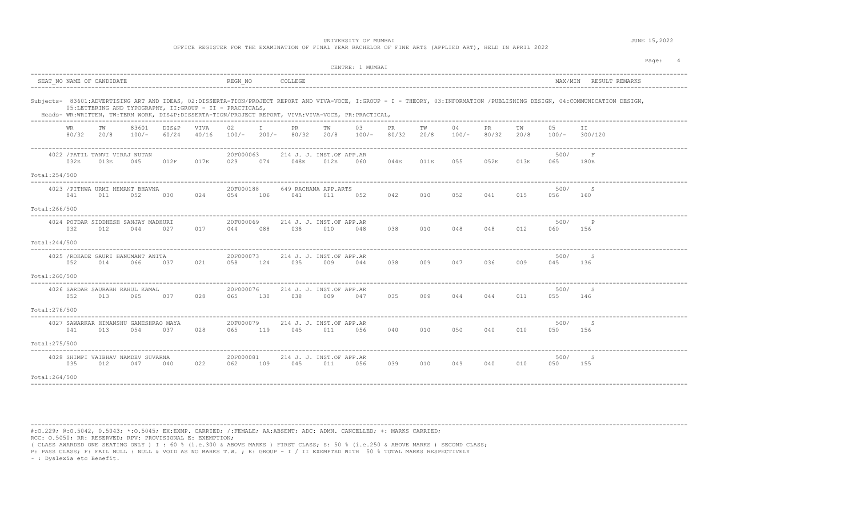| OFFICE REGISTER FOR THE EXAMINATION OF FINAL YEAR BACHELOR OF FINE ARTS (APPLIED ART), HELD IN APRIL 2022 |  |
|-----------------------------------------------------------------------------------------------------------|--|
|-----------------------------------------------------------------------------------------------------------|--|

| SEAT NO NAME OF CANDIDATE<br>REGN NO<br>COLLEGE<br>MAX/MIN RESULT REMARKS<br>Subjects- 83601:ADVERTISING ART AND IDEAS, 02:DISSERTA-TION/PROJECT REPORT AND VIVA-VOCE, I:GROUP - I - THEORY, 03:INFORMATION /PUBLISHING DESIGN, 04:COMMUNICATION DESIGN,<br>05:LETTERING AND TYPOGRAPHY, II:GROUP - II - PRACTICALS,<br>Heads- WR:WRITTEN, TW:TERM WORK, DIS&P:DISSERTA-TION/PROJECT REPORT, VIVA:VIVA-VOCE, PR:PRACTICAL,<br>$\mathbb{I}$<br>04<br>83601<br>DIS&P<br>VIVA<br>02<br>PR<br>TW<br>03<br>PR<br>TW<br>PR.<br>ТW<br>05<br>II.<br>WR<br>TW<br>80/32<br>20/8<br>20/8<br>$100/-$<br>60/24<br>40/16<br>$100/- 200/-$<br>80/32<br>$100/-$<br>80/32<br>20/8<br>$100/-$<br>80/32<br>300/120<br>20/8<br>100/-<br>4022 / PATIL TANVI VIRAJ NUTAN<br>20F000063<br>214 J. J. INST.OF APP.AR<br>500/<br>$\mathbf{F}$<br>032E<br>012F<br>017E<br>048E<br>044E<br>055<br>052E<br>013E<br>013E<br>045<br>029<br>074<br>012E<br>011E<br>065<br>180E<br>060<br>Total: 254/500<br>4023 / PITHWA URMI HEMANT BHAVNA<br>20F000188<br>500/<br>649 RACHANA APP.ARTS<br>-S<br>041<br>024<br>041<br>042<br>010<br>052<br>041<br>015<br>011<br>052<br>030<br>054<br>106<br>011<br>052<br>056<br>160<br>Total:266/500<br>20F000069<br>4024 POTDAR SIDDHESH SANJAY MADHURI<br>500/<br>214 J. J. INST.OF APP.AR<br>032<br>038<br>038<br>010<br>048 048<br>012<br>012<br>044<br>027<br>017<br>088<br>010<br>060<br>156<br>044<br>048<br>Total: 244/500<br>-----------<br>4025 / ROKADE GAURI HANUMANT ANITA<br>20F000073<br>214 J. J. INST.OF APP.AR<br>500/<br>-S<br>052<br>021<br>124<br>035<br>038 009<br>047 036<br>009<br>014<br>066<br>037<br>058<br>009<br>044<br>045<br>136<br>Total:260/500<br>20F000076<br>4026 SARDAR SAURABH RAHUL KAMAL<br>214 J. J. INST.OF APP.AR<br>500/<br>-S<br>038<br>052<br>013<br>065<br>037<br>028<br>009<br>047<br>035 009<br>044 044<br>011<br>065 130<br>055 146<br>Total:276/500<br>4027 SAWARKAR HIMANSHU GANESHRAO MAYA<br>20F000079<br>214 J. J. INST.OF APP.AR<br>500/<br>- S<br>065 119<br>045<br>010<br>050<br>040<br>041<br>013<br>054<br>037<br>028<br>011<br>056<br>040<br>010<br>050<br>156<br>Total: 275/500<br>4028 SHIMPI VAIBHAV NAMDEV SUVARNA<br>500/<br>20F000081<br>214 J. J. INST.OF APP.AR<br>- S<br>035<br>022<br>045<br>010<br>049<br>040<br>010<br>012<br>047<br>040<br>062<br>109<br>011<br>056<br>039<br>050<br>155<br>Total:264/500 |  |  |  |  |  | CENTRE: 1 MUMBAI |  |  |  | Page:<br>$\sim$ 4 |
|---------------------------------------------------------------------------------------------------------------------------------------------------------------------------------------------------------------------------------------------------------------------------------------------------------------------------------------------------------------------------------------------------------------------------------------------------------------------------------------------------------------------------------------------------------------------------------------------------------------------------------------------------------------------------------------------------------------------------------------------------------------------------------------------------------------------------------------------------------------------------------------------------------------------------------------------------------------------------------------------------------------------------------------------------------------------------------------------------------------------------------------------------------------------------------------------------------------------------------------------------------------------------------------------------------------------------------------------------------------------------------------------------------------------------------------------------------------------------------------------------------------------------------------------------------------------------------------------------------------------------------------------------------------------------------------------------------------------------------------------------------------------------------------------------------------------------------------------------------------------------------------------------------------------------------------------------------------------------------------------------------------------------------------------------------------------------------------------------------------------------------------------------------------------------------------------------------------------------------------------------------------------------------------------------------------------------------------------------------------------------------------|--|--|--|--|--|------------------|--|--|--|-------------------|
|                                                                                                                                                                                                                                                                                                                                                                                                                                                                                                                                                                                                                                                                                                                                                                                                                                                                                                                                                                                                                                                                                                                                                                                                                                                                                                                                                                                                                                                                                                                                                                                                                                                                                                                                                                                                                                                                                                                                                                                                                                                                                                                                                                                                                                                                                                                                                                                       |  |  |  |  |  |                  |  |  |  |                   |
|                                                                                                                                                                                                                                                                                                                                                                                                                                                                                                                                                                                                                                                                                                                                                                                                                                                                                                                                                                                                                                                                                                                                                                                                                                                                                                                                                                                                                                                                                                                                                                                                                                                                                                                                                                                                                                                                                                                                                                                                                                                                                                                                                                                                                                                                                                                                                                                       |  |  |  |  |  |                  |  |  |  |                   |
|                                                                                                                                                                                                                                                                                                                                                                                                                                                                                                                                                                                                                                                                                                                                                                                                                                                                                                                                                                                                                                                                                                                                                                                                                                                                                                                                                                                                                                                                                                                                                                                                                                                                                                                                                                                                                                                                                                                                                                                                                                                                                                                                                                                                                                                                                                                                                                                       |  |  |  |  |  |                  |  |  |  |                   |
|                                                                                                                                                                                                                                                                                                                                                                                                                                                                                                                                                                                                                                                                                                                                                                                                                                                                                                                                                                                                                                                                                                                                                                                                                                                                                                                                                                                                                                                                                                                                                                                                                                                                                                                                                                                                                                                                                                                                                                                                                                                                                                                                                                                                                                                                                                                                                                                       |  |  |  |  |  |                  |  |  |  |                   |
|                                                                                                                                                                                                                                                                                                                                                                                                                                                                                                                                                                                                                                                                                                                                                                                                                                                                                                                                                                                                                                                                                                                                                                                                                                                                                                                                                                                                                                                                                                                                                                                                                                                                                                                                                                                                                                                                                                                                                                                                                                                                                                                                                                                                                                                                                                                                                                                       |  |  |  |  |  |                  |  |  |  |                   |
|                                                                                                                                                                                                                                                                                                                                                                                                                                                                                                                                                                                                                                                                                                                                                                                                                                                                                                                                                                                                                                                                                                                                                                                                                                                                                                                                                                                                                                                                                                                                                                                                                                                                                                                                                                                                                                                                                                                                                                                                                                                                                                                                                                                                                                                                                                                                                                                       |  |  |  |  |  |                  |  |  |  |                   |
|                                                                                                                                                                                                                                                                                                                                                                                                                                                                                                                                                                                                                                                                                                                                                                                                                                                                                                                                                                                                                                                                                                                                                                                                                                                                                                                                                                                                                                                                                                                                                                                                                                                                                                                                                                                                                                                                                                                                                                                                                                                                                                                                                                                                                                                                                                                                                                                       |  |  |  |  |  |                  |  |  |  |                   |
|                                                                                                                                                                                                                                                                                                                                                                                                                                                                                                                                                                                                                                                                                                                                                                                                                                                                                                                                                                                                                                                                                                                                                                                                                                                                                                                                                                                                                                                                                                                                                                                                                                                                                                                                                                                                                                                                                                                                                                                                                                                                                                                                                                                                                                                                                                                                                                                       |  |  |  |  |  |                  |  |  |  |                   |
|                                                                                                                                                                                                                                                                                                                                                                                                                                                                                                                                                                                                                                                                                                                                                                                                                                                                                                                                                                                                                                                                                                                                                                                                                                                                                                                                                                                                                                                                                                                                                                                                                                                                                                                                                                                                                                                                                                                                                                                                                                                                                                                                                                                                                                                                                                                                                                                       |  |  |  |  |  |                  |  |  |  |                   |
|                                                                                                                                                                                                                                                                                                                                                                                                                                                                                                                                                                                                                                                                                                                                                                                                                                                                                                                                                                                                                                                                                                                                                                                                                                                                                                                                                                                                                                                                                                                                                                                                                                                                                                                                                                                                                                                                                                                                                                                                                                                                                                                                                                                                                                                                                                                                                                                       |  |  |  |  |  |                  |  |  |  |                   |
|                                                                                                                                                                                                                                                                                                                                                                                                                                                                                                                                                                                                                                                                                                                                                                                                                                                                                                                                                                                                                                                                                                                                                                                                                                                                                                                                                                                                                                                                                                                                                                                                                                                                                                                                                                                                                                                                                                                                                                                                                                                                                                                                                                                                                                                                                                                                                                                       |  |  |  |  |  |                  |  |  |  |                   |
|                                                                                                                                                                                                                                                                                                                                                                                                                                                                                                                                                                                                                                                                                                                                                                                                                                                                                                                                                                                                                                                                                                                                                                                                                                                                                                                                                                                                                                                                                                                                                                                                                                                                                                                                                                                                                                                                                                                                                                                                                                                                                                                                                                                                                                                                                                                                                                                       |  |  |  |  |  |                  |  |  |  |                   |
|                                                                                                                                                                                                                                                                                                                                                                                                                                                                                                                                                                                                                                                                                                                                                                                                                                                                                                                                                                                                                                                                                                                                                                                                                                                                                                                                                                                                                                                                                                                                                                                                                                                                                                                                                                                                                                                                                                                                                                                                                                                                                                                                                                                                                                                                                                                                                                                       |  |  |  |  |  |                  |  |  |  |                   |
|                                                                                                                                                                                                                                                                                                                                                                                                                                                                                                                                                                                                                                                                                                                                                                                                                                                                                                                                                                                                                                                                                                                                                                                                                                                                                                                                                                                                                                                                                                                                                                                                                                                                                                                                                                                                                                                                                                                                                                                                                                                                                                                                                                                                                                                                                                                                                                                       |  |  |  |  |  |                  |  |  |  |                   |
|                                                                                                                                                                                                                                                                                                                                                                                                                                                                                                                                                                                                                                                                                                                                                                                                                                                                                                                                                                                                                                                                                                                                                                                                                                                                                                                                                                                                                                                                                                                                                                                                                                                                                                                                                                                                                                                                                                                                                                                                                                                                                                                                                                                                                                                                                                                                                                                       |  |  |  |  |  |                  |  |  |  |                   |
|                                                                                                                                                                                                                                                                                                                                                                                                                                                                                                                                                                                                                                                                                                                                                                                                                                                                                                                                                                                                                                                                                                                                                                                                                                                                                                                                                                                                                                                                                                                                                                                                                                                                                                                                                                                                                                                                                                                                                                                                                                                                                                                                                                                                                                                                                                                                                                                       |  |  |  |  |  |                  |  |  |  |                   |
|                                                                                                                                                                                                                                                                                                                                                                                                                                                                                                                                                                                                                                                                                                                                                                                                                                                                                                                                                                                                                                                                                                                                                                                                                                                                                                                                                                                                                                                                                                                                                                                                                                                                                                                                                                                                                                                                                                                                                                                                                                                                                                                                                                                                                                                                                                                                                                                       |  |  |  |  |  |                  |  |  |  |                   |

----------------------------------------------------------------------------------------------------------------------------------------------------------------------------------------

#:O.229; @:O.5042, 0.5043; \*:O.5045; EX:EXMP. CARRIED; /:FEMALE; AA:ABSENT; ADC: ADMN. CANCELLED; +: MARKS CARRIED; RCC: O.5050; RR: RESERVED; RPV: PROVISIONAL E: EXEMPTION;

( CLASS AWARDED ONE SEATING ONLY ) I : 60 % (i.e.300 & ABOVE MARKS ) FIRST CLASS; S: 50 % (i.e.250 & ABOVE MARKS ) SECOND CLASS;

P: PASS CLASS; F: FAIL NULL : NULL & VOID AS NO MARKS T.W. ; E: GROUP - I / II EXEMPTED WITH 50 % TOTAL MARKS RESPECTIVELY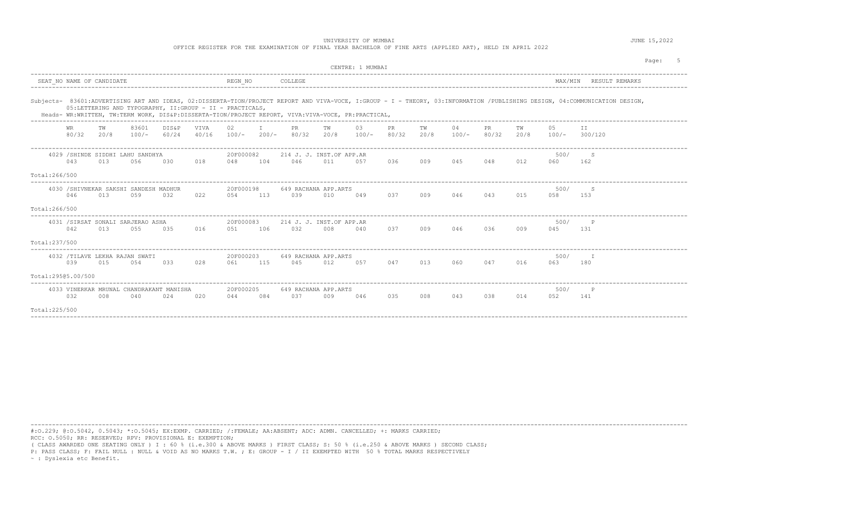OFFICE REGISTER FOR THE EXAMINATION OF FINAL YEAR BACHELOR OF FINE ARTS (APPLIED ART), HELD IN APRIL 2022

|                    |                           |            |                                                |                                                          |               |                   |     |                                                                                                    |            |                  |              |            |               |              |            |               | Pace:                                                                                                                                                                       |
|--------------------|---------------------------|------------|------------------------------------------------|----------------------------------------------------------|---------------|-------------------|-----|----------------------------------------------------------------------------------------------------|------------|------------------|--------------|------------|---------------|--------------|------------|---------------|-----------------------------------------------------------------------------------------------------------------------------------------------------------------------------|
|                    |                           |            |                                                |                                                          |               |                   |     |                                                                                                    |            | CENTRE: 1 MUMBAT |              |            |               |              |            |               |                                                                                                                                                                             |
|                    | SEAT NO NAME OF CANDIDATE |            |                                                |                                                          |               | REGN NO           |     | COLLEGE                                                                                            |            |                  |              |            |               |              |            |               | MAX/MIN RESULT REMARKS                                                                                                                                                      |
|                    |                           |            |                                                | 05:LETTERING AND TYPOGRAPHY, II:GROUP - II - PRACTICALS, |               |                   |     | Heads- WR:WRITTEN, TW:TERM WORK, DIS&P:DISSERTA-TION/PROJECT REPORT, VIVA:VIVA-VOCE, PR:PRACTICAL, |            |                  |              |            |               |              |            |               | Subjects- 83601:ADVERTISING ART AND IDEAS, 02:DISSERTA-TION/PROJECT REPORT AND VIVA-VOCE, I:GROUP - I - THEORY, 03:INFORMATION /PUBLISHING DESIGN, 04:COMMUNICATION DESIGN, |
|                    | WR<br>80/32               | тw<br>20/8 | 83601                                          | DIS&P<br>$100/-$ 60/24                                   | VTVA<br>40/16 | 02                |     | PR.<br>$100/-$ 200/- 80/32                                                                         | TW<br>20/8 | 03<br>$100/-$    | PR.<br>80/32 | TW<br>20/8 | 04<br>$100/-$ | PR.<br>80/32 | тw<br>20/8 | 05<br>$100/-$ | TT.<br>300/120                                                                                                                                                              |
| Total:266/500      | 043                       | 013        | 4029 / SHINDE SIDDHI LAHU SANDHYA<br>056       | 030                                                      | 018           | 20F000082<br>048  | 104 | 214 J. J. INST.OF APP.AR<br>046                                                                    | 011        | 0.57             | 036          | 009        | 045           | 048          | 012        | 500/<br>060   | S.<br>162                                                                                                                                                                   |
|                    |                           |            |                                                |                                                          |               |                   |     |                                                                                                    |            |                  |              |            |               |              |            |               |                                                                                                                                                                             |
|                    | 046                       | 013        | 4030 / SHIVNEKAR SAKSHI SANDESH MADHUR<br>0.59 | 032                                                      | 022           | 20F000198<br>0.54 | 113 | 649 RACHANA APP.ARTS<br>039                                                                        | 010        | 049              | 0.37         | 009        | 046           | 043          | 015        | 500/<br>0.58  | S.<br>153                                                                                                                                                                   |
| Total:266/500      |                           |            |                                                |                                                          |               |                   |     |                                                                                                    |            |                  |              |            |               |              |            |               |                                                                                                                                                                             |
|                    | 042                       | 013        | 4031 /SIRSAT SONALI SARJERAO ASHA<br>0.5.5     | 0.35                                                     | 016           | 20F000083<br>0.51 | 106 | 214 J. J. INST.OF APP.AR<br>032                                                                    | 008        | 040              | 0.37         | 009        | 046           | 0.36         | 009        | 500/<br>045   | P<br>131                                                                                                                                                                    |
| Total:237/500      |                           |            |                                                |                                                          |               |                   |     |                                                                                                    |            |                  |              |            |               |              |            |               |                                                                                                                                                                             |
|                    | 039                       | 015        | 4032 /TILAVE LEKHA RAJAN SWATI<br>054          | 033                                                      | 028           | 20F000203<br>061  | 115 | 649 RACHANA APP.ARTS<br>045                                                                        | 012        | 057              | 047          | 013        | 060           | 047          | 016        | 500/<br>063   | $-$ T<br>180                                                                                                                                                                |
| Total:29505.00/500 |                           |            |                                                |                                                          |               |                   |     |                                                                                                    |            |                  |              |            |               |              |            |               |                                                                                                                                                                             |
|                    | 032                       | 008        | 040                                            | 4033 VINERKAR MRUNAL CHANDRAKANT MANISHA<br>02.4         | 020           | 20F000205<br>044  | 084 | 649 RACHANA APP.ARTS<br>0.37                                                                       | 009        | 046              | 035          | 008        | 043           | 038          | 014        | 500/<br>052   | $\mathbb P$<br>141                                                                                                                                                          |
| Total: 225/500     |                           |            |                                                |                                                          |               |                   |     |                                                                                                    |            |                  |              |            |               |              |            |               |                                                                                                                                                                             |

----------------------------------------------------------------------------------------------------------------------------------------------------------------------------------------

----------------------------------------------------------------------------------------------------------------------------------------------------------------------------------------

#:O.229; @:O.5042, 0.5043; \*:O.5045; EX:EXMP. CARRIED; /:FEMALE; AA:ABSENT; ADC: ADMN. CANCELLED; +: MARKS CARRIED; RCC: O.5050; RR: RESERVED; RPV: PROVISIONAL E: EXEMPTION;

( CLASS AWARDED ONE SEATING ONLY ) I : 60 % (i.e.300 & ABOVE MARKS ) FIRST CLASS; S: 50 % (i.e.250 & ABOVE MARKS ) SECOND CLASS;

P: PASS CLASS; F: FAIL NULL : NULL & VOID AS NO MARKS T.W. ; E: GROUP - I / II EXEMPTED WITH 50 % TOTAL MARKS RESPECTIVELY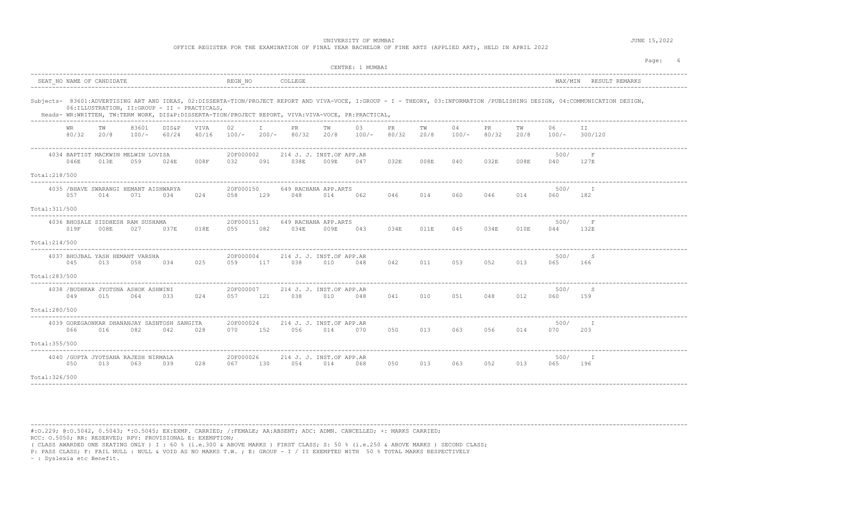OFFICE REGISTER FOR THE EXAMINATION OF FINAL YEAR BACHELOR OF FINE ARTS (APPLIED ART), HELD IN APRIL 2022

|                                                                                                                                                                                                                                                                                                                                     |                                                                               | CENTRE: 1 MUMBAI                                                             | Page:                                      |
|-------------------------------------------------------------------------------------------------------------------------------------------------------------------------------------------------------------------------------------------------------------------------------------------------------------------------------------|-------------------------------------------------------------------------------|------------------------------------------------------------------------------|--------------------------------------------|
| SEAT NO NAME OF CANDIDATE                                                                                                                                                                                                                                                                                                           | REGN NO<br>COLLEGE                                                            |                                                                              | MAX/MIN RESULT REMARKS                     |
| Subjects- 83601:ADVERTISING ART AND IDEAS, 02:DISSERTA-TION/PROJECT REPORT AND VIVA-VOCE, I:GROUP - I - THEORY, 03:INFORMATION /PUBLISHING DESIGN, 04:COMMUNICATION DESIGN,<br>06: ILLUSTRATION, II: GROUP - II - PRACTICALS,<br>Heads- WR:WRITTEN, TW:TERM WORK, DIS&P:DISSERTA-TION/PROJECT REPORT, VIVA:VIVA-VOCE, PR:PRACTICAL, |                                                                               |                                                                              |                                            |
| 83601<br><b>DIS&amp;P</b><br>WR.<br>TW<br>VIVA<br>80/32 20/8<br>$100/-$<br>60/24<br>40/16                                                                                                                                                                                                                                           | 02 <sub>1</sub><br>$\top$<br>PR.<br>TW<br>$100/-$<br>$200/-$<br>80/32<br>20/8 | 03<br>04<br>PR.<br>TW<br>PR.<br>$100/-$<br>80/32<br>20/8<br>$100/-$<br>80/32 | 06<br>TW<br>ΙI<br>20/8<br>300/120<br>100/- |
| 4034 BAPTIST MACKWIN MELWIN LOVISA<br>046E<br>059<br>008F<br>013E<br>024E<br>Total:218/500                                                                                                                                                                                                                                          | 20F000002<br>214 J. J. INST.OF APP.AR<br>038E<br>032<br>009E<br>091           | 047<br>032E<br>008E<br>040<br>032E                                           | 500/<br>$_{\rm F}$<br>008E<br>040<br>127E  |
| 4035 / BHAVE SWARANGI HEMANT AISHWARYA<br>057<br>014<br>071<br>024<br>034<br>Total: 311/500                                                                                                                                                                                                                                         | 20F000150<br>649 RACHANA APP.ARTS<br>058<br>129<br>048<br>014                 | 062<br>046<br>014<br>060<br>046                                              | 500/<br>- т<br>014<br>060<br>182           |
| 4036 BHOSALE SIDDHESH RAM SUSHAMA<br>019F<br>008E<br>027<br>018E<br>037E<br>Total: 214/500                                                                                                                                                                                                                                          | 20F000151<br>649 RACHANA APP.ARTS<br>055<br>082<br>034E<br>009E               | 043<br>034E<br>011E<br>045<br>034E                                           | 500/<br>$\mathbf F$<br>010E<br>132E<br>044 |
| 4037 BHUJBAL YASH HEMANT VARSHA<br>045<br>013<br>058<br>034<br>025<br>Total:283/500                                                                                                                                                                                                                                                 | 20F000004<br>214 J. J. INST.OF APP.AR<br>117<br>059<br>038<br>010             | 053<br>042<br>011<br>052<br>048                                              | 500/<br>S<br>013<br>065<br>166             |
| 4038 / BUDHKAR JYOTSNA ASHOK ASHWINI<br>049<br>015<br>064<br>033<br>024<br>Total:280/500                                                                                                                                                                                                                                            | 20F000007<br>214 J. J. INST.OF APP.AR<br>121<br>038<br>010<br>057             | 041<br>010<br>051<br>048<br>048                                              | 500/<br>S<br>012<br>060<br>159             |
| 4039 GOREGAONKAR DHANANJAY SASNTOSH SANGITA<br>066<br>016<br>082<br>042<br>028<br>Total: 355/500                                                                                                                                                                                                                                    | 20F000024<br>214 J. J. INST.OF APP.AR<br>152<br>056<br>014<br>070             | 070<br>050<br>013<br>063<br>056                                              | 500/<br>014<br>070<br>203                  |
| 4040 / GUPTA JYOTSANA RAJESH NIRMALA<br>050<br>013<br>028<br>063<br>039<br>Total: 326/500                                                                                                                                                                                                                                           | 20F000026<br>214 J. J. INST.OF APP.AR<br>054<br>067<br>130<br>014             | 050<br>013<br>063<br>052<br>068                                              | 500/<br>I<br>013<br>065<br>196             |

----------------------------------------------------------------------------------------------------------------------------------------------------------------------------------------

#:O.229; @:O.5042, 0.5043; \*:O.5045; EX:EXMP. CARRIED; /:FEMALE; AA:ABSENT; ADC: ADMN. CANCELLED; +: MARKS CARRIED; RCC: O.5050; RR: RESERVED; RPV: PROVISIONAL E: EXEMPTION;

( CLASS AWARDED ONE SEATING ONLY ) I : 60 % (i.e.300 & ABOVE MARKS ) FIRST CLASS; S: 50 % (i.e.250 & ABOVE MARKS ) SECOND CLASS;

P: PASS CLASS; F: FAIL NULL : NULL & VOID AS NO MARKS T.W. ; E: GROUP - I / II EXEMPTED WITH 50 % TOTAL MARKS RESPECTIVELY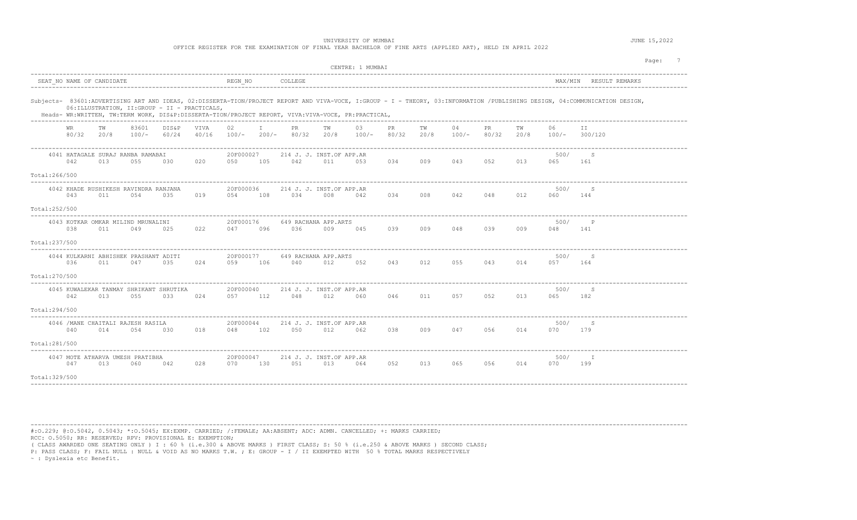OFFICE REGISTER FOR THE EXAMINATION OF FINAL YEAR BACHELOR OF FINE ARTS (APPLIED ART), HELD IN APRIL 2022

|                |             |            |                                                   |                                                |                                                |                      |                               |                                                                                                    |            | CENTRE: 1 MUMBAI |             |            |               |             |            |             | Page: 7                                                                                                                                                                     |
|----------------|-------------|------------|---------------------------------------------------|------------------------------------------------|------------------------------------------------|----------------------|-------------------------------|----------------------------------------------------------------------------------------------------|------------|------------------|-------------|------------|---------------|-------------|------------|-------------|-----------------------------------------------------------------------------------------------------------------------------------------------------------------------------|
|                |             |            |                                                   |                                                |                                                |                      |                               |                                                                                                    |            |                  |             |            |               |             |            |             | MAX/MIN RESULT REMARKS                                                                                                                                                      |
|                |             |            |                                                   |                                                | 06: ILLUSTRATION, II: GROUP - II - PRACTICALS, |                      |                               | Heads- WR:WRITTEN, TW:TERM WORK, DIS&P:DISSERTA-TION/PROJECT REPORT, VIVA:VIVA-VOCE, PR:PRACTICAL, |            |                  |             |            |               |             |            |             | Subjects- 83601:ADVERTISING ART AND IDEAS, 02:DISSERTA-TION/PROJECT REPORT AND VIVA-VOCE, I:GROUP - I - THEORY, 03:INFORMATION /PUBLISHING DESIGN, 04:COMMUNICATION DESIGN, |
|                | WR<br>80/32 | TW<br>20/8 | -----------------------------<br>83601<br>$100/-$ | DIS&P<br>60/24                                 | VIVA<br>40/16                                  | 02                   | $\mathbf{I}$ and $\mathbf{I}$ | PR<br>$100/-$ 200/- 80/32                                                                          | TW<br>20/8 | 03<br>$100/-$    | PR<br>80/32 | TW<br>20/8 | 04<br>$100/-$ | PR<br>80/32 | TW<br>20/8 | 06          | ΙI<br>$100/-$ 300/120                                                                                                                                                       |
|                | 042         | 013        | 4041 HATAGALE SURAJ RANBA RAMABAI<br>055          | 030                                            | 020                                            | 20F000027<br>050     | 105                           | 214 J. J. INST.OF APP.AR<br>042                                                                    | 011        | 053              | 034         | 009        | 043           | 052         | 013        | 500/<br>065 | S<br>161                                                                                                                                                                    |
| Total:266/500  |             |            |                                                   |                                                |                                                |                      |                               |                                                                                                    |            |                  |             |            |               |             |            |             |                                                                                                                                                                             |
|                | 043         | 011        | 4042 KHADE RUSHIKESH RAVINDRA RANJANA<br>054      | 035                                            | 019                                            | 20F000036<br>054     | 108                           | 214 J. J. INST.OF APP.AR<br>034                                                                    | 008        | 042              | 034         | 008        | 042           | 048         | 012        | 500/<br>060 | <sub>S</sub><br>144                                                                                                                                                         |
| Total:252/500  |             |            |                                                   |                                                |                                                |                      |                               |                                                                                                    |            |                  |             |            |               |             |            |             |                                                                                                                                                                             |
|                | 038         | 011        | 4043 KOTKAR OMKAR MILIND MRUNALINI<br>049         | 025                                            | 022                                            | 20F000176<br>047     | 096                           | 649 RACHANA APP.ARTS<br>036                                                                        | 009        | 045              | 039         | 009        | 048           | 039         | 009        | 500/<br>048 | P<br>141                                                                                                                                                                    |
| Total: 237/500 |             |            |                                                   |                                                |                                                |                      |                               |                                                                                                    |            |                  |             |            |               |             |            |             |                                                                                                                                                                             |
|                | 036         | 011        | 4044 KULKARNI ABHISHEK PRASHANT ADITI<br>047      | 035                                            | 024                                            | 20F000177<br>059     | 106                           | 649 RACHANA APP.ARTS<br>040                                                                        | 012        | 052              | 043         | 012        | 055           | 043         | 014        | 500/<br>057 | S<br>164                                                                                                                                                                    |
| Total: 270/500 |             |            |                                                   |                                                |                                                |                      |                               |                                                                                                    |            |                  |             |            |               |             |            |             |                                                                                                                                                                             |
|                | 042         | 013        | 055                                               | 4045 KUWALEKAR TANMAY SHRIKANT SHRUTIKA<br>033 | 024                                            | 20F000040<br>057     | 112                           | 214 J. J. INST.OF APP.AR<br>048                                                                    | 012        | 060              | 046         | 011        | 057           | 052         | 013        | 500/<br>065 | S<br>182                                                                                                                                                                    |
| Total:294/500  |             |            |                                                   |                                                |                                                |                      |                               |                                                                                                    |            |                  |             |            |               |             |            |             |                                                                                                                                                                             |
|                | 040         | 014        | 4046 / MANE CHAITALI RAJESH RASILA<br>054         | 030                                            | 018                                            | 20F000044<br>048     | 102                           | 214 J. J. INST.OF APP.AR<br>050                                                                    | 012        | 062              | 038         | 009        | 047           | 056         | 014        | 500/<br>070 | S<br>179                                                                                                                                                                    |
| Total:281/500  |             |            |                                                   |                                                |                                                |                      |                               |                                                                                                    |            |                  |             |            |               |             |            |             |                                                                                                                                                                             |
|                | 047         | 013        | 4047 MOTE ATHARVA UMESH PRATIBHA<br>060           | 042                                            | 028                                            | 20F000047<br>070 130 |                               | 214 J. J. INST.OF APP.AR<br>051                                                                    | 013        | 064              | 052         | 013        | 065           | 056         | 014        | 500/<br>070 | T<br>199                                                                                                                                                                    |
| Total: 329/500 |             |            |                                                   |                                                |                                                |                      |                               |                                                                                                    |            |                  |             |            |               |             |            |             |                                                                                                                                                                             |
|                |             |            |                                                   |                                                |                                                |                      |                               |                                                                                                    |            |                  |             |            |               |             |            |             |                                                                                                                                                                             |

----------------------------------------------------------------------------------------------------------------------------------------------------------------------------------------

#:O.229; @:O.5042, 0.5043; \*:O.5045; EX:EXMP. CARRIED; /:FEMALE; AA:ABSENT; ADC: ADMN. CANCELLED; +: MARKS CARRIED; RCC: O.5050; RR: RESERVED; RPV: PROVISIONAL E: EXEMPTION;

( CLASS AWARDED ONE SEATING ONLY ) I : 60 % (i.e.300 & ABOVE MARKS ) FIRST CLASS; S: 50 % (i.e.250 & ABOVE MARKS ) SECOND CLASS;

P: PASS CLASS; F: FAIL NULL : NULL & VOID AS NO MARKS T.W. ; E: GROUP - I / II EXEMPTED WITH 50 % TOTAL MARKS RESPECTIVELY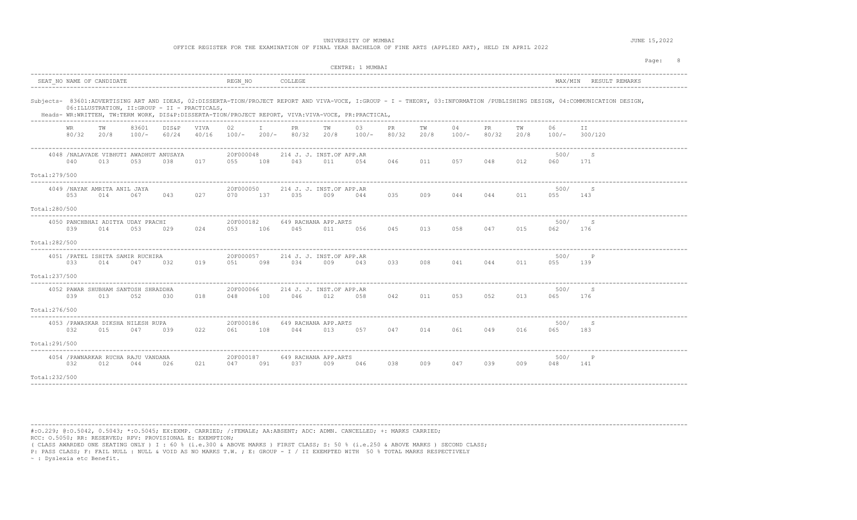OFFICE REGISTER FOR THE EXAMINATION OF FINAL YEAR BACHELOR OF FINE ARTS (APPLIED ART), HELD IN APRIL 2022

| Page:<br>CENTRE: 1 MUMBAI<br>SEAT NO NAME OF CANDIDATE<br>REGN NO<br>COLLEGE<br>MAX/MIN RESULT REMARKS<br>06: ILLUSTRATION, II: GROUP - II - PRACTICALS,<br>Heads- WR:WRITTEN, TW:TERM WORK, DIS&P:DISSERTA-TION/PROJECT REPORT, VIVA:VIVA-VOCE, PR:PRACTICAL,<br>83601<br>DIS&P<br>VIVA<br>02<br>$\mathbb{I}$<br>03<br>PR<br>04<br>PR<br>06<br>WR.<br>ТW<br>PR.<br>ТW<br>тw<br>ΤW<br>ΙI<br>80/32<br>60/24<br>$100/-$<br>$200/-$<br>80/32<br>20/8<br>$100/-$<br>80/32<br>20/8<br>80/32<br>20/8<br>20/8<br>$100/-$<br>40/16<br>100/-<br>100/-<br>300/120<br>20F000048<br>500/<br>4048 /NALAVADE VIBHUTI AWADHUT ANUSAYA<br>214 J. J. INST.OF APP.AR<br>S<br>040<br>013<br>053<br>038<br>017<br>055<br>108<br>043<br>011<br>054<br>046<br>057<br>048<br>012<br>060<br>171<br>011<br>4049 /NAYAK AMRITA ANIL JAYA<br>500/<br>20F000050<br>214 J. J. INST.OF APP.AR<br>S<br>053<br>043<br>137<br>035<br>014<br>067<br>027<br>070<br>035<br>009<br>009<br>044<br>044<br>011<br>055<br>143<br>044<br>20F000182<br>4050 PANCHBHAI ADITYA UDAY PRACHI<br>649 RACHANA APP.ARTS<br>500/<br>S<br>015<br>039<br>014<br>053<br>024<br>053<br>106<br>045<br>011<br>056<br>045<br>013<br>058<br>047<br>062<br>176<br>029<br>4051 / PATEL ISHITA SAMIR RUCHIRA<br>20F000057<br>500/<br>214 J. J. INST.OF APP.AR<br>033<br>098<br>041<br>014<br>047<br>032<br>019<br>051<br>034<br>009<br>043<br>033<br>008<br>044<br>011<br>055<br>139<br>4052 PAWAR SHUBHAM SANTOSH SHRADDHA<br>20F000066<br>500/<br>S<br>214 J. J. INST.OF APP.AR<br>018<br>042<br>052<br>013<br>039<br>013<br>052<br>030<br>048<br>100<br>046<br>012<br>058<br>011<br>053<br>065<br>176<br>4053 / PAWASKAR DIKSHA NILESH RUPA<br>20F000186<br>649 RACHANA APP.ARTS<br>500/<br>S<br>032<br>015<br>047<br>022<br>108<br>044<br>013<br>047<br>014<br>061<br>049<br>016<br>065<br>183<br>039<br>061<br>057 |  |  |  |  |  |  |  |  |  |  |  |  |  |  |  |  |
|-----------------------------------------------------------------------------------------------------------------------------------------------------------------------------------------------------------------------------------------------------------------------------------------------------------------------------------------------------------------------------------------------------------------------------------------------------------------------------------------------------------------------------------------------------------------------------------------------------------------------------------------------------------------------------------------------------------------------------------------------------------------------------------------------------------------------------------------------------------------------------------------------------------------------------------------------------------------------------------------------------------------------------------------------------------------------------------------------------------------------------------------------------------------------------------------------------------------------------------------------------------------------------------------------------------------------------------------------------------------------------------------------------------------------------------------------------------------------------------------------------------------------------------------------------------------------------------------------------------------------------------------------------------------------------------------------------------------------------------------------------------------------------------------------------------------------------------------------------------|--|--|--|--|--|--|--|--|--|--|--|--|--|--|--|--|
|                                                                                                                                                                                                                                                                                                                                                                                                                                                                                                                                                                                                                                                                                                                                                                                                                                                                                                                                                                                                                                                                                                                                                                                                                                                                                                                                                                                                                                                                                                                                                                                                                                                                                                                                                                                                                                                           |  |  |  |  |  |  |  |  |  |  |  |  |  |  |  |  |
|                                                                                                                                                                                                                                                                                                                                                                                                                                                                                                                                                                                                                                                                                                                                                                                                                                                                                                                                                                                                                                                                                                                                                                                                                                                                                                                                                                                                                                                                                                                                                                                                                                                                                                                                                                                                                                                           |  |  |  |  |  |  |  |  |  |  |  |  |  |  |  |  |
|                                                                                                                                                                                                                                                                                                                                                                                                                                                                                                                                                                                                                                                                                                                                                                                                                                                                                                                                                                                                                                                                                                                                                                                                                                                                                                                                                                                                                                                                                                                                                                                                                                                                                                                                                                                                                                                           |  |  |  |  |  |  |  |  |  |  |  |  |  |  |  |  |
|                                                                                                                                                                                                                                                                                                                                                                                                                                                                                                                                                                                                                                                                                                                                                                                                                                                                                                                                                                                                                                                                                                                                                                                                                                                                                                                                                                                                                                                                                                                                                                                                                                                                                                                                                                                                                                                           |  |  |  |  |  |  |  |  |  |  |  |  |  |  |  |  |
| Total:280/500                                                                                                                                                                                                                                                                                                                                                                                                                                                                                                                                                                                                                                                                                                                                                                                                                                                                                                                                                                                                                                                                                                                                                                                                                                                                                                                                                                                                                                                                                                                                                                                                                                                                                                                                                                                                                                             |  |  |  |  |  |  |  |  |  |  |  |  |  |  |  |  |
| Total:282/500                                                                                                                                                                                                                                                                                                                                                                                                                                                                                                                                                                                                                                                                                                                                                                                                                                                                                                                                                                                                                                                                                                                                                                                                                                                                                                                                                                                                                                                                                                                                                                                                                                                                                                                                                                                                                                             |  |  |  |  |  |  |  |  |  |  |  |  |  |  |  |  |
| Total:237/500                                                                                                                                                                                                                                                                                                                                                                                                                                                                                                                                                                                                                                                                                                                                                                                                                                                                                                                                                                                                                                                                                                                                                                                                                                                                                                                                                                                                                                                                                                                                                                                                                                                                                                                                                                                                                                             |  |  |  |  |  |  |  |  |  |  |  |  |  |  |  |  |
| Total: 276/500                                                                                                                                                                                                                                                                                                                                                                                                                                                                                                                                                                                                                                                                                                                                                                                                                                                                                                                                                                                                                                                                                                                                                                                                                                                                                                                                                                                                                                                                                                                                                                                                                                                                                                                                                                                                                                            |  |  |  |  |  |  |  |  |  |  |  |  |  |  |  |  |
| Subjects- 83601:ADVERTISING ART AND IDEAS, 02:DISSERTA-TION/PROJECT REPORT AND VIVA-VOCE, I:GROUP - I - THEORY, 03:INFORMATION /PUBLISHING DESIGN, 04:COMMUNICATION DESIGN,<br>Total:279/500<br>Total:291/500<br>4054 / PAWNARKAR RUCHA RAJU VANDANA<br>20F000187<br>649 RACHANA APP.ARTS<br>500/<br>$\, {\mathbb P}$<br>032<br>012<br>044<br>021<br>091<br>037<br>009<br>038<br>009<br>047<br>039<br>009<br>026<br>047<br>046<br>048<br>141<br>Total:232/500                                                                                                                                                                                                                                                                                                                                                                                                                                                                                                                                                                                                                                                                                                                                                                                                                                                                                                                                                                                                                                                                                                                                                                                                                                                                                                                                                                                             |  |  |  |  |  |  |  |  |  |  |  |  |  |  |  |  |
|                                                                                                                                                                                                                                                                                                                                                                                                                                                                                                                                                                                                                                                                                                                                                                                                                                                                                                                                                                                                                                                                                                                                                                                                                                                                                                                                                                                                                                                                                                                                                                                                                                                                                                                                                                                                                                                           |  |  |  |  |  |  |  |  |  |  |  |  |  |  |  |  |

----------------------------------------------------------------------------------------------------------------------------------------------------------------------------------------

#:O.229; @:O.5042, 0.5043; \*:O.5045; EX:EXMP. CARRIED; /:FEMALE; AA:ABSENT; ADC: ADMN. CANCELLED; +: MARKS CARRIED; RCC: O.5050; RR: RESERVED; RPV: PROVISIONAL E: EXEMPTION;

( CLASS AWARDED ONE SEATING ONLY ) I : 60 % (i.e.300 & ABOVE MARKS ) FIRST CLASS; S: 50 % (i.e.250 & ABOVE MARKS ) SECOND CLASS;

P: PASS CLASS; F: FAIL NULL : NULL & VOID AS NO MARKS T.W. ; E: GROUP - I / II EXEMPTED WITH 50 % TOTAL MARKS RESPECTIVELY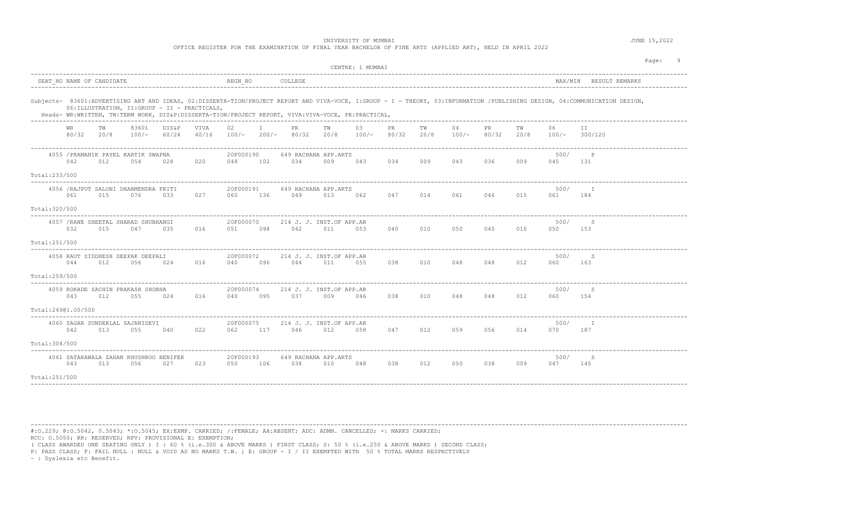OFFICE REGISTER FOR THE EXAMINATION OF FINAL YEAR BACHELOR OF FINE ARTS (APPLIED ART), HELD IN APRIL 2022

|                    |                  |                           |                                                |                |               |                  |                         |                                                                                                    |            | CENTRE: 1 MUMBAI |             |            |             |              |            |             |                                                                                                                                                                             | Page:<br>- 9 |
|--------------------|------------------|---------------------------|------------------------------------------------|----------------|---------------|------------------|-------------------------|----------------------------------------------------------------------------------------------------|------------|------------------|-------------|------------|-------------|--------------|------------|-------------|-----------------------------------------------------------------------------------------------------------------------------------------------------------------------------|--------------|
|                    |                  | SEAT NO NAME OF CANDIDATE |                                                |                |               | REGN NO          |                         | COLLEGE                                                                                            |            |                  |             |            |             |              |            |             | MAX/MIN RESULT REMARKS                                                                                                                                                      |              |
|                    |                  |                           | 06: ILLUSTRATION, II: GROUP - II - PRACTICALS, |                |               |                  |                         | Heads- WR:WRITTEN, TW:TERM WORK, DIS&P:DISSERTA-TION/PROJECT REPORT, VIVA:VIVA-VOCE, PR:PRACTICAL, |            |                  |             |            |             |              |            |             | Subjects- 83601:ADVERTISING ART AND IDEAS, 02:DISSERTA-TION/PROJECT REPORT AND VIVA-VOCE, I:GROUP - I - THEORY, 03:INFORMATION /PUBLISHING DESIGN, 04:COMMUNICATION DESIGN, |              |
|                    | WR<br>80/32 20/8 | TW                        | 83601<br>$100/-$                               | DIS&P<br>60/24 | VIVA<br>40/16 | 02<br>$100/-$    | $\mathsf{T}$<br>$200/-$ | PR.<br>80/32                                                                                       | TW<br>20/8 | 03<br>$100/-$    | PR<br>80/32 | TW<br>20/8 | 04<br>100/- | PR.<br>80/32 | ТW<br>20/8 | 06          | ΙI<br>$100/-$ 300/120                                                                                                                                                       |              |
| Total:233/500      | 042              | 012                       | 4055 / PRAMANIK PAYEL KARTIK SWAPNA<br>054     | 028            | 020           | 20F000190<br>048 | 102                     | 649 RACHANA APP.ARTS<br>034                                                                        | 009        | 043              | 034         | 009        | 043         | 036          | 009        | 500/<br>045 | $\mathbb{P}$<br>131                                                                                                                                                         |              |
| Total:320/500      | 061              | 015                       | 4056 / RAJPUT SALONI DHARMENDRA PRITI<br>076   | 033            | 027           | 20F000191<br>060 | 136                     | 649 RACHANA APP.ARTS<br>049                                                                        | 013        | 062              | 047         | 014        | 061         | 046          | 015        | 500/<br>061 | T<br>184                                                                                                                                                                    |              |
| Total: 251/500     | 032              | 015                       | 4057 / RANE SHEETAL SHARAD SHUBHANGI<br>047    | 035            | 016           | 20F000070<br>051 | 098                     | 214 J. J. INST.OF APP.AR<br>042                                                                    | 011        | 053              | 040         | 010        | 050         | 040          | 010        | 500/<br>050 | S<br>153                                                                                                                                                                    |              |
| Total:259/500      | 044              | 012                       | 4058 RAUT SIDDHESH DEEPAK DEEPALI<br>056       | 024            | 016           | 20F000072<br>040 | 096                     | 214 J. J. INST.OF APP.AR<br>044                                                                    | 011        | 055              | 038         | 010        | 048         | 048          | 012        | 500/<br>060 | S<br>163                                                                                                                                                                    |              |
| Total:24901.00/500 | 043              | 012                       | 4059 ROKADE SACHIN PRAKASH SHOBHA<br>055       | 024            | 016           | 20F000074<br>040 | 095                     | 214 J. J. INST.OF APP.AR<br>037                                                                    | 009        | 046              | 038         | 010        | 048         | 048          | 012        | 500/<br>060 | S<br>154                                                                                                                                                                    |              |
| Total:304/500      | 042              | 013                       | 4060 SAGAR SUNDERLAL SAJANIDEVI<br>055         | 040            | 022           | 20F000075<br>062 | 117                     | 214 J. J. INST.OF APP.AR<br>046                                                                    | 012        | 058              | 047         | 012        | 059         | 056          | 014        | 500/<br>070 | - т<br>187                                                                                                                                                                  |              |
| Total:251/500      | 043              | 013                       | 4061 SATARAWALA ZAHAN KHUSHROO BENIFER<br>056  | 027            | 023           | 20F000193<br>050 | 106                     | 649 RACHANA APP.ARTS<br>038                                                                        | 010        | 048              | 038         | 012        | 050         | 038          | 009        | 500/<br>047 | S<br>145                                                                                                                                                                    |              |

----------------------------------------------------------------------------------------------------------------------------------------------------------------------------------------

#:O.229; @:O.5042, 0.5043; \*:O.5045; EX:EXMP. CARRIED; /:FEMALE; AA:ABSENT; ADC: ADMN. CANCELLED; +: MARKS CARRIED; RCC: O.5050; RR: RESERVED; RPV: PROVISIONAL E: EXEMPTION;

( CLASS AWARDED ONE SEATING ONLY ) I : 60 % (i.e.300 & ABOVE MARKS ) FIRST CLASS; S: 50 % (i.e.250 & ABOVE MARKS ) SECOND CLASS;

P: PASS CLASS; F: FAIL NULL : NULL & VOID AS NO MARKS T.W. ; E: GROUP - I / II EXEMPTED WITH 50 % TOTAL MARKS RESPECTIVELY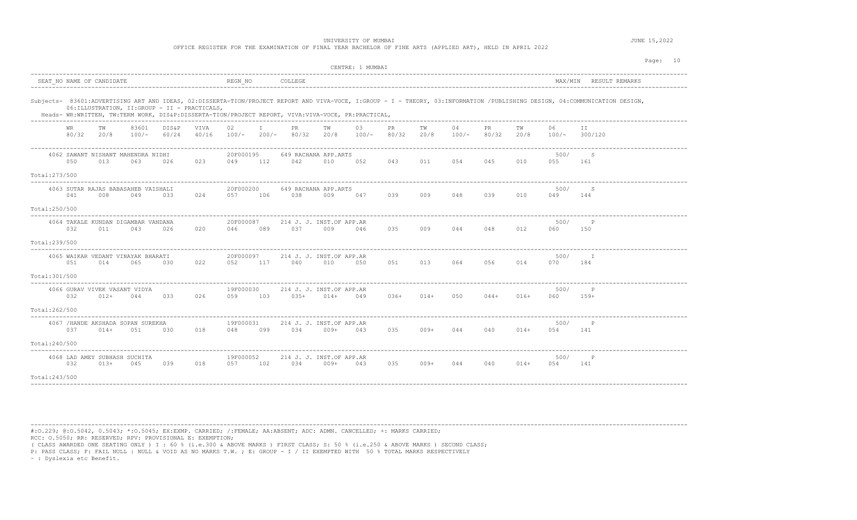OFFICE REGISTER FOR THE EXAMINATION OF FINAL YEAR BACHELOR OF FINE ARTS (APPLIED ART), HELD IN APRIL 2022

|                                                                                                                    | CENTRE: 1 MUMBAI                                                                                   | Page: 10                                                                                                                                                                    |
|--------------------------------------------------------------------------------------------------------------------|----------------------------------------------------------------------------------------------------|-----------------------------------------------------------------------------------------------------------------------------------------------------------------------------|
| SEAT NO NAME OF CANDIDATE                                                                                          | REGN NO<br>COLLEGE                                                                                 | MAX/MIN RESULT REMARKS                                                                                                                                                      |
| 06: ILLUSTRATION, II: GROUP - II - PRACTICALS,                                                                     | Heads- WR:WRITTEN, TW:TERM WORK, DIS&P:DISSERTA-TION/PROJECT REPORT, VIVA:VIVA-VOCE, PR:PRACTICAL, | Subjects- 83601:ADVERTISING ART AND IDEAS, 02:DISSERTA-TION/PROJECT REPORT AND VIVA-VOCE, I:GROUP - I - THEORY, 03:INFORMATION /PUBLISHING DESIGN, 04:COMMUNICATION DESIGN, |
| 83601<br>DIS&P<br>VIVA<br>WR.<br>TW<br>80/32<br>20/8<br>$100/-$<br>60/24<br>40/16                                  | 02<br>03<br>PR.<br>TW<br>PR.<br>$100/-$<br>$200/-$<br>80/32<br>20/8<br>$100/-$<br>80/32            | 04<br>TW<br>PR.<br>TW<br>06<br>T T<br>20/8<br>$100/-$<br>80/32<br>20/8<br>300/120<br>100/-                                                                                  |
| 4062 SAWANT NISHANT MAHENDRA NIDHI<br>050<br>013<br>063<br>026<br>023<br>Total:273/500                             | 20F000195<br>649 RACHANA APP.ARTS<br>043<br>049<br>112<br>042<br>010<br>052                        | 500/<br>-S<br>054<br>045<br>011<br>010<br>055<br>161                                                                                                                        |
| 4063 SUTAR RAJAS BABASAHEB VAISHALI<br>041<br>008<br>049<br>024<br>033<br>Total:250/500                            | 20F000200<br>649 RACHANA APP.ARTS<br>057<br>106<br>038<br>009<br>047<br>039                        | 500/<br>S<br>009<br>048<br>039<br>010<br>049<br>144                                                                                                                         |
| 4064 TAKALE KUNDAN DIGAMBAR VANDANA<br>032<br>020<br>011<br>043<br>026<br>Total:239/500                            | 20F000087<br>214 J. J. INST.OF APP.AR<br>037<br>035<br>046<br>089<br>009<br>046                    | 500/<br>$\mathbb{P}$<br>009<br>044<br>048<br>012<br>060<br>150                                                                                                              |
| 4065 WAIKAR VEDANT VINAYAK BHARATI<br>051<br>014<br>065<br>030<br>022<br>Total:301/500                             | 20F000097<br>214 J. J. INST.OF APP.AR<br>040<br>052<br>117<br>010<br>050<br>051                    | 500/<br>I<br>013 064<br>056<br>014<br>070<br>184                                                                                                                            |
| 4066 GURAV VIVEK VASANT VIDYA<br>032<br>$012+$<br>044<br>033<br>026<br>Total:262/500                               | 19F000030<br>214 J. J. INST.OF APP.AR<br>103<br>$035+$<br>$014+$<br>036+<br>059<br>049             | 500/<br>$\mathbb{P}$<br>$014+$<br>050<br>$044+$<br>016+<br>060<br>$159+$                                                                                                    |
| ---------------------<br>4067 / HANDE AKSHADA SOPAN SUREKHA<br>037<br>$014+$<br>051<br>030<br>018<br>Total:240/500 | 19F000031<br>214 J. J. INST.OF APP.AR<br>034<br>035<br>048<br>099<br>$009+$<br>043                 | 500/<br>$\mathbb{P}$<br>009+<br>044<br>040<br>$014+$<br>054<br>141                                                                                                          |
| 4068 LAD AMEY SUBHASH SUCHITA<br>032<br>$013+$<br>039<br>018<br>045<br>Total: 243/500                              | 19F000052<br>214 J. J. INST.OF APP.AR<br>034<br>035<br>057<br>102<br>009+<br>043                   | 500/<br>P<br>$009+$<br>044<br>040<br>$014+$<br>054<br>141                                                                                                                   |

----------------------------------------------------------------------------------------------------------------------------------------------------------------------------------------

#:O.229; @:O.5042, 0.5043; \*:O.5045; EX:EXMP. CARRIED; /:FEMALE; AA:ABSENT; ADC: ADMN. CANCELLED; +: MARKS CARRIED; RCC: O.5050; RR: RESERVED; RPV: PROVISIONAL E: EXEMPTION;

( CLASS AWARDED ONE SEATING ONLY ) I : 60 % (i.e.300 & ABOVE MARKS ) FIRST CLASS; S: 50 % (i.e.250 & ABOVE MARKS ) SECOND CLASS;

P: PASS CLASS; F: FAIL NULL : NULL & VOID AS NO MARKS T.W. ; E: GROUP - I / II EXEMPTED WITH 50 % TOTAL MARKS RESPECTIVELY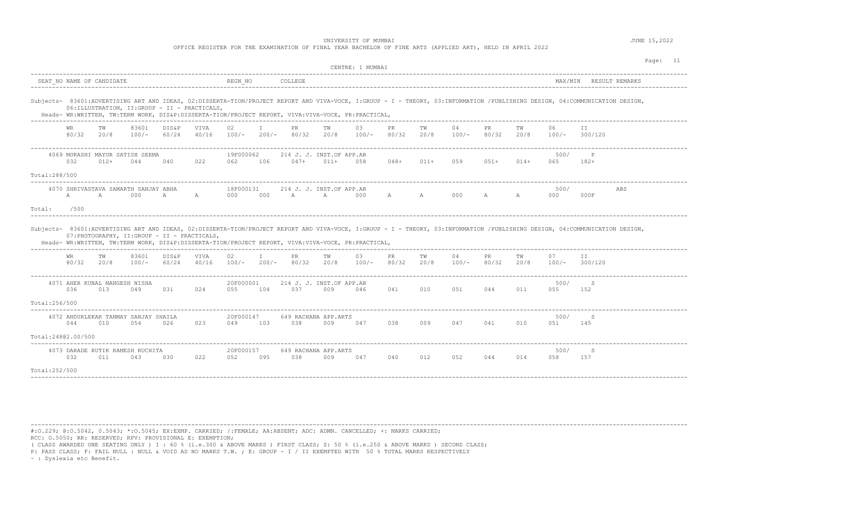OFFICE REGISTER FOR THE EXAMINATION OF FINAL YEAR BACHELOR OF FINE ARTS (APPLIED ART), HELD IN APRIL 2022

|                                                                                                                                                                                                                                                                                                                                                                                                                              | CENTRE: 1 MUMBAI<br>SEAT NO NAME OF CANDIDATE<br>REGN NO<br>COLLEGE<br>MAX/MIN RESULT REMARKS<br>06: ILLUSTRATION, II: GROUP - II - PRACTICALS,<br>Heads- WR:WRITTEN, TW:TERM WORK, DIS&P:DISSERTA-TION/PROJECT REPORT, VIVA:VIVA-VOCE, PR:PRACTICAL,<br>06<br>TW<br>83601<br><b>VIVA</b><br>02<br>PR<br>03<br>PR<br>TW<br>04<br>PR<br><b>WR</b><br>DIS&P<br>T<br>TW<br>TW<br>TT.<br>80/32<br>$100/-$<br>$200/-$<br>80/32<br>20/8<br>80/32<br>20/8<br>$100/-$<br>80/32<br>20/8<br>20/8<br>$100/-$<br>60/24<br>40/16<br>$100/-$<br>$100/-$<br>300/120<br>19F000062<br>4069 MOKASHI MAYUR SATISH SEEMA<br>214 J. J. INST.OF APP.AR<br>500/<br>P<br>032<br>022<br>$047+$<br>$011+$<br>058<br>$048+$<br>059<br>$051+$<br>$014+$<br>$182+$<br>$012+$<br>044<br>040<br>062<br>106<br>$011+$<br>065<br>4070 SHRIVASTAVA SAMARTH SANJAY ABHA<br>18F000131<br>214 J. J. INST.OF APP.AR<br>500/<br>ABS<br>000<br>000<br>000<br>A<br>A<br>000<br>000<br>A<br>000F<br>A<br>$\mathbb{A}$<br>$\mathbb A$<br>A<br>$\mathbb{A}$<br>A<br>$\mathbb A$<br>000<br>/500<br>07: PHOTOGRAPHY, II: GROUP - II - PRACTICALS,<br>Heads- WR:WRITTEN, TW:TERM WORK, DIS&P:DISSERTA-TION/PROJECT REPORT, VIVA:VIVA-VOCE, PR:PRACTICAL,<br>83601<br>DIS&P<br>02<br>03<br>04<br>PR<br>07<br>WR<br>TW<br>VIVA<br>I.<br>PR.<br>TW<br>PR<br>TW<br>TW<br>II<br>80/32<br>60/24<br>20/8<br>$100/-$<br>20/8<br>$100/-$<br>40/16<br>$100/-$<br>$200/-$<br>80/32<br>80/32<br>20/8<br>$100/-$<br>80/32<br>20/8<br>$100/-$<br>300/120<br>500/<br>4071 AHER KUNAL MANGESH NISHA<br>20F000001<br>214 J. J. INST.OF APP.AR<br>S<br>036<br>013<br>049<br>031<br>024<br>055<br>104<br>037<br>009<br>041<br>051<br>044<br>011<br>055<br>046<br>010<br>152<br>4072 ANDURLEKAR TANMAY SANJAY SHAILA<br>20F000147<br>500/<br>649 RACHANA APP.ARTS<br>-S<br>044<br>010<br>054<br>026<br>023<br>049<br>103<br>038<br>009<br>038<br>009<br>047<br>041<br>010<br>051<br>145<br>047 |     |                                         |     |     |                  |     |     |                             |     |     |     |     | Page: 11 |     |             |          |  |  |
|------------------------------------------------------------------------------------------------------------------------------------------------------------------------------------------------------------------------------------------------------------------------------------------------------------------------------------------------------------------------------------------------------------------------------|-----------------------------------------------------------------------------------------------------------------------------------------------------------------------------------------------------------------------------------------------------------------------------------------------------------------------------------------------------------------------------------------------------------------------------------------------------------------------------------------------------------------------------------------------------------------------------------------------------------------------------------------------------------------------------------------------------------------------------------------------------------------------------------------------------------------------------------------------------------------------------------------------------------------------------------------------------------------------------------------------------------------------------------------------------------------------------------------------------------------------------------------------------------------------------------------------------------------------------------------------------------------------------------------------------------------------------------------------------------------------------------------------------------------------------------------------------------------------------------------------------------------------------------------------------------------------------------------------------------------------------------------------------------------------------------------------------------------------------------------------------------------------------------------------------------------------------------------------------------------------------------------------------------------------------|-----|-----------------------------------------|-----|-----|------------------|-----|-----|-----------------------------|-----|-----|-----|-----|----------|-----|-------------|----------|--|--|
| Subjects- 83601:ADVERTISING ART AND IDEAS, 02:DISSERTA-TION/PROJECT REPORT AND VIVA-VOCE, I:GROUP - I - THEORY, 03:INFORMATION /PUBLISHING DESIGN, 04:COMMUNICATION DESIGN,<br>Total:288/500<br>Total:<br>Subjects- 83601:ADVERTISING ART AND IDEAS, 02:DISSERTA-TION/PROJECT REPORT AND VIVA-VOCE, I:GROUP - I - THEORY, 03:INFORMATION /PUBLISHING DESIGN, 04:COMMUNICATION DESIGN,<br>Total:256/500<br>Total:24802.00/500 |                                                                                                                                                                                                                                                                                                                                                                                                                                                                                                                                                                                                                                                                                                                                                                                                                                                                                                                                                                                                                                                                                                                                                                                                                                                                                                                                                                                                                                                                                                                                                                                                                                                                                                                                                                                                                                                                                                                             |     |                                         |     |     |                  |     |     |                             |     |     |     |     |          |     |             |          |  |  |
|                                                                                                                                                                                                                                                                                                                                                                                                                              |                                                                                                                                                                                                                                                                                                                                                                                                                                                                                                                                                                                                                                                                                                                                                                                                                                                                                                                                                                                                                                                                                                                                                                                                                                                                                                                                                                                                                                                                                                                                                                                                                                                                                                                                                                                                                                                                                                                             |     |                                         |     |     |                  |     |     |                             |     |     |     |     |          |     |             |          |  |  |
|                                                                                                                                                                                                                                                                                                                                                                                                                              |                                                                                                                                                                                                                                                                                                                                                                                                                                                                                                                                                                                                                                                                                                                                                                                                                                                                                                                                                                                                                                                                                                                                                                                                                                                                                                                                                                                                                                                                                                                                                                                                                                                                                                                                                                                                                                                                                                                             |     |                                         |     |     |                  |     |     |                             |     |     |     |     |          |     |             |          |  |  |
|                                                                                                                                                                                                                                                                                                                                                                                                                              |                                                                                                                                                                                                                                                                                                                                                                                                                                                                                                                                                                                                                                                                                                                                                                                                                                                                                                                                                                                                                                                                                                                                                                                                                                                                                                                                                                                                                                                                                                                                                                                                                                                                                                                                                                                                                                                                                                                             |     |                                         |     |     |                  |     |     |                             |     |     |     |     |          |     |             |          |  |  |
|                                                                                                                                                                                                                                                                                                                                                                                                                              |                                                                                                                                                                                                                                                                                                                                                                                                                                                                                                                                                                                                                                                                                                                                                                                                                                                                                                                                                                                                                                                                                                                                                                                                                                                                                                                                                                                                                                                                                                                                                                                                                                                                                                                                                                                                                                                                                                                             |     |                                         |     |     |                  |     |     |                             |     |     |     |     |          |     |             |          |  |  |
|                                                                                                                                                                                                                                                                                                                                                                                                                              |                                                                                                                                                                                                                                                                                                                                                                                                                                                                                                                                                                                                                                                                                                                                                                                                                                                                                                                                                                                                                                                                                                                                                                                                                                                                                                                                                                                                                                                                                                                                                                                                                                                                                                                                                                                                                                                                                                                             |     |                                         |     |     |                  |     |     |                             |     |     |     |     |          |     |             |          |  |  |
|                                                                                                                                                                                                                                                                                                                                                                                                                              |                                                                                                                                                                                                                                                                                                                                                                                                                                                                                                                                                                                                                                                                                                                                                                                                                                                                                                                                                                                                                                                                                                                                                                                                                                                                                                                                                                                                                                                                                                                                                                                                                                                                                                                                                                                                                                                                                                                             |     |                                         |     |     |                  |     |     |                             |     |     |     |     |          |     |             |          |  |  |
|                                                                                                                                                                                                                                                                                                                                                                                                                              |                                                                                                                                                                                                                                                                                                                                                                                                                                                                                                                                                                                                                                                                                                                                                                                                                                                                                                                                                                                                                                                                                                                                                                                                                                                                                                                                                                                                                                                                                                                                                                                                                                                                                                                                                                                                                                                                                                                             |     |                                         |     |     |                  |     |     |                             |     |     |     |     |          |     |             |          |  |  |
|                                                                                                                                                                                                                                                                                                                                                                                                                              |                                                                                                                                                                                                                                                                                                                                                                                                                                                                                                                                                                                                                                                                                                                                                                                                                                                                                                                                                                                                                                                                                                                                                                                                                                                                                                                                                                                                                                                                                                                                                                                                                                                                                                                                                                                                                                                                                                                             |     |                                         |     |     |                  |     |     |                             |     |     |     |     |          |     |             |          |  |  |
|                                                                                                                                                                                                                                                                                                                                                                                                                              |                                                                                                                                                                                                                                                                                                                                                                                                                                                                                                                                                                                                                                                                                                                                                                                                                                                                                                                                                                                                                                                                                                                                                                                                                                                                                                                                                                                                                                                                                                                                                                                                                                                                                                                                                                                                                                                                                                                             |     |                                         |     |     |                  |     |     |                             |     |     |     |     |          |     |             |          |  |  |
|                                                                                                                                                                                                                                                                                                                                                                                                                              |                                                                                                                                                                                                                                                                                                                                                                                                                                                                                                                                                                                                                                                                                                                                                                                                                                                                                                                                                                                                                                                                                                                                                                                                                                                                                                                                                                                                                                                                                                                                                                                                                                                                                                                                                                                                                                                                                                                             |     |                                         |     |     |                  |     |     |                             |     |     |     |     |          |     |             |          |  |  |
|                                                                                                                                                                                                                                                                                                                                                                                                                              |                                                                                                                                                                                                                                                                                                                                                                                                                                                                                                                                                                                                                                                                                                                                                                                                                                                                                                                                                                                                                                                                                                                                                                                                                                                                                                                                                                                                                                                                                                                                                                                                                                                                                                                                                                                                                                                                                                                             |     |                                         |     |     |                  |     |     |                             |     |     |     |     |          |     |             |          |  |  |
|                                                                                                                                                                                                                                                                                                                                                                                                                              |                                                                                                                                                                                                                                                                                                                                                                                                                                                                                                                                                                                                                                                                                                                                                                                                                                                                                                                                                                                                                                                                                                                                                                                                                                                                                                                                                                                                                                                                                                                                                                                                                                                                                                                                                                                                                                                                                                                             |     |                                         |     |     |                  |     |     |                             |     |     |     |     |          |     |             |          |  |  |
|                                                                                                                                                                                                                                                                                                                                                                                                                              | 032                                                                                                                                                                                                                                                                                                                                                                                                                                                                                                                                                                                                                                                                                                                                                                                                                                                                                                                                                                                                                                                                                                                                                                                                                                                                                                                                                                                                                                                                                                                                                                                                                                                                                                                                                                                                                                                                                                                         | 011 | 4073 DARADE RUTIK RAMESH RUCHITA<br>043 | 030 | 022 | 20F000157<br>052 | 095 | 038 | 649 RACHANA APP.ARTS<br>009 | 047 | 040 | 012 | 052 | 044      | 014 | 500/<br>058 | S<br>157 |  |  |
| Total:252/500                                                                                                                                                                                                                                                                                                                                                                                                                |                                                                                                                                                                                                                                                                                                                                                                                                                                                                                                                                                                                                                                                                                                                                                                                                                                                                                                                                                                                                                                                                                                                                                                                                                                                                                                                                                                                                                                                                                                                                                                                                                                                                                                                                                                                                                                                                                                                             |     |                                         |     |     |                  |     |     |                             |     |     |     |     |          |     |             |          |  |  |
|                                                                                                                                                                                                                                                                                                                                                                                                                              |                                                                                                                                                                                                                                                                                                                                                                                                                                                                                                                                                                                                                                                                                                                                                                                                                                                                                                                                                                                                                                                                                                                                                                                                                                                                                                                                                                                                                                                                                                                                                                                                                                                                                                                                                                                                                                                                                                                             |     |                                         |     |     |                  |     |     |                             |     |     |     |     |          |     |             |          |  |  |

----------------------------------------------------------------------------------------------------------------------------------------------------------------------------------------

#:O.229; @:O.5042, 0.5043; \*:O.5045; EX:EXMP. CARRIED; /:FEMALE; AA:ABSENT; ADC: ADMN. CANCELLED; +: MARKS CARRIED; RCC: O.5050; RR: RESERVED; RPV: PROVISIONAL E: EXEMPTION;

( CLASS AWARDED ONE SEATING ONLY ) I : 60 % (i.e.300 & ABOVE MARKS ) FIRST CLASS; S: 50 % (i.e.250 & ABOVE MARKS ) SECOND CLASS;

P: PASS CLASS; F: FAIL NULL : NULL & VOID AS NO MARKS T.W. ; E: GROUP - I / II EXEMPTED WITH 50 % TOTAL MARKS RESPECTIVELY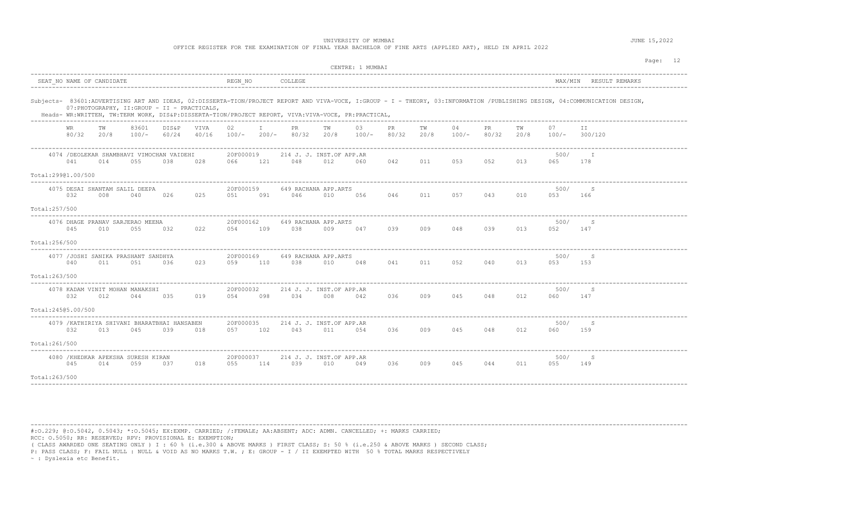OFFICE REGISTER FOR THE EXAMINATION OF FINAL YEAR BACHELOR OF FINE ARTS (APPLIED ART), HELD IN APRIL 2022

|                                                                                                                                                     | CENTRE: 1 MUMBAI                                                                                                                                                            | Page: 12                                                            |
|-----------------------------------------------------------------------------------------------------------------------------------------------------|-----------------------------------------------------------------------------------------------------------------------------------------------------------------------------|---------------------------------------------------------------------|
| SEAT NO NAME OF CANDIDATE                                                                                                                           | COLLEGE<br>REGN NO                                                                                                                                                          | MAX/MIN RESULT REMARKS                                              |
| 07: PHOTOGRAPHY, II: GROUP - II - PRACTICALS,<br>Heads- WR:WRITTEN, TW:TERM WORK, DIS&P:DISSERTA-TION/PROJECT REPORT, VIVA:VIVA-VOCE, PR:PRACTICAL, | Subjects- 83601:ADVERTISING ART AND IDEAS, 02:DISSERTA-TION/PROJECT REPORT AND VIVA-VOCE, I:GROUP - I - THEORY, 03:INFORMATION /PUBLISHING DESIGN, 04:COMMUNICATION DESIGN, |                                                                     |
| 83601<br>DIS&P<br>VIVA<br>WR<br>TW<br>80/32 20/8<br>60/24<br>$100/-$<br>40/16                                                                       | $\mathbb{I}$<br>02<br>PR<br>03<br>PR<br>04<br>ТW<br>TW<br>20/8<br>80/32<br>$100/-$<br>$200/-$<br>80/32<br>$100/-$<br>20/8                                                   | PR<br>TW<br>07<br>ΙI<br>$100/-$<br>80/32<br>20/8<br>$100/-$ 300/120 |
| 4074 / DEOLEKAR SHAMBHAVI VIMOCHAN VAIDEHI<br>041<br>014<br>055<br>038<br>028<br>Total:29901.00/500                                                 | 20F000019<br>214 J. J. INST.OF APP.AR<br>048<br>042<br>066<br>121<br>012<br>060<br>011                                                                                      | 500/<br>052<br>013<br>053<br>065<br>178                             |
| 4075 DESAI SHANTAM SALIL DEEPA<br>032<br>026<br>025<br>008<br>040<br>Total:257/500                                                                  | 20F000159<br>649 RACHANA APP.ARTS<br>091<br>046<br>010<br>056<br>046<br>011<br>051                                                                                          | 500/<br>S<br>057<br>043<br>010<br>053<br>166                        |
| 4076 DHAGE PRANAV SARJERAO MEENA<br>055<br>022<br>045<br>010<br>032<br>Total:256/500                                                                | 20F000162<br>649 RACHANA APP.ARTS<br>038<br>039<br>009<br>054<br>109<br>009<br>047                                                                                          | 500/<br>S<br>048<br>039<br>013<br>052<br>147                        |
| 4077 /JOSHI SANIKA PRASHANT SANDHYA<br>040<br>051<br>023<br>011<br>036<br>Total:263/500                                                             | 20F000169<br>649 RACHANA APP.ARTS<br>110<br>038<br>041 011 052<br>059<br>010<br>048                                                                                         | 500/<br>S<br>040<br>013<br>053<br>153                               |
| 4078 KADAM VINIT MOHAN MANAKSHI<br>035<br>019<br>032<br>012<br>044<br>Total: 24505.00/500                                                           | 20F000032<br>214 J. J. INST.OF APP.AR<br>034<br>036<br>054<br>098<br>008<br>042<br>009                                                                                      | 500/<br>-S<br>045<br>048<br>012<br>060<br>147                       |
| 4079 / KATHIRIYA SHIVANI BHARATBHAI HANSABEN<br>032<br>013<br>045<br>039<br>018<br>Total:261/500                                                    | 20F000035<br>214 J. J. INST.OF APP.AR<br>057 102<br>043<br>011<br>054<br>036<br>009                                                                                         | 500/<br>-S<br>045<br>048<br>012<br>060<br>159                       |
| 4080 / KHEDKAR APEKSHA SURESH KIRAN<br>045<br>014<br>059<br>018<br>037<br>Total:263/500                                                             | 20F000037<br>214 J. J. INST.OF APP.AR<br>055<br>114<br>039<br>010<br>036<br>009<br>049                                                                                      | 500/<br>S<br>044<br>045<br>011<br>055<br>149                        |

----------------------------------------------------------------------------------------------------------------------------------------------------------------------------------------

#:O.229; @:O.5042, 0.5043; \*:O.5045; EX:EXMP. CARRIED; /:FEMALE; AA:ABSENT; ADC: ADMN. CANCELLED; +: MARKS CARRIED; RCC: O.5050; RR: RESERVED; RPV: PROVISIONAL E: EXEMPTION;

( CLASS AWARDED ONE SEATING ONLY ) I : 60 % (i.e.300 & ABOVE MARKS ) FIRST CLASS; S: 50 % (i.e.250 & ABOVE MARKS ) SECOND CLASS;

P: PASS CLASS; F: FAIL NULL : NULL & VOID AS NO MARKS T.W. ; E: GROUP - I / II EXEMPTED WITH 50 % TOTAL MARKS RESPECTIVELY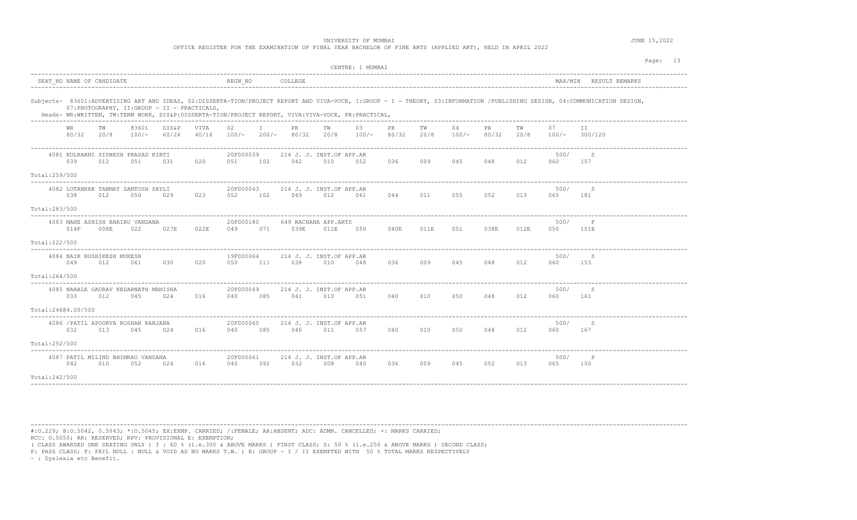OFFICE REGISTER FOR THE EXAMINATION OF FINAL YEAR BACHELOR OF FINE ARTS (APPLIED ART), HELD IN APRIL 2022

|                                            |              |                                   |                                             |                                               |               |                  |              |                                 |            | CENTRE: 1 MUMBAI                                                                                   |             |            |               |              |            |             | Page: 13                                                                                                                                                                    |
|--------------------------------------------|--------------|-----------------------------------|---------------------------------------------|-----------------------------------------------|---------------|------------------|--------------|---------------------------------|------------|----------------------------------------------------------------------------------------------------|-------------|------------|---------------|--------------|------------|-------------|-----------------------------------------------------------------------------------------------------------------------------------------------------------------------------|
| SEAT NO NAME OF CANDIDATE                  |              |                                   |                                             |                                               |               | REGN NO          |              | COLLEGE                         |            |                                                                                                    |             |            |               |              |            |             | MAX/MIN RESULT REMARKS                                                                                                                                                      |
|                                            |              |                                   |                                             | 07: PHOTOGRAPHY, II: GROUP - II - PRACTICALS, |               |                  |              |                                 |            | Heads- WR:WRITTEN, TW:TERM WORK, DIS&P:DISSERTA-TION/PROJECT REPORT, VIVA:VIVA-VOCE, PR:PRACTICAL, |             |            |               |              |            |             | Subjects- 83601:ADVERTISING ART AND IDEAS, 02:DISSERTA-TION/PROJECT REPORT AND VIVA-VOCE, I:GROUP - I - THEORY, 03:INFORMATION /PUBLISHING DESIGN, 04:COMMUNICATION DESIGN, |
|                                            | WR.<br>80/32 | TW<br>20/8                        | 83601<br>$100/-$                            | DIS&P<br>60/24                                | VIVA<br>40/16 | 02               | $\mathbf{I}$ | PR<br>100/- 200/- 80/32         | TW<br>20/8 | 03<br>$100/-$                                                                                      | PR<br>80/32 | TW<br>20/8 | 04<br>$100/-$ | PR.<br>80/32 | TW<br>20/8 | 07          | ΙI<br>$100/-$ 300/120                                                                                                                                                       |
|                                            | 039          | 012                               | 4081 KULKARNI SIDHESH PRASAD KIRTI<br>051   | 031                                           | 020           | 20F000039<br>051 | 102          | 214 J. J. INST.OF APP.AR<br>042 | 010        | 052                                                                                                | 036         | 009        | 045           | 048          | 012        | 500/<br>060 | S<br>157                                                                                                                                                                    |
| Total:259/500                              |              |                                   |                                             |                                               |               |                  |              |                                 |            |                                                                                                    |             |            |               |              |            |             |                                                                                                                                                                             |
|                                            | 038          | 012                               | 4082 LOTANKAR TANMAY SANTOSH SAYLI<br>050   | 029                                           | 023           | 20F000043<br>052 | 102          | 214 J. J. INST.OF APP.AR<br>049 | 012        | 061                                                                                                | 044         | 011        | 055           | 052          | 013        | 500/<br>065 | S<br>181                                                                                                                                                                    |
| Total:283/500                              |              |                                   |                                             |                                               |               |                  |              |                                 |            |                                                                                                    |             |            |               |              |            |             |                                                                                                                                                                             |
|                                            | 014F         | 008E                              | 4083 MANE ASHISH BHAIRU VANDANA<br>022      | 027E                                          | 022E          | 20F000180<br>049 | 071          | 649 RACHANA APP.ARTS<br>039E    | 011E       | 050                                                                                                | 040E        | 011E       | 051           | 038E         | 012E       | 500/<br>050 | $\mathbf F$<br>151E                                                                                                                                                         |
| Total: 222/500                             |              |                                   |                                             |                                               |               |                  |              |                                 |            |                                                                                                    |             |            |               |              |            |             |                                                                                                                                                                             |
|                                            | 049          | 4084 NAIK RUSHIKESH MUKESH<br>012 | 061                                         | 030                                           | 020           | 19F000064<br>050 | 111          | 214 J. J. INST.OF APP.AR<br>038 | 010        | 048                                                                                                | 036         | 009        | 045           | 048          | 012        | 500/<br>060 | S<br>153                                                                                                                                                                    |
| Total:264/500                              |              |                                   |                                             |                                               |               |                  |              |                                 |            |                                                                                                    |             |            |               |              |            |             |                                                                                                                                                                             |
|                                            | 033          | 012                               | 4085 NARALE GAURAV KEDARNATH MANISHA<br>045 | 024                                           | 016           | 20F000049<br>040 | 085          | 214 J. J. INST.OF APP.AR<br>041 | 010        | 051                                                                                                | 040         | 010        | 050           | 048          | 012        | 500/<br>060 | S<br>161                                                                                                                                                                    |
| Total:24604.00/500<br>____________________ |              |                                   |                                             |                                               |               |                  |              |                                 |            |                                                                                                    |             |            |               |              |            |             |                                                                                                                                                                             |
|                                            | 032          | 013                               | 4086 / PATIL APOORVA ROSHAN RANJANA<br>045  | 024                                           | 016           | 20F000060<br>040 | 085          | 214 J. J. INST.OF APP.AR<br>046 | 011        | 057                                                                                                | 040         | 010        | 050           | 048          | 012        | 500/<br>060 | S<br>167                                                                                                                                                                    |
| Total:252/500                              |              |                                   |                                             |                                               |               |                  |              |                                 |            |                                                                                                    |             |            |               |              |            |             |                                                                                                                                                                             |
|                                            | 042          | 010                               | 4087 PATIL MILIND BHIMRAO VANDANA<br>052    | 024                                           | 016           | 20F000061<br>040 | 092          | 214 J. J. INST.OF APP.AR<br>032 | 008        | 040                                                                                                | 036         | 009        | 045           | 052          | 013        | 500/<br>065 | $\mathsf{P}$<br>150                                                                                                                                                         |
| Total:242/500                              |              |                                   |                                             |                                               |               |                  |              |                                 |            |                                                                                                    |             |            |               |              |            |             |                                                                                                                                                                             |

----------------------------------------------------------------------------------------------------------------------------------------------------------------------------------------

#:O.229; @:O.5042, 0.5043; \*:O.5045; EX:EXMP. CARRIED; /:FEMALE; AA:ABSENT; ADC: ADMN. CANCELLED; +: MARKS CARRIED; RCC: O.5050; RR: RESERVED; RPV: PROVISIONAL E: EXEMPTION;

( CLASS AWARDED ONE SEATING ONLY ) I : 60 % (i.e.300 & ABOVE MARKS ) FIRST CLASS; S: 50 % (i.e.250 & ABOVE MARKS ) SECOND CLASS;

P: PASS CLASS; F: FAIL NULL : NULL & VOID AS NO MARKS T.W. ; E: GROUP - I / II EXEMPTED WITH 50 % TOTAL MARKS RESPECTIVELY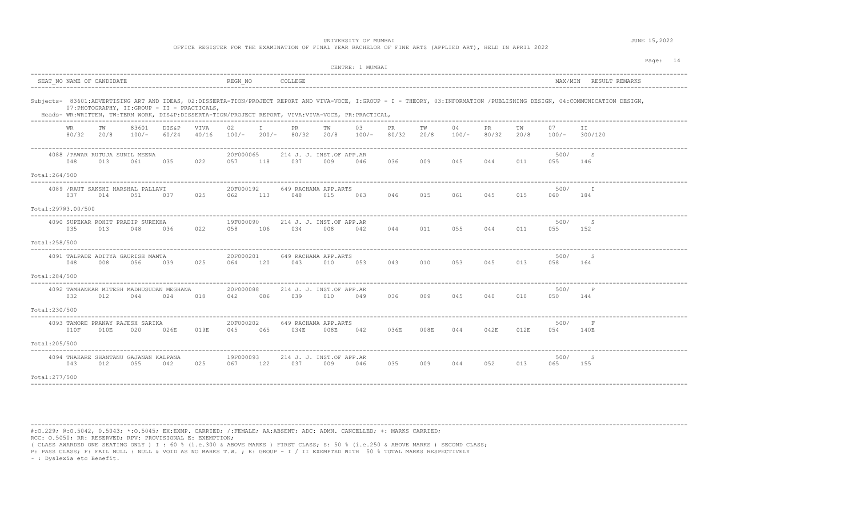OFFICE REGISTER FOR THE EXAMINATION OF FINAL YEAR BACHELOR OF FINE ARTS (APPLIED ART), HELD IN APRIL 2022

|                                                                                                                                                                                                                                                                                   |                                               |                |               |                  |     |                                     |      | CENTRE: 1 MUMBAI |             |            |               |                    |            |                     |                        | Page: 14 |
|-----------------------------------------------------------------------------------------------------------------------------------------------------------------------------------------------------------------------------------------------------------------------------------|-----------------------------------------------|----------------|---------------|------------------|-----|-------------------------------------|------|------------------|-------------|------------|---------------|--------------------|------------|---------------------|------------------------|----------|
| SEAT NO NAME OF CANDIDATE                                                                                                                                                                                                                                                         |                                               |                |               | REGN NO          |     | COLLEGE                             |      |                  |             |            |               |                    |            |                     | MAX/MIN RESULT REMARKS |          |
| Subjects- 83601:ADVERTISING ART AND IDEAS, 02:DISSERTA-TION/PROJECT REPORT AND VIVA-VOCE, I:GROUP - I - THEORY, 03:INFORMATION /PUBLISHING DESIGN, 04:COMMUNICATION DESIGN,<br>Heads- WR:WRITTEN, TW:TERM WORK, DIS&P:DISSERTA-TION/PROJECT REPORT, VIVA:VIVA-VOCE, PR:PRACTICAL, | 07: PHOTOGRAPHY, II: GROUP - II - PRACTICALS, |                |               |                  |     |                                     |      |                  |             |            |               |                    |            |                     |                        |          |
| WR<br>TW<br>80/32 20/8                                                                                                                                                                                                                                                            | 83601<br>100/-                                | DIS&P<br>60/24 | VIVA<br>40/16 | 02               | I.  | PR<br>100/- 200/- 80/32 20/8        | TW   | 03<br>$100/-$    | PR<br>80/32 | TW<br>20/8 | 04<br>$100/-$ | <b>PR</b><br>80/32 | TW<br>20/8 | 07<br>100/- 300/120 | ΙI                     |          |
| 4088 / PAWAR RUTUJA SUNIL MEENA<br>048<br>013<br>Total: 264/500                                                                                                                                                                                                                   | 061                                           | 035            | 022           | 20F000065<br>057 | 118 | 214 J. J. INST.OF APP.AR<br>037     | 009  | 046              | 036         | 009        | 045           | 044                | 011        | 500/<br>055         | S<br>146               |          |
| 4089 / RAUT SAKSHI HARSHAL PALLAVI<br>037<br>014<br>Total:29703.00/500                                                                                                                                                                                                            | 051                                           | 037            | 025           | 20F000192<br>062 |     | 649 RACHANA APP.ARTS<br>113 048     | 015  | 063              | 046         | 015        | 061 06        | 045                | 015        | 500/<br>060         | $\mathbb{I}$<br>184    |          |
| 4090 SUPEKAR ROHIT PRADIP SUREKHA<br>035<br>013                                                                                                                                                                                                                                   | 048                                           | 036            | 022           | 19F000090<br>058 | 106 | 214 J. J. INST.OF APP.AR<br>034     | 008  | 042              | 044         | 011        | 055           | 044                | 011        | 500/<br>055         | S<br>152               |          |
| Total: 258/500<br>4091 TALPADE ADITYA GAURISH MAMTA<br>048<br>008<br>Total: 284/500                                                                                                                                                                                               | 056                                           | 039            | 025           | 20F000201<br>064 | 120 | 649 RACHANA APP.ARTS<br>043         | 010  | 053              |             |            | 043 010 053   | 045                | 013        | 500/<br>058         | S<br>164               |          |
| 4092 TAMHANKAR MITESH MADHUSUDAN MEGHANA<br>032<br>012<br>Total: 230/500                                                                                                                                                                                                          | 044                                           | 024            | 018           | 20F000088<br>042 | 086 | 214 J. J. INST.OF APP.AR<br>039     | 010  | 049              | 036         | 009        | 045           | 040                | 010        | 500/<br>050         | $\mathbb{P}$<br>144    |          |
| 4093 TAMORE PRANAY RAJESH SARIKA<br>010F<br>010E<br>Total:205/500                                                                                                                                                                                                                 | 020                                           | 026E           | 019E          | 20F000202<br>045 | 065 | 649 RACHANA APP.ARTS<br>034E        | 008E | 042              | 036E        | 008E       | 044           | 042E               | 012E       | 500/<br>054         | F<br>140E              |          |
| 4094 THAKARE SHANTANU GAJANAN KALPANA<br>043<br>012<br>Total: 277/500                                                                                                                                                                                                             | 055                                           | 042            | 025           | 19F000093<br>067 | 122 | 214 J. J. INST.OF APP.AR<br>037 009 |      | 046              | 035         | 009        | 044           | 052                | 013        | 500/<br>065         | S<br>155               |          |

----------------------------------------------------------------------------------------------------------------------------------------------------------------------------------------

#:O.229; @:O.5042, 0.5043; \*:O.5045; EX:EXMP. CARRIED; /:FEMALE; AA:ABSENT; ADC: ADMN. CANCELLED; +: MARKS CARRIED; RCC: O.5050; RR: RESERVED; RPV: PROVISIONAL E: EXEMPTION;

( CLASS AWARDED ONE SEATING ONLY ) I : 60 % (i.e.300 & ABOVE MARKS ) FIRST CLASS; S: 50 % (i.e.250 & ABOVE MARKS ) SECOND CLASS;

P: PASS CLASS; F: FAIL NULL : NULL & VOID AS NO MARKS T.W. ; E: GROUP - I / II EXEMPTED WITH 50 % TOTAL MARKS RESPECTIVELY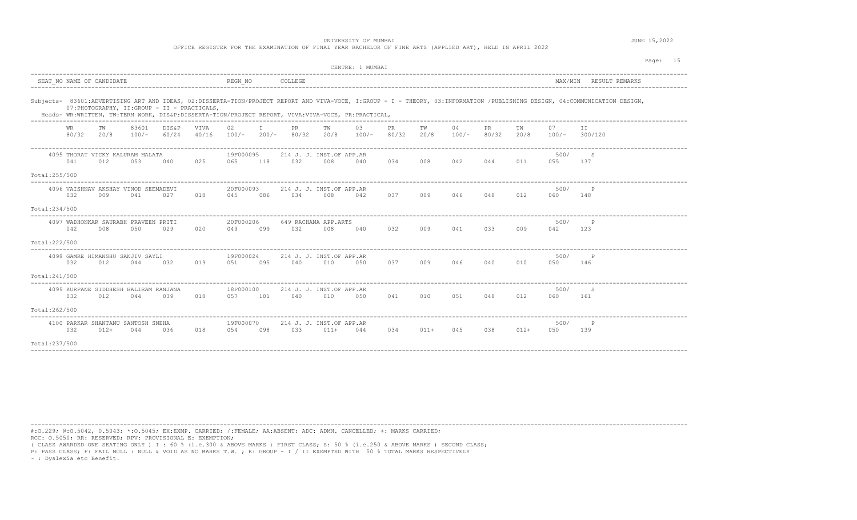OFFICE REGISTER FOR THE EXAMINATION OF FINAL YEAR BACHELOR OF FINE ARTS (APPLIED ART), HELD IN APRIL 2022

|                           |             |            |                                              |                                               |                                  |                      |     |                                     |            | CENTRE: 1 MUMBAI                                                                                   |              |            |             |              |            |             | Page: 15                                                                                                                                                                    |
|---------------------------|-------------|------------|----------------------------------------------|-----------------------------------------------|----------------------------------|----------------------|-----|-------------------------------------|------------|----------------------------------------------------------------------------------------------------|--------------|------------|-------------|--------------|------------|-------------|-----------------------------------------------------------------------------------------------------------------------------------------------------------------------------|
| SEAT NO NAME OF CANDIDATE |             |            |                                              |                                               |                                  | REGN NO              |     | COLLEGE                             |            |                                                                                                    |              |            |             |              |            |             | MAX/MIN RESULT REMARKS                                                                                                                                                      |
|                           |             |            |                                              | 07: PHOTOGRAPHY, II: GROUP - II - PRACTICALS, |                                  |                      |     | -----------------------------       |            | Heads- WR:WRITTEN, TW:TERM WORK, DIS&P:DISSERTA-TION/PROJECT REPORT, VIVA:VIVA-VOCE, PR:PRACTICAL, |              |            |             |              |            |             | Subjects- 83601:ADVERTISING ART AND IDEAS, 02:DISSERTA-TION/PROJECT REPORT AND VIVA-VOCE, I:GROUP - I - THEORY, 03:INFORMATION /PUBLISHING DESIGN, 04:COMMUNICATION DESIGN, |
|                           | WR<br>80/32 | TW<br>20/8 | 83601<br>100/-                               | DIS&P<br>60/24                                | VIVA<br>40/16                    | 02                   | T   | PR.<br>$100/-$ 200/- 80/32          | TW<br>20/8 | 03<br>$100/-$                                                                                      | PR.<br>80/32 | TW<br>20/8 | 04<br>100/- | PR.<br>80/32 | TW<br>20/8 | 07<br>100/- | TT.<br>300/120                                                                                                                                                              |
| Total:255/500             | 041         | 012        | 4095 THORAT VICKY KALURAM MALATA<br>053      | 040                                           | 025                              | 19F000095<br>065     | 118 | 214 J. J. INST.OF APP.AR<br>032     | 008        | ---------------------------------<br>040                                                           | 034          | 008        | 042         | 044          | 011        | 500/<br>055 | -S<br>137                                                                                                                                                                   |
| Total:234/500             | 0.32        | 009        | 4096 VAISHNAV AKSHAY VINOD SEEMADEVI<br>041  | 027                                           | 018                              | 20F000093<br>045     | 086 | 214 J. J. INST.OF APP.AR<br>0.34    | 008        | 042                                                                                                | 0.37         | 009        | 046         | 048          | 012        | 500/<br>060 | 148                                                                                                                                                                         |
| Total:222/500             | 042         | 008        | 4097 WADHONKAR SAURABH PRAVEEN PRITI<br>050  | 029                                           | 020                              | 20F000206<br>049     | 099 | 649 RACHANA APP.ARTS<br>032         | 008        | 040                                                                                                | 032          | 009        | 041         | 033          | 009        | 500/<br>042 | $\mathbb{P}$<br>123                                                                                                                                                         |
| Total:241/500             | 032         | 012        | 4098 GAMRE HIMANSHU SANJIV SAYLI<br>044      | 032                                           | 019                              | 19F000024<br>051 095 |     | 214 J. J. INST.OF APP.AR<br>040 010 |            | 050                                                                                                | 037          | 009        | 046         | 040          | 010        | 500/<br>050 | $\mathsf{P}$<br>146                                                                                                                                                         |
| Total:262/500             | 032         | 012        | 4099 KURPANE SIDDHESH BALIRAM RANJANA<br>044 | 039                                           | 018                              | 18F000100<br>057     | 101 | 214 J. J. INST.OF APP.AR<br>040     | 010        | 050                                                                                                | 041          | 010        | 051         | 048          | 012        | 500/<br>060 | S<br>161                                                                                                                                                                    |
| Total: 237/500            | 032         | $012+$     | 4100 PARKAR SHANTANU SANTOSH SNEHA<br>044    | 0.36                                          | -------------------------<br>018 | 19F000070<br>054     | 098 | 214 J. J. INST.OF APP.AR<br>0.3.3   | $011+$     | 044                                                                                                | 034          | $011+$     | 045         | 038          | $012+$     | 500/<br>050 | $\mathbb{P}$<br>139                                                                                                                                                         |

----------------------------------------------------------------------------------------------------------------------------------------------------------------------------------------

#:O.229; @:O.5042, 0.5043; \*:O.5045; EX:EXMP. CARRIED; /:FEMALE; AA:ABSENT; ADC: ADMN. CANCELLED; +: MARKS CARRIED; RCC: O.5050; RR: RESERVED; RPV: PROVISIONAL E: EXEMPTION;

( CLASS AWARDED ONE SEATING ONLY ) I : 60 % (i.e.300 & ABOVE MARKS ) FIRST CLASS; S: 50 % (i.e.250 & ABOVE MARKS ) SECOND CLASS;

P: PASS CLASS; F: FAIL NULL : NULL & VOID AS NO MARKS T.W. ; E: GROUP - I / II EXEMPTED WITH 50 % TOTAL MARKS RESPECTIVELY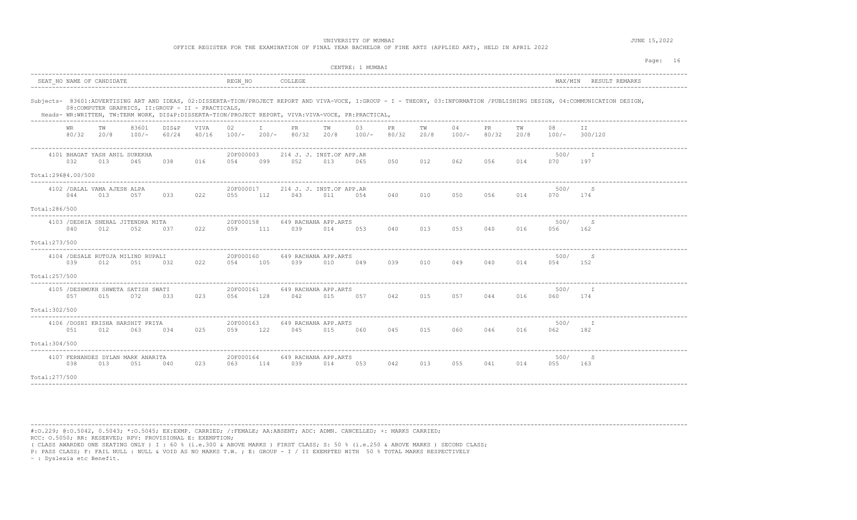OFFICE REGISTER FOR THE EXAMINATION OF FINAL YEAR BACHELOR OF FINE ARTS (APPLIED ART), HELD IN APRIL 2022

|                    |     |                           |                                            |                                                     |               |                  |              |                                                                                                    |            | CENTRE: 1 MUMBAI |             |            |             |              |            |             |                                                                                                                                                                             | Page: 16 |
|--------------------|-----|---------------------------|--------------------------------------------|-----------------------------------------------------|---------------|------------------|--------------|----------------------------------------------------------------------------------------------------|------------|------------------|-------------|------------|-------------|--------------|------------|-------------|-----------------------------------------------------------------------------------------------------------------------------------------------------------------------------|----------|
|                    |     | SEAT NO NAME OF CANDIDATE |                                            |                                                     |               | REGN NO          |              | COLLEGE                                                                                            |            |                  |             |            |             |              |            |             | MAX/MIN RESULT REMARKS                                                                                                                                                      |          |
|                    |     |                           |                                            | 08: COMPUTER GRAPHICS, II: GROUP - II - PRACTICALS, |               |                  |              | Heads- WR:WRITTEN, TW:TERM WORK, DIS&P:DISSERTA-TION/PROJECT REPORT, VIVA:VIVA-VOCE, PR:PRACTICAL, |            |                  |             |            |             |              |            |             | Subjects- 83601:ADVERTISING ART AND IDEAS, 02:DISSERTA-TION/PROJECT REPORT AND VIVA-VOCE, I:GROUP - I - THEORY, 03:INFORMATION /PUBLISHING DESIGN, 04:COMMUNICATION DESIGN, |          |
|                    | WR  | TW<br>80/32 20/8          | 83601<br>$100/-$                           | DIS&P<br>60/24                                      | VIVA<br>40/16 | 02<br>$100/-$    | T<br>$200/-$ | PR.<br>80/32                                                                                       | TW<br>20/8 | 03<br>$100/-$    | PR<br>80/32 | TW<br>20/8 | 04<br>100/- | PR.<br>80/32 | ТW<br>20/8 | 08<br>100/- | ΙI<br>300/120                                                                                                                                                               |          |
| Total:29604.00/500 | 032 | 013                       | 4101 BHAGAT YASH ANIL SUREKHA<br>045       | 038                                                 | 016           | 20F000003<br>054 | 099          | 214 J. J. INST.OF APP.AR<br>052                                                                    | 013        | 065              | 050         | 012        | 062         | 056          | 014        | 500/<br>070 | $\top$<br>197                                                                                                                                                               |          |
| Total:286/500      | 044 | 013                       | 4102 / DALAL VAMA AJESH ALPA<br>057        | 033                                                 | 022           | 20F000017<br>055 | 112          | 214 J. J. INST.OF APP.AR<br>043                                                                    | 011        | 054              | 040         | 010        | 050         | 056          | 014        | 500/<br>070 | S<br>174                                                                                                                                                                    |          |
| Total: 273/500     | 040 | 012                       | 4103 / DEDHIA SNEHAL JITENDRA MITA<br>052  | 037                                                 | 022           | 20F000158<br>059 | 111          | 649 RACHANA APP.ARTS<br>039                                                                        | 014        | 053              | 040         | 013        | 053         | 040          | 016        | 500/<br>056 | S<br>162                                                                                                                                                                    |          |
| Total: 257/500     | 039 | 012                       | 4104 / DESALE RUTUJA MILIND RUPALI<br>051  | 032                                                 | 022           | 20F000160<br>054 | 105          | 649 RACHANA APP.ARTS<br>039                                                                        | 010        | 049              | 039         | 010        | 049         | 040          | 014        | 500/<br>054 | S<br>152                                                                                                                                                                    |          |
| Total: 302/500     | 057 | 015                       | 4105 / DESHMUKH SHWETA SATISH SWATI<br>072 | 033                                                 | 023           | 20F000161<br>056 | 128          | 649 RACHANA APP.ARTS<br>042                                                                        | 015        | 057              | 042         | 015        | 057         | 044          | 016        | 500/<br>060 | I<br>174                                                                                                                                                                    |          |
| Total: 304/500     | 051 | 012                       | 4106 / DOSHI KRISHA HARSHIT PRIYA<br>063   | 034                                                 | 025           | 20F000163<br>059 | 122          | 649 RACHANA APP.ARTS<br>045                                                                        | 015        | 060              | 045         | 015        | 060         | 046          | 016        | 500/<br>062 | I<br>182                                                                                                                                                                    |          |
| Total: 277/500     | 038 | 013                       | 4107 FERNANDES DYLAN MARK ANARITA<br>051   | 040                                                 | 023           | 20F000164<br>063 | 114          | 649 RACHANA APP.ARTS<br>039                                                                        | 014        | 053              | 042         | 013        | 055         | 041          | 014        | 500/<br>055 | S<br>163                                                                                                                                                                    |          |

----------------------------------------------------------------------------------------------------------------------------------------------------------------------------------------

#:O.229; @:O.5042, 0.5043; \*:O.5045; EX:EXMP. CARRIED; /:FEMALE; AA:ABSENT; ADC: ADMN. CANCELLED; +: MARKS CARRIED; RCC: O.5050; RR: RESERVED; RPV: PROVISIONAL E: EXEMPTION;

( CLASS AWARDED ONE SEATING ONLY ) I : 60 % (i.e.300 & ABOVE MARKS ) FIRST CLASS; S: 50 % (i.e.250 & ABOVE MARKS ) SECOND CLASS;

P: PASS CLASS; F: FAIL NULL : NULL & VOID AS NO MARKS T.W. ; E: GROUP - I / II EXEMPTED WITH 50 % TOTAL MARKS RESPECTIVELY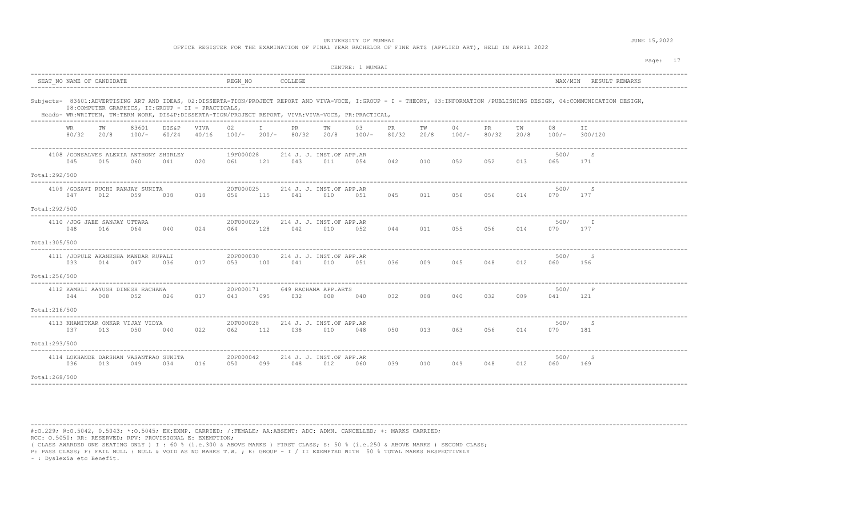OFFICE REGISTER FOR THE EXAMINATION OF FINAL YEAR BACHELOR OF FINE ARTS (APPLIED ART), HELD IN APRIL 2022

|                                 |              |                                             |                  |                                                     |               |                  |              |                                 |            | CENTRE: 1 MUMBAI                                                                                   |              |            |               |              |            |             |                                                                                                                                                                             | Page: 17 |
|---------------------------------|--------------|---------------------------------------------|------------------|-----------------------------------------------------|---------------|------------------|--------------|---------------------------------|------------|----------------------------------------------------------------------------------------------------|--------------|------------|---------------|--------------|------------|-------------|-----------------------------------------------------------------------------------------------------------------------------------------------------------------------------|----------|
|                                 |              | SEAT NO NAME OF CANDIDATE                   |                  |                                                     |               | REGN NO          |              | COLLEGE                         |            |                                                                                                    |              |            |               |              |            |             | MAX/MIN RESULT REMARKS                                                                                                                                                      |          |
|                                 |              |                                             |                  | 08: COMPUTER GRAPHICS, II: GROUP - II - PRACTICALS, |               |                  |              |                                 |            | Heads- WR:WRITTEN, TW:TERM WORK, DIS&P:DISSERTA-TION/PROJECT REPORT, VIVA:VIVA-VOCE, PR:PRACTICAL, |              |            |               |              |            |             | Subjects- 83601:ADVERTISING ART AND IDEAS, 02:DISSERTA-TION/PROJECT REPORT AND VIVA-VOCE, I:GROUP - I - THEORY, 03:INFORMATION /PUBLISHING DESIGN, 04:COMMUNICATION DESIGN, |          |
|                                 | WR.<br>80/32 | TW<br>20/8                                  | 83601<br>$100/-$ | DIS&P<br>60/24                                      | VIVA<br>40/16 | 02<br>$100/-$    | T<br>$200/-$ | PR.<br>80/32                    | TW<br>20/8 | 03<br>$100/-$                                                                                      | PR.<br>80/32 | TW<br>20/8 | 04<br>$100/-$ | PR.<br>80/32 | TW<br>20/8 | 08<br>100/- | TT.<br>300/120                                                                                                                                                              |          |
| Total:292/500                   | 045          | 015                                         | 060              | 4108 / GONSALVES ALEXIA ANTHONY SHIRLEY<br>041      | 020           | 19F000028<br>061 | 121          | 214 J. J. INST.OF APP.AR<br>043 | 011        | 054                                                                                                | 042          | 010        | 052           | 052          | 013        | 500/<br>065 | -S<br>171                                                                                                                                                                   |          |
| Total:292/500                   | 047          | 4109 / GOSAVI RUCHI RANJAY SUNITA<br>012    | 059              | 038                                                 | 018           | 20F000025<br>056 | 115          | 214 J. J. INST.OF APP.AR<br>041 | 010        | 051                                                                                                | 045          | 011        | 056           | 056          | 014        | 500/<br>070 | S<br>177                                                                                                                                                                    |          |
|                                 | 048          | 4110 / JOG JAEE SANJAY UTTARA<br>016        | 064              | 040                                                 | 024           | 20F000029<br>064 | 128          | 214 J. J. INST.OF APP.AR<br>042 | 010        | 052                                                                                                | 044          | 011        | 055           | 056          | 014        | 500/<br>070 | $\mathbb{I}$<br>177                                                                                                                                                         |          |
| Total: 305/500<br>Total:256/500 | 033          | 4111 / JOPULE AKANKSHA MANDAR RUPALI<br>014 | 047              | 036                                                 | 017           | 20F000030<br>053 | 100          | 214 J. J. INST.OF APP.AR<br>041 | 010        | 051                                                                                                | 036          | 009        | 045           | 048          | 012        | 500/<br>060 | S<br>156                                                                                                                                                                    |          |
| Total: 216/500                  | 044          | 4112 KAMBLI AAYUSH DINESH RACHANA<br>008    | 052              | 026                                                 | 017           | 20F000171<br>043 | 095          | 649 RACHANA APP.ARTS<br>032     | 008        | 040                                                                                                | 032          | 008        | 040           | 032          | 009        | 500/<br>041 | $\mathbb{P}$<br>121                                                                                                                                                         |          |
| Total:293/500                   | 037          | 4113 KHAMITKAR OMKAR VIJAY VIDYA<br>013     | 050              | 040                                                 | 022           | 20F000028<br>062 | 112          | 214 J. J. INST.OF APP.AR<br>038 | 010        | 048                                                                                                | 050          | 013        | 063           | 056          | 014        | 500/<br>070 | S<br>181                                                                                                                                                                    |          |
| Total:268/500                   | 036          | 013                                         | 049              | 4114 LOKHANDE DARSHAN VASANTRAO SUNITA<br>034       | 016           | 20F000042<br>050 | 099          | 214 J. J. INST.OF APP.AR<br>048 | 012        | 060                                                                                                | 039          | 010        | 049           | 048          | 012        | 500/<br>060 | S<br>169                                                                                                                                                                    |          |

----------------------------------------------------------------------------------------------------------------------------------------------------------------------------------------

#:O.229; @:O.5042, 0.5043; \*:O.5045; EX:EXMP. CARRIED; /:FEMALE; AA:ABSENT; ADC: ADMN. CANCELLED; +: MARKS CARRIED; RCC: O.5050; RR: RESERVED; RPV: PROVISIONAL E: EXEMPTION;

( CLASS AWARDED ONE SEATING ONLY ) I : 60 % (i.e.300 & ABOVE MARKS ) FIRST CLASS; S: 50 % (i.e.250 & ABOVE MARKS ) SECOND CLASS;

P: PASS CLASS; F: FAIL NULL : NULL & VOID AS NO MARKS T.W. ; E: GROUP - I / II EXEMPTED WITH 50 % TOTAL MARKS RESPECTIVELY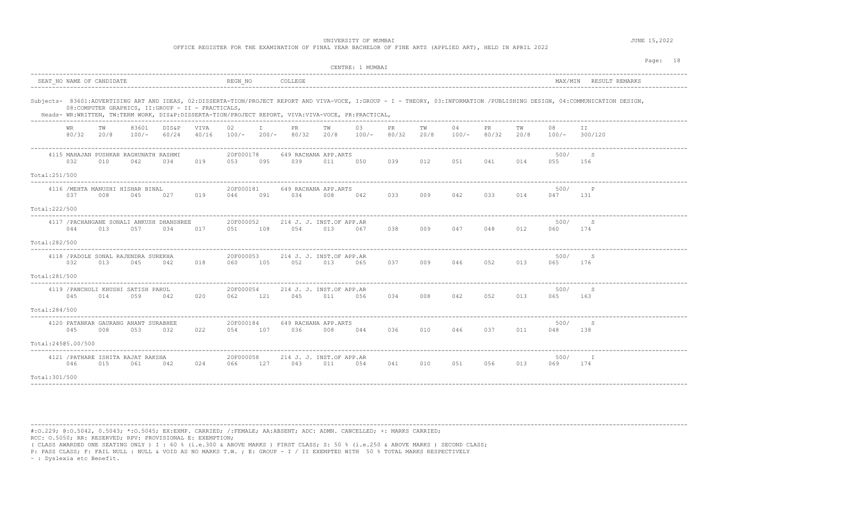OFFICE REGISTER FOR THE EXAMINATION OF FINAL YEAR BACHELOR OF FINE ARTS (APPLIED ART), HELD IN APRIL 2022

|                                      |                            |                           |                                              |                                                     |                      |                     |     |                                 |            | CENTRE: 1 MUMBAI                                                                                   |             |            |               |              |            |             |                                                                                                                                                                             | Page: 18 |
|--------------------------------------|----------------------------|---------------------------|----------------------------------------------|-----------------------------------------------------|----------------------|---------------------|-----|---------------------------------|------------|----------------------------------------------------------------------------------------------------|-------------|------------|---------------|--------------|------------|-------------|-----------------------------------------------------------------------------------------------------------------------------------------------------------------------------|----------|
|                                      |                            | SEAT NO NAME OF CANDIDATE |                                              |                                                     |                      | REGN NO             |     | COLLEGE                         |            |                                                                                                    |             |            |               |              |            |             | MAX/MIN RESULT REMARKS                                                                                                                                                      |          |
|                                      |                            |                           |                                              | 08: COMPUTER GRAPHICS, II: GROUP - II - PRACTICALS, |                      |                     |     |                                 |            | Heads- WR:WRITTEN, TW:TERM WORK, DIS&P:DISSERTA-TION/PROJECT REPORT, VIVA:VIVA-VOCE, PR:PRACTICAL, |             |            |               |              |            |             | Subjects- 83601:ADVERTISING ART AND IDEAS, 02:DISSERTA-TION/PROJECT REPORT AND VIVA-VOCE, I:GROUP - I - THEORY, 03:INFORMATION /PUBLISHING DESIGN, 04:COMMUNICATION DESIGN, |          |
|                                      | WR.<br>80/32               | TW<br>20/8                | 83601<br>$100/-$                             | DIS&P<br>60/24                                      | <b>VIVA</b><br>40/16 | 02<br>$100/- 200/-$ |     | <b>PR</b><br>80/32              | TW<br>20/8 | 03<br>$100/-$                                                                                      | PR<br>80/32 | TW<br>20/8 | 04<br>$100/-$ | PR.<br>80/32 | TW<br>20/8 | 08          | ΙI<br>$100/-$ 300/120                                                                                                                                                       |          |
|                                      | 032                        | 010                       | 4115 MAHAJAN PUSHKAR RAGHUNATH RASHMI<br>042 | 034                                                 | 019                  | 20F000178<br>053    | 095 | 649 RACHANA APP.ARTS<br>039     | 011        | 050                                                                                                | 039         | 012        | 051           | 041          | 014        | 500/<br>055 | S<br>156                                                                                                                                                                    |          |
| Total:251/500<br>Total: 222/500      | 037                        | 008                       | 4116 / MEHTA MANUSHI HISHAR BINAL<br>045     | 027                                                 | 019                  | 20F000181<br>046    | 091 | 649 RACHANA APP.ARTS<br>034     | 008        | 042                                                                                                | 033         | 009        | 042           | 033          | 014        | 500/<br>047 | $\mathsf{P}$<br>131                                                                                                                                                         |          |
| Total: 282/500                       | 044                        | 013                       | 057                                          | 4117 / PACHANGANE SONALI ANKUSH DHANSHREE<br>034    | 017                  | 20F000052<br>051    | 108 | 214 J. J. INST.OF APP.AR<br>054 | 013        | 067                                                                                                | 038         | 009        | 047           | 048          | 012        | 500/<br>060 | S<br>174                                                                                                                                                                    |          |
| Total:281/500                        | 032                        | 013                       | 4118 / PADOLE SONAL RAJENDRA SUREKHA<br>045  | 042                                                 | 018                  | 20F000053<br>060    | 105 | 214 J. J. INST.OF APP.AR<br>052 | 013        | 065                                                                                                | 037         | 009        | 046           | 052          | 013        | 500/<br>065 | S<br>176                                                                                                                                                                    |          |
| $- - - - - - - - -$<br>Total:284/500 | 045                        | 014                       | 4119 / PANCHOLI KHUSHI SATISH PARUL<br>059   | 042                                                 | 020                  | 20F000054<br>062    | 121 | 214 J. J. INST.OF APP.AR<br>045 | 011        | 056                                                                                                | 034         | 008        | 042           | 052          | 013        | 500/<br>065 | -S<br>163                                                                                                                                                                   |          |
|                                      | 045<br>Total: 24505.00/500 | 008                       | 4120 PATANKAR GAURANG ANANT SURABHEE<br>053  | 032                                                 | 022                  | 20F000184<br>054    | 107 | 649 RACHANA APP.ARTS<br>036     | 008        | 044                                                                                                | 036         | 010        | 046           | 037          | 011        | 500/<br>048 | S<br>138                                                                                                                                                                    |          |
| Total: 301/500                       | 046                        | 015                       | 4121 / PATHARE ISHITA RAJAT RAKSHA<br>061    | 042                                                 | 024                  | 20F000058<br>066    | 127 | 214 J. J. INST.OF APP.AR<br>043 | 011        | 054                                                                                                | 041         | 010        | 051           | 056          | 013        | 500/<br>069 | - I<br>174                                                                                                                                                                  |          |

----------------------------------------------------------------------------------------------------------------------------------------------------------------------------------------

#:O.229; @:O.5042, 0.5043; \*:O.5045; EX:EXMP. CARRIED; /:FEMALE; AA:ABSENT; ADC: ADMN. CANCELLED; +: MARKS CARRIED; RCC: O.5050; RR: RESERVED; RPV: PROVISIONAL E: EXEMPTION;

( CLASS AWARDED ONE SEATING ONLY ) I : 60 % (i.e.300 & ABOVE MARKS ) FIRST CLASS; S: 50 % (i.e.250 & ABOVE MARKS ) SECOND CLASS;

P: PASS CLASS; F: FAIL NULL : NULL & VOID AS NO MARKS T.W. ; E: GROUP - I / II EXEMPTED WITH 50 % TOTAL MARKS RESPECTIVELY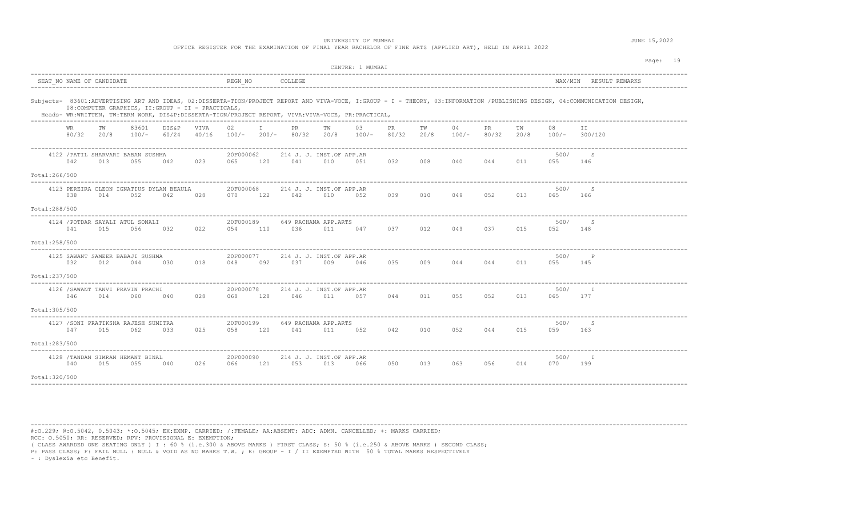OFFICE REGISTER FOR THE EXAMINATION OF FINAL YEAR BACHELOR OF FINE ARTS (APPLIED ART), HELD IN APRIL 2022

|                                                                                                                                                           | CENTRE: 1 MUMBAI                                                                                                                                                            | Page: 19                                         |
|-----------------------------------------------------------------------------------------------------------------------------------------------------------|-----------------------------------------------------------------------------------------------------------------------------------------------------------------------------|--------------------------------------------------|
| SEAT NO NAME OF CANDIDATE                                                                                                                                 | REGN NO<br>COLLEGE                                                                                                                                                          | MAX/MIN RESULT REMARKS                           |
| 08: COMPUTER GRAPHICS, II: GROUP - II - PRACTICALS,<br>Heads- WR:WRITTEN, TW:TERM WORK, DIS&P:DISSERTA-TION/PROJECT REPORT, VIVA:VIVA-VOCE, PR:PRACTICAL, | Subjects- 83601:ADVERTISING ART AND IDEAS, 02:DISSERTA-TION/PROJECT REPORT AND VIVA-VOCE, I:GROUP - I - THEORY, 03:INFORMATION /PUBLISHING DESIGN, 04:COMMUNICATION DESIGN, |                                                  |
| 83601<br>DIS&P<br>VIVA<br>WR<br>TW<br>80/32 20/8<br>$100/-$ 60/24<br>40/16                                                                                | 02<br>I.<br>PR<br>TW<br>03<br>PR<br>TW<br>04<br>PR<br>$100/-$ 200/- 80/32 20/8 100/- 80/32<br>20/8<br>$100/-$                                                               | TW<br>08<br>T T<br>80/32 20/8<br>$100/-$ 300/120 |
| 4122 / PATIL SHARVARI BABAN SUSHMA<br>042<br>023<br>013<br>055<br>042                                                                                     | 20F000062<br>214 J. J. INST.OF APP.AR<br>041<br>032<br>008 040<br>044<br>065 120<br>010<br>051                                                                              | 500/<br>S<br>011<br>055<br>146                   |
| Total:266/500<br>4123 PEREIRA CLEON IGNATIUS DYLAN BEAULA<br>038<br>014<br>052<br>042<br>028<br>Total:288/500                                             | 20F000068<br>214 J. J. INST.OF APP.AR<br>122<br>042<br>039<br>010<br>049<br>052<br>070<br>010<br>052                                                                        | 500/<br>S<br>013<br>065<br>166                   |
| 4124 / POTDAR SAYALI ATUL SONALI<br>041<br>015<br>056<br>032<br>022<br>Total:258/500                                                                      | 20F000189<br>649 RACHANA APP.ARTS<br>036<br>037 012<br>049<br>054<br>110<br>011<br>047                                                                                      | 500/<br>S<br>037 015<br>052<br>148               |
| 4125 SAWANT SAMEER BABAJI SUSHMA<br>032<br>012<br>044<br>030<br>018<br>Total:237/500                                                                      | ______________<br>20F000077<br>214 J. J. INST.OF APP.AR<br>035 009 044<br>092<br>037<br>009<br>046<br>048                                                                   | 500/<br>044 011<br>055<br>145                    |
| 4126 / SAWANT TANVI PRAVIN PRACHI<br>046<br>014<br>060<br>040<br>028<br>Total: 305/500                                                                    | 20F000078<br>214 J. J. INST.OF APP.AR<br>128<br>046<br>011<br>044<br>011<br>055<br>052<br>068<br>057                                                                        | 500/<br>$\mathbb{I}$<br>013<br>065<br>177        |
| 4127 / SONI PRATIKSHA RAJESH SUMITRA<br>047<br>025<br>015<br>062<br>033<br>Total:283/500                                                                  | 20F000199<br>649 RACHANA APP.ARTS<br>041<br>011<br>042 010 052<br>044<br>058<br>120<br>052                                                                                  | 500/<br>S<br>015<br>059<br>163                   |
| 4128 /TANDAN SIMRAN HEMANT BINAL<br>040<br>015<br>055<br>040<br>026<br>Total: 320/500                                                                     | 20F000090<br>214 J. J. INST.OF APP.AR<br>053 013<br>013<br>121<br>066<br>050<br>063<br>066                                                                                  | 500/<br>T<br>056 014<br>070<br>199               |

----------------------------------------------------------------------------------------------------------------------------------------------------------------------------------------

#:O.229; @:O.5042, 0.5043; \*:O.5045; EX:EXMP. CARRIED; /:FEMALE; AA:ABSENT; ADC: ADMN. CANCELLED; +: MARKS CARRIED; RCC: O.5050; RR: RESERVED; RPV: PROVISIONAL E: EXEMPTION;

( CLASS AWARDED ONE SEATING ONLY ) I : 60 % (i.e.300 & ABOVE MARKS ) FIRST CLASS; S: 50 % (i.e.250 & ABOVE MARKS ) SECOND CLASS;

P: PASS CLASS; F: FAIL NULL : NULL & VOID AS NO MARKS T.W. ; E: GROUP - I / II EXEMPTED WITH 50 % TOTAL MARKS RESPECTIVELY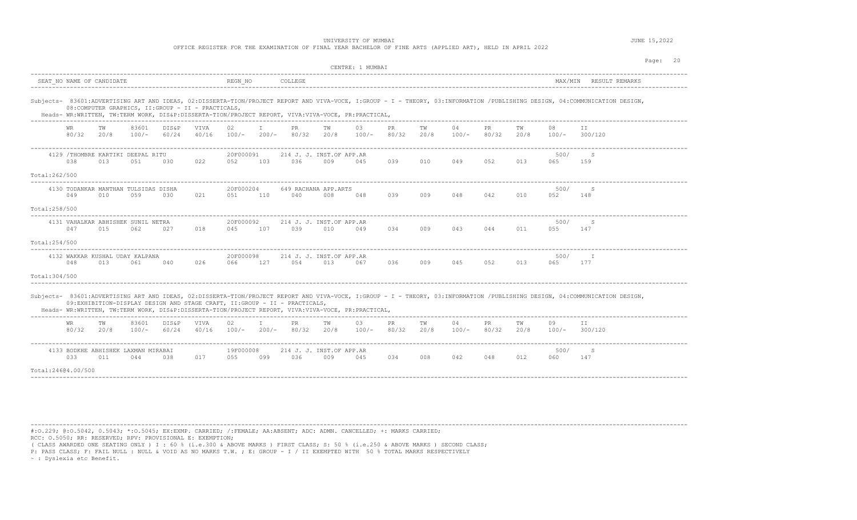OFFICE REGISTER FOR THE EXAMINATION OF FINAL YEAR BACHELOR OF FINE ARTS (APPLIED ART), HELD IN APRIL 2022

|                |                           |                  |                                             |                                                                           |               |                     |              |                                 |                  | CENTRE: 1 MUMBAI                                                                                   |              |            |               |              |            |             |                                                                                                                                                                             | Page: 20 |
|----------------|---------------------------|------------------|---------------------------------------------|---------------------------------------------------------------------------|---------------|---------------------|--------------|---------------------------------|------------------|----------------------------------------------------------------------------------------------------|--------------|------------|---------------|--------------|------------|-------------|-----------------------------------------------------------------------------------------------------------------------------------------------------------------------------|----------|
|                | SEAT NO NAME OF CANDIDATE |                  |                                             |                                                                           |               | REGN NO             |              | COLLEGE                         |                  |                                                                                                    |              |            |               |              |            |             | MAX/MIN RESULT REMARKS                                                                                                                                                      |          |
|                |                           |                  |                                             | 08: COMPUTER GRAPHICS, II: GROUP - II - PRACTICALS,                       |               |                     |              |                                 |                  | Heads- WR:WRITTEN, TW:TERM WORK, DIS&P:DISSERTA-TION/PROJECT REPORT, VIVA:VIVA-VOCE, PR:PRACTICAL, |              |            |               |              |            |             | Subjects- 83601:ADVERTISING ART AND IDEAS, 02:DISSERTA-TION/PROJECT REPORT AND VIVA-VOCE, I:GROUP - I - THEORY, 03:INFORMATION /PUBLISHING DESIGN, 04:COMMUNICATION DESIGN, |          |
|                | WR.                       | TW<br>80/32 20/8 | 83601<br>$100/-$                            | DIS&P<br>60/24                                                            | VIVA<br>40/16 | 02<br>$100/- 200/-$ | $\top$       | PR.                             | TW<br>80/32 20/8 | 03<br>$100/-$                                                                                      | PR<br>80/32  | TW<br>20/8 | 04<br>100/-   | PR.<br>80/32 | TW<br>20/8 | 08          | T T<br>$100/-$ 300/120                                                                                                                                                      |          |
| Total:262/500  | 038                       | 013              | 4129 /THOMBRE KARTIKI DEEPAL RITU<br>051    | 030                                                                       | 022           | 20F000091<br>052    | 103          | 214 J. J. INST.OF APP.AR<br>036 | 009              | 045                                                                                                | 039          | 010        | 049           | 052          | 013        | 500/<br>065 | S<br>159                                                                                                                                                                    |          |
| Total:258/500  | 049                       | 010              | 4130 TODANKAR MANTHAN TULSIDAS DISHA<br>059 | 030                                                                       | 021           | 20F000204<br>051    | 110          | 649 RACHANA APP.ARTS<br>040     | 008              | 048                                                                                                | 039          | 009        | 048           | 042          | 010        | 500/<br>052 | S<br>148                                                                                                                                                                    |          |
| Total: 254/500 | 047                       | 015              | 4131 VAHALKAR ABHISHEK SUNIL NETRA<br>062   | 027                                                                       | 018           | 20F000092<br>045    | 107          | 214 J. J. INST.OF APP.AR<br>039 | 010              | 049                                                                                                | 034          | 009        | 043           | 044          | 011        | 500/<br>055 | S<br>147                                                                                                                                                                    |          |
| Total: 304/500 | 048                       | 013              | 4132 WAKKAR KUSHAL UDAY KALPANA<br>061      | 040                                                                       | 026           | 20F000098<br>066    | 127          | 214 J. J. INST.OF APP.AR<br>054 | 013              | 067                                                                                                | 036          | 009        | 045           | 052          | 013        | 500/<br>065 | T<br>177                                                                                                                                                                    |          |
|                |                           |                  |                                             | 09:EXHIBITION-DISPLAY DESIGN AND STAGE CRAFT, II:GROUP - II - PRACTICALS, |               |                     |              |                                 |                  | Heads- WR:WRITTEN, TW:TERM WORK, DIS&P:DISSERTA-TION/PROJECT REPORT, VIVA:VIVA-VOCE, PR:PRACTICAL, |              |            |               |              |            |             | Subjects- 83601:ADVERTISING ART AND IDEAS, 02:DISSERTA-TION/PROJECT REPORT AND VIVA-VOCE, I:GROUP - I - THEORY, 03:INFORMATION /PUBLISHING DESIGN, 04:COMMUNICATION DESIGN, |          |
|                | WR.<br>80/32              | TW<br>20/8       | 83601<br>$100/-$                            | DIS&P<br>60/24                                                            | VIVA<br>40/16 | 02<br>100/- 200/-   | $\mathbf{I}$ | PR.<br>80/32                    | TW<br>20/8       | 03<br>$100/-$                                                                                      | PR.<br>80/32 | TW<br>20/8 | 04<br>$100/-$ | PR.<br>80/32 | TW<br>20/8 | 09          | II.<br>$100/-$ 300/120                                                                                                                                                      |          |
|                | 033<br>Total:24604.00/500 | 011              | 4133 BODKHE ABHISHEK LAXMAN MIRABAI<br>044  | 038                                                                       | 017           | 19F000008<br>055    | 099          | 214 J. J. INST.OF APP.AR<br>036 | 009              | 045                                                                                                | 034          | 008        | 042           | 048          | 012        | 500/<br>060 | S<br>147                                                                                                                                                                    |          |
|                |                           |                  |                                             |                                                                           |               |                     |              |                                 |                  |                                                                                                    |              |            |               |              |            |             |                                                                                                                                                                             |          |

----------------------------------------------------------------------------------------------------------------------------------------------------------------------------------------

#:O.229; @:O.5042, 0.5043; \*:O.5045; EX:EXMP. CARRIED; /:FEMALE; AA:ABSENT; ADC: ADMN. CANCELLED; +: MARKS CARRIED; RCC: O.5050; RR: RESERVED; RPV: PROVISIONAL E: EXEMPTION;

( CLASS AWARDED ONE SEATING ONLY ) I : 60 % (i.e.300 & ABOVE MARKS ) FIRST CLASS; S: 50 % (i.e.250 & ABOVE MARKS ) SECOND CLASS;

P: PASS CLASS; F: FAIL NULL : NULL & VOID AS NO MARKS T.W. ; E: GROUP - I / II EXEMPTED WITH 50 % TOTAL MARKS RESPECTIVELY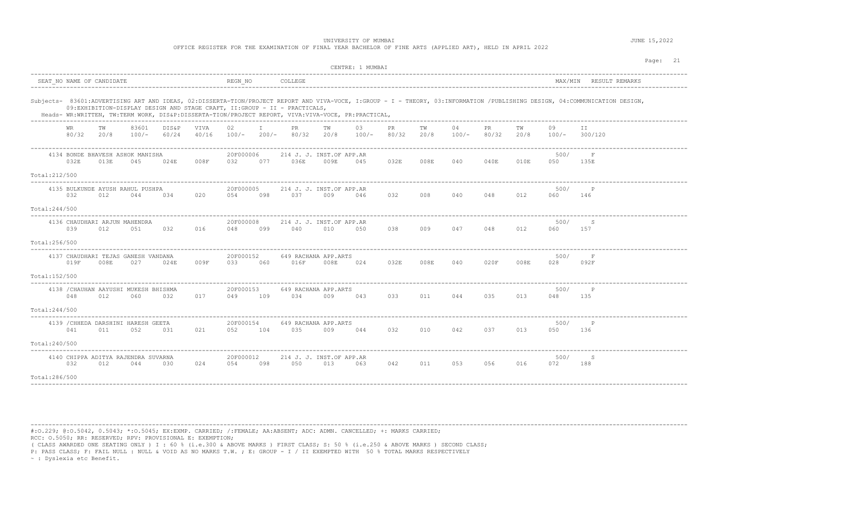|                                                                                                                                                                                                                          |                                                                                                                                                                                                                                                                                                                                                                                                                                                                                                                                             |                                             |     |                                              |      |                  |     | OFFICE REGISTER FOR THE EXAMINATION OF FINAL YEAR BACHELOR OF FINE ARTS (APPLIED ART), HELD IN APRIL 2022                                                                       |      | UNIVERSITY OF MUMBAI |      |      |         |      |      |             |                                                                                                                                                                             | JUNE 15,2022 |          |
|--------------------------------------------------------------------------------------------------------------------------------------------------------------------------------------------------------------------------|---------------------------------------------------------------------------------------------------------------------------------------------------------------------------------------------------------------------------------------------------------------------------------------------------------------------------------------------------------------------------------------------------------------------------------------------------------------------------------------------------------------------------------------------|---------------------------------------------|-----|----------------------------------------------|------|------------------|-----|---------------------------------------------------------------------------------------------------------------------------------------------------------------------------------|------|----------------------|------|------|---------|------|------|-------------|-----------------------------------------------------------------------------------------------------------------------------------------------------------------------------|--------------|----------|
|                                                                                                                                                                                                                          |                                                                                                                                                                                                                                                                                                                                                                                                                                                                                                                                             |                                             |     |                                              |      |                  |     |                                                                                                                                                                                 |      | CENTRE: 1 MUMBAI     |      |      |         |      |      |             |                                                                                                                                                                             |              | Page: 21 |
|                                                                                                                                                                                                                          |                                                                                                                                                                                                                                                                                                                                                                                                                                                                                                                                             | SEAT NO NAME OF CANDIDATE                   |     |                                              |      | REGN NO          |     | COLLEGE                                                                                                                                                                         |      |                      |      |      |         |      |      |             | MAX/MIN RESULT REMARKS                                                                                                                                                      |              |          |
|                                                                                                                                                                                                                          |                                                                                                                                                                                                                                                                                                                                                                                                                                                                                                                                             |                                             |     |                                              |      |                  |     | 09:EXHIBITION-DISPLAY DESIGN AND STAGE CRAFT, II:GROUP - II - PRACTICALS,<br>Heads- WR:WRITTEN, TW:TERM WORK, DIS&P:DISSERTA-TION/PROJECT REPORT, VIVA:VIVA-VOCE, PR:PRACTICAL, |      |                      |      |      |         |      |      |             | Subjects- 83601:ADVERTISING ART AND IDEAS, 02:DISSERTA-TION/PROJECT REPORT AND VIVA-VOCE, I:GROUP - I - THEORY, 03:INFORMATION /PUBLISHING DESIGN, 04:COMMUNICATION DESIGN, |              |          |
|                                                                                                                                                                                                                          | 83601<br>VIVA<br>02<br>PR<br>03<br>PR.<br>TW<br>DIS&P<br>$\mathbb{I}$<br>TW<br>TW<br>04<br><b>PR</b><br>09<br>TW<br>TT.<br>WR.<br>80/32<br>80/32<br>80/32<br>20/8<br>100/-<br>60/24<br>40/16<br>100/- 200/- 80/32 20/8<br>$100/-$<br>20/8<br>100/-<br>20/8<br>$100/-$ 300/120<br>------------------------------<br>20F000006<br>500/<br>4134 BONDE BHAVESH ASHOK MANISHA<br>214 J. J. INST.OF APP.AR<br>F<br>032E<br>008F<br>036E<br>032E<br>008E<br>040<br>040E<br>013E<br>045<br>024E<br>032<br>077<br>009E<br>045<br>010E<br>050<br>135E |                                             |     |                                              |      |                  |     |                                                                                                                                                                                 |      |                      |      |      |         |      |      |             |                                                                                                                                                                             |              |          |
|                                                                                                                                                                                                                          | 20F000005<br>500/<br>$\mathsf{P}$                                                                                                                                                                                                                                                                                                                                                                                                                                                                                                           |                                             |     |                                              |      |                  |     |                                                                                                                                                                                 |      |                      |      |      |         |      |      |             |                                                                                                                                                                             |              |          |
| Total: 212/500<br>4135 BULKUNDE AYUSH RAHUL PUSHPA<br>214 J. J. INST.OF APP.AR<br>032<br>012<br>020<br>054<br>098<br>0.37<br>046<br>032<br>008<br>040<br>048<br>012<br>060<br>044<br>034<br>009<br>146<br>Total: 244/500 |                                                                                                                                                                                                                                                                                                                                                                                                                                                                                                                                             |                                             |     |                                              |      |                  |     |                                                                                                                                                                                 |      |                      |      |      |         |      |      |             |                                                                                                                                                                             |              |          |
|                                                                                                                                                                                                                          |                                                                                                                                                                                                                                                                                                                                                                                                                                                                                                                                             |                                             |     |                                              |      |                  |     |                                                                                                                                                                                 |      |                      |      |      |         |      |      |             |                                                                                                                                                                             |              |          |
|                                                                                                                                                                                                                          | 039                                                                                                                                                                                                                                                                                                                                                                                                                                                                                                                                         | 4136 CHAUDHARI ARJUN MAHENDRA<br>012        | 051 | 032                                          | 016  | 20F000008<br>048 | 099 | 214 J. J. INST.OF APP.AR<br>040                                                                                                                                                 | 010  | 050                  | 038  |      | 009 047 | 048  | 012  | 500/<br>060 | -S<br>157                                                                                                                                                                   |              |          |
| Total:256/500                                                                                                                                                                                                            |                                                                                                                                                                                                                                                                                                                                                                                                                                                                                                                                             |                                             |     |                                              |      |                  |     |                                                                                                                                                                                 |      |                      |      |      |         |      |      |             |                                                                                                                                                                             |              |          |
|                                                                                                                                                                                                                          | 019F                                                                                                                                                                                                                                                                                                                                                                                                                                                                                                                                        | 4137 CHAUDHARI TEJAS GANESH VANDANA<br>008E | 027 | 024E                                         | 009F | 20F000152<br>033 | 060 | 649 RACHANA APP.ARTS<br>016F                                                                                                                                                    | 008E | 024                  | 032E | 008E | 040     | 020F | 008E | 500/<br>028 | $\mathbf F$<br>092F                                                                                                                                                         |              |          |
| Total:152/500                                                                                                                                                                                                            |                                                                                                                                                                                                                                                                                                                                                                                                                                                                                                                                             |                                             |     |                                              |      |                  |     |                                                                                                                                                                                 |      |                      |      |      |         |      |      |             |                                                                                                                                                                             |              |          |
|                                                                                                                                                                                                                          | 048                                                                                                                                                                                                                                                                                                                                                                                                                                                                                                                                         | 012                                         | 060 | 4138 / CHAUHAN AAYUSHI MUKESH BHISHMA<br>032 | 017  | 20F000153<br>049 | 109 | 649 RACHANA APP.ARTS<br>034                                                                                                                                                     | 009  | 043                  | 033  | 011  | 044     | 035  | 013  | 500/<br>048 | $\mathbb P$<br>135                                                                                                                                                          |              |          |
| Total: 244/500<br>$- - - - - - - - -$                                                                                                                                                                                    |                                                                                                                                                                                                                                                                                                                                                                                                                                                                                                                                             |                                             |     |                                              |      |                  |     |                                                                                                                                                                                 |      |                      |      |      |         |      |      |             |                                                                                                                                                                             |              |          |
|                                                                                                                                                                                                                          | 041                                                                                                                                                                                                                                                                                                                                                                                                                                                                                                                                         | 4139 / CHHEDA DARSHINI HARESH GEETA<br>011  | 052 | 031                                          | 021  | 20F000154<br>052 | 104 | 649 RACHANA APP.ARTS<br>035                                                                                                                                                     | 009  | 044                  | 032  | 010  | 042     | 037  | 013  | 500/<br>050 | $\mathbb{P}$<br>136                                                                                                                                                         |              |          |
| Total:240/500                                                                                                                                                                                                            |                                                                                                                                                                                                                                                                                                                                                                                                                                                                                                                                             |                                             |     |                                              |      |                  |     |                                                                                                                                                                                 |      |                      |      |      |         |      |      |             |                                                                                                                                                                             |              |          |
|                                                                                                                                                                                                                          | 032                                                                                                                                                                                                                                                                                                                                                                                                                                                                                                                                         | 4140 CHIPPA ADITYA RAJENDRA SUVARNA<br>012  | 044 | 030                                          | 024  | 20F000012<br>054 | 098 | 214 J. J. INST.OF APP.AR<br>050                                                                                                                                                 | 013  | 063                  | 042  | 011  | 053     | 056  | 016  | 500/<br>072 | S<br>188                                                                                                                                                                    |              |          |
| Total:286/500                                                                                                                                                                                                            |                                                                                                                                                                                                                                                                                                                                                                                                                                                                                                                                             |                                             |     |                                              |      |                  |     |                                                                                                                                                                                 |      |                      |      |      |         |      |      |             |                                                                                                                                                                             |              |          |

#:O.229; @:O.5042, 0.5043; \*:O.5045; EX:EXMP. CARRIED; /:FEMALE; AA:ABSENT; ADC: ADMN. CANCELLED; +: MARKS CARRIED; RCC: O.5050; RR: RESERVED; RPV: PROVISIONAL E: EXEMPTION;

( CLASS AWARDED ONE SEATING ONLY ) I : 60 % (i.e.300 & ABOVE MARKS ) FIRST CLASS; S: 50 % (i.e.250 & ABOVE MARKS ) SECOND CLASS;

P: PASS CLASS; F: FAIL NULL : NULL & VOID AS NO MARKS T.W. ; E: GROUP - I / II EXEMPTED WITH 50 % TOTAL MARKS RESPECTIVELY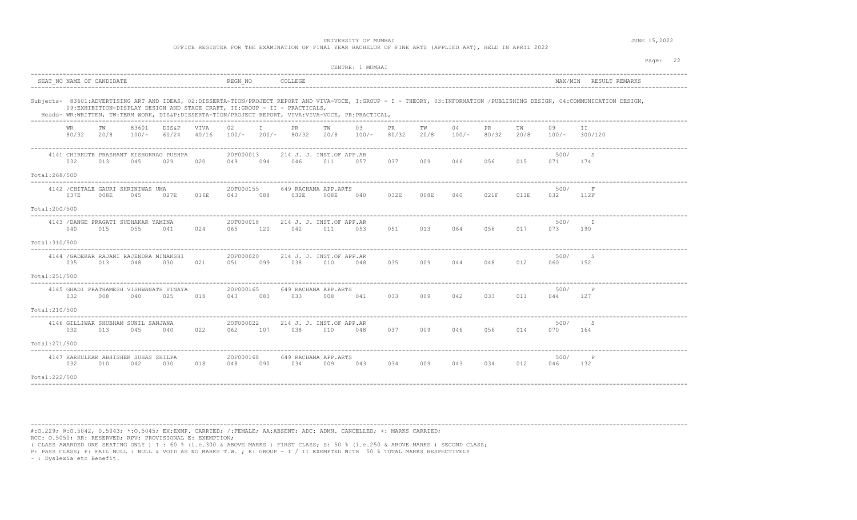|                                                                             |                                                                                                                                                                                                                                                                                                                                                                                                                                                                                                            |      |                                             |                                                |      |                  |     | OFFICE REGISTER FOR THE EXAMINATION OF FINAL YEAR BACHELOR OF FINE ARTS (APPLIED ART), HELD IN APRIL 2022                                                                       |                                 | UNIVERSITY OF MUMBAI |             |      |         |      |      |             |                                                                                                                                                                             | JUNE 15,2022 |          |
|-----------------------------------------------------------------------------|------------------------------------------------------------------------------------------------------------------------------------------------------------------------------------------------------------------------------------------------------------------------------------------------------------------------------------------------------------------------------------------------------------------------------------------------------------------------------------------------------------|------|---------------------------------------------|------------------------------------------------|------|------------------|-----|---------------------------------------------------------------------------------------------------------------------------------------------------------------------------------|---------------------------------|----------------------|-------------|------|---------|------|------|-------------|-----------------------------------------------------------------------------------------------------------------------------------------------------------------------------|--------------|----------|
|                                                                             |                                                                                                                                                                                                                                                                                                                                                                                                                                                                                                            |      |                                             |                                                |      |                  |     |                                                                                                                                                                                 |                                 | CENTRE: 1 MUMBAI     |             |      |         |      |      |             |                                                                                                                                                                             |              | Page: 22 |
|                                                                             | SEAT NO NAME OF CANDIDATE                                                                                                                                                                                                                                                                                                                                                                                                                                                                                  |      |                                             |                                                |      | REGN NO          |     | COLLEGE                                                                                                                                                                         |                                 |                      |             |      |         |      |      |             | MAX/MIN RESULT REMARKS                                                                                                                                                      |              |          |
|                                                                             |                                                                                                                                                                                                                                                                                                                                                                                                                                                                                                            |      |                                             |                                                |      |                  |     | 09:EXHIBITION-DISPLAY DESIGN AND STAGE CRAFT, II:GROUP - II - PRACTICALS,<br>Heads- WR:WRITTEN, TW:TERM WORK, DIS&P:DISSERTA-TION/PROJECT REPORT, VIVA:VIVA-VOCE, PR:PRACTICAL, |                                 |                      |             |      |         |      |      |             | Subjects- 83601:ADVERTISING ART AND IDEAS, 02:DISSERTA-TION/PROJECT REPORT AND VIVA-VOCE, I:GROUP - I - THEORY, 03:INFORMATION /PUBLISHING DESIGN, 04:COMMUNICATION DESIGN, |              |          |
|                                                                             | 03<br>TW<br>83601<br>DIS&P<br>VIVA<br>02<br>$\mathbb{I}$<br>PR<br>TW<br>PR<br>TW<br>04<br><b>PR</b><br>TW<br>09<br>TT<br>WR.<br>80/32<br>60/24<br>80/32<br>20/8<br>$100/-$<br>40/16<br>$100/-$<br>$200/-$<br>80/32<br>20/8<br>$100/-$<br>20/8<br>100/-<br>80/32<br>20/8<br>100/-<br>300/120<br>20F000013<br>500/<br>S<br>4141 CHIRKUTE PRASHANT KISHORRAO PUSHPA<br>214 J. J. INST.OF APP.AR<br>032<br>046<br>037 009 046 056<br>015<br>013<br>045<br>029<br>020<br>049<br>094<br>011<br>071<br>174<br>057 |      |                                             |                                                |      |                  |     |                                                                                                                                                                                 |                                 |                      |             |      |         |      |      |             |                                                                                                                                                                             |              |          |
| Total:268/500<br>4142 / CHITALE GAURI SHRINIWAS UMA<br>649 RACHANA APP.ARTS |                                                                                                                                                                                                                                                                                                                                                                                                                                                                                                            |      |                                             |                                                |      |                  |     |                                                                                                                                                                                 |                                 |                      |             |      |         |      |      |             |                                                                                                                                                                             |              |          |
| Total:200/500                                                               | 037E                                                                                                                                                                                                                                                                                                                                                                                                                                                                                                       | 008E | 045                                         | 027E                                           | 016E | 20F000155<br>043 | 088 | 032E                                                                                                                                                                            | 008E                            | 040                  | 032E        | 008E | 040     | 021F | 011E | 500/<br>032 | F<br>112F                                                                                                                                                                   |              |          |
| Total:310/500                                                               | 040                                                                                                                                                                                                                                                                                                                                                                                                                                                                                                        | 015  | 4143 / DANGE PRAGATI SUDHAKAR YAMINA<br>055 | 041                                            | 024  | 20F000018<br>065 | 120 | 042                                                                                                                                                                             | 214 J. J. INST.OF APP.AR<br>011 | 053                  | 051         | 013  | 064     | 056  | 017  | 500/<br>073 | $\mathbb{I}$<br>190                                                                                                                                                         |              |          |
| ----------<br>Total:251/500                                                 | 035                                                                                                                                                                                                                                                                                                                                                                                                                                                                                                        | 013  | 048                                         | 4144 / GADEKAR RAJANI RAJENDRA MINAKSHI<br>030 | 021  | 20F000020<br>051 | 099 | 038                                                                                                                                                                             | 214 J. J. INST.OF APP.AR<br>010 | 048                  | 035         | 009  | 044     | 048  | 012  | 500/<br>060 | S<br>152                                                                                                                                                                    |              |          |
| Total: 210/500                                                              | 032                                                                                                                                                                                                                                                                                                                                                                                                                                                                                                        | 008  | 040                                         | 4145 GHADI PRATHAMESH VISHWANATH VINAYA<br>025 | 018  | 20F000165<br>043 | 083 | 033                                                                                                                                                                             | 649 RACHANA APP.ARTS<br>008     | 041                  | 033         | 009  | 042     | 033  | 011  | 500/<br>044 | $_{\rm P}$<br>127                                                                                                                                                           |              |          |
| Total: 271/500                                                              | 032                                                                                                                                                                                                                                                                                                                                                                                                                                                                                                        | 013  | 4146 GILLIWAR SHUBHAM SUNIL SANJANA<br>045  | 040                                            | 022  | 20F000022<br>062 | 107 | 038                                                                                                                                                                             | 214 J. J. INST.OF APP.AR<br>010 | 048                  | 037         |      | 009 046 | 056  | 014  | 500/<br>070 | S<br>164                                                                                                                                                                    |              |          |
| Total:222/500                                                               | 032                                                                                                                                                                                                                                                                                                                                                                                                                                                                                                        | 010  | 4147 HARKULKAR ABHISHEK SUHAS SHILPA<br>042 | 030                                            | 018  | 20F000168<br>048 | 090 | 034                                                                                                                                                                             | 649 RACHANA APP.ARTS<br>009     | 043                  | 034 009 043 |      |         | 034  | 012  | 500/<br>046 | $\mathsf{P}$<br>132                                                                                                                                                         |              |          |

#:O.229; @:O.5042, 0.5043; \*:O.5045; EX:EXMP. CARRIED; /:FEMALE; AA:ABSENT; ADC: ADMN. CANCELLED; +: MARKS CARRIED; RCC: O.5050; RR: RESERVED; RPV: PROVISIONAL E: EXEMPTION;

( CLASS AWARDED ONE SEATING ONLY ) I : 60 % (i.e.300 & ABOVE MARKS ) FIRST CLASS; S: 50 % (i.e.250 & ABOVE MARKS ) SECOND CLASS;

P: PASS CLASS; F: FAIL NULL : NULL & VOID AS NO MARKS T.W. ; E: GROUP - I / II EXEMPTED WITH 50 % TOTAL MARKS RESPECTIVELY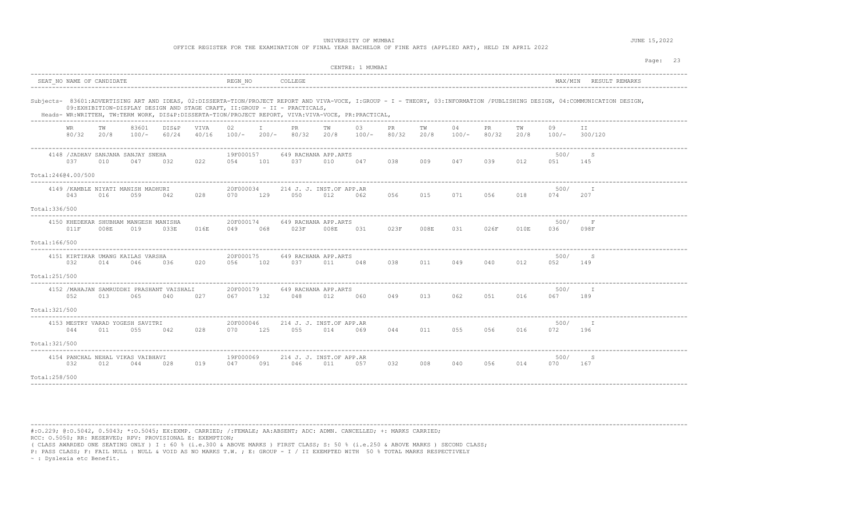|                                                                                                                              |                                                                                                                                                                                                                                                                                                                                                                                                                                                                                                 |                           |                                              |                                                   |      |                      |     | OFFICE REGISTER FOR THE EXAMINATION OF FINAL YEAR BACHELOR OF FINE ARTS (APPLIED ART), HELD IN APRIL 2022                                                                       |      | UNIVERSITY OF MUMBAI |               |     |          |       |      |             |                                                                                                                                                                             | JUNE 15,2022 |          |
|------------------------------------------------------------------------------------------------------------------------------|-------------------------------------------------------------------------------------------------------------------------------------------------------------------------------------------------------------------------------------------------------------------------------------------------------------------------------------------------------------------------------------------------------------------------------------------------------------------------------------------------|---------------------------|----------------------------------------------|---------------------------------------------------|------|----------------------|-----|---------------------------------------------------------------------------------------------------------------------------------------------------------------------------------|------|----------------------|---------------|-----|----------|-------|------|-------------|-----------------------------------------------------------------------------------------------------------------------------------------------------------------------------|--------------|----------|
|                                                                                                                              |                                                                                                                                                                                                                                                                                                                                                                                                                                                                                                 |                           |                                              |                                                   |      |                      |     |                                                                                                                                                                                 |      | CENTRE: 1 MUMBAI     |               |     |          |       |      |             |                                                                                                                                                                             |              | Page: 23 |
|                                                                                                                              |                                                                                                                                                                                                                                                                                                                                                                                                                                                                                                 | SEAT NO NAME OF CANDIDATE |                                              |                                                   |      | REGN NO              |     | COLLEGE                                                                                                                                                                         |      |                      |               |     |          |       |      |             | MAX/MIN RESULT REMARKS                                                                                                                                                      |              |          |
|                                                                                                                              |                                                                                                                                                                                                                                                                                                                                                                                                                                                                                                 |                           |                                              |                                                   |      |                      |     | 09:EXHIBITION-DISPLAY DESIGN AND STAGE CRAFT, II:GROUP - II - PRACTICALS,<br>Heads- WR:WRITTEN, TW:TERM WORK, DIS&P:DISSERTA-TION/PROJECT REPORT, VIVA:VIVA-VOCE, PR:PRACTICAL, |      |                      |               |     |          |       |      |             | Subjects- 83601:ADVERTISING ART AND IDEAS, 02:DISSERTA-TION/PROJECT REPORT AND VIVA-VOCE, I:GROUP - I - THEORY, 03:INFORMATION /PUBLISHING DESIGN, 04:COMMUNICATION DESIGN, |              |          |
|                                                                                                                              | 83601<br>PR<br>TW<br>DIS&P<br>VIVA<br>02<br>$\mathbb{T}$ and $\mathbb{T}$<br>TW<br>03<br>PR<br>TW<br>04<br><b>PR</b><br>TW<br>09<br>TT.<br>WR.<br>80/32<br>20/8<br>$100/-$<br>60/24<br>40/16<br>$100/-$ 200/- 80/32 20/8 100/-<br>80/32<br>20/8<br>$100/-$<br>80/32 20/8 100/- 300/120<br>19F000157<br>4148 / JADHAV SANJANA SANJAY SNEHA<br>649 RACHANA APP.ARTS<br>500/<br>S<br>037<br>022<br>038 009 047<br>039<br>010<br>047<br>032<br>054<br>101<br>037<br>010<br>047<br>012<br>051<br>145 |                           |                                              |                                                   |      |                      |     |                                                                                                                                                                                 |      |                      |               |     |          |       |      |             |                                                                                                                                                                             |              |          |
| Total:24604.00/500<br>4149 / KAMBLE NIYATI MANISH MADHURI<br>20F000034<br>214 J. J. INST.OF APP.AR<br>500/<br>$\blacksquare$ |                                                                                                                                                                                                                                                                                                                                                                                                                                                                                                 |                           |                                              |                                                   |      |                      |     |                                                                                                                                                                                 |      |                      |               |     |          |       |      |             |                                                                                                                                                                             |              |          |
|                                                                                                                              | 043                                                                                                                                                                                                                                                                                                                                                                                                                                                                                             | 016                       | 059                                          | 042                                               | 028  | 070                  | 129 | 050                                                                                                                                                                             | 012  | 062                  | 056           | 015 | 071      | 056   | 018  | 074         | 207                                                                                                                                                                         |              |          |
| Total: 336/500                                                                                                               |                                                                                                                                                                                                                                                                                                                                                                                                                                                                                                 |                           |                                              |                                                   |      |                      |     |                                                                                                                                                                                 |      |                      |               |     |          |       |      |             |                                                                                                                                                                             |              |          |
|                                                                                                                              | 011F                                                                                                                                                                                                                                                                                                                                                                                                                                                                                            | 008E                      | 4150 KHEDEKAR SHUBHAM MANGESH MANISHA<br>019 | 033E                                              | 016E | 20F000174<br>049     | 068 | 649 RACHANA APP.ARTS<br>023F                                                                                                                                                    | 008E | 031                  | 023F 008E 031 |     |          | 026F  | 010E | 500/<br>036 | $\mathbf F$<br>098F                                                                                                                                                         |              |          |
| Total:166/500                                                                                                                |                                                                                                                                                                                                                                                                                                                                                                                                                                                                                                 |                           |                                              |                                                   |      |                      |     |                                                                                                                                                                                 |      |                      |               |     |          |       |      |             |                                                                                                                                                                             |              |          |
|                                                                                                                              | 032                                                                                                                                                                                                                                                                                                                                                                                                                                                                                             | 014                       | 4151 KIRTIKAR UMANG KAILAS VARSHA<br>046     | 036                                               | 020  | 20F000175<br>056     | 102 | 649 RACHANA APP.ARTS<br>037                                                                                                                                                     | 011  | 048                  | 038           | 011 | 049      | 040   | 012  | 500/<br>052 | S<br>149                                                                                                                                                                    |              |          |
| Total:251/500                                                                                                                |                                                                                                                                                                                                                                                                                                                                                                                                                                                                                                 |                           |                                              |                                                   |      |                      |     |                                                                                                                                                                                 |      |                      |               |     |          |       |      |             |                                                                                                                                                                             |              |          |
|                                                                                                                              | 052                                                                                                                                                                                                                                                                                                                                                                                                                                                                                             | 013                       | 065                                          | 4152 / MAHAJAN SAMRUDDHI PRASHANT VAISHALI<br>040 | 027  | 20F000179<br>067 132 |     | 649 RACHANA APP.ARTS<br>048 012                                                                                                                                                 |      | 060                  | 049           | 013 | 062      | 051   | 016  | 500/<br>067 | T<br>189                                                                                                                                                                    |              |          |
| Total: 321/500                                                                                                               |                                                                                                                                                                                                                                                                                                                                                                                                                                                                                                 |                           |                                              | ____________________________                      |      |                      |     |                                                                                                                                                                                 |      |                      |               |     |          |       |      |             |                                                                                                                                                                             |              |          |
|                                                                                                                              | 044                                                                                                                                                                                                                                                                                                                                                                                                                                                                                             | 011                       | 4153 MESTRY VARAD YOGESH SAVITRI<br>055      | 042                                               | 028  | 20F000046<br>070     | 125 | 214 J. J. INST.OF APP.AR<br>055                                                                                                                                                 | 014  | 069                  | 044           | 011 | 055 - 10 | 056   | 016  | 500/<br>072 | T<br>196                                                                                                                                                                    |              |          |
| Total: 321/500                                                                                                               |                                                                                                                                                                                                                                                                                                                                                                                                                                                                                                 |                           |                                              |                                                   |      |                      |     |                                                                                                                                                                                 |      |                      |               |     |          |       |      |             |                                                                                                                                                                             |              |          |
|                                                                                                                              | 032                                                                                                                                                                                                                                                                                                                                                                                                                                                                                             | 012                       | 4154 PANCHAL NEHAL VIKAS VAIBHAVI<br>044     | 028                                               | 019  | 19F000069<br>047     | 091 | 214 J. J. INST.OF APP.AR<br>046                                                                                                                                                 | 011  | 057                  | 032           | 008 | 040      | 056 7 | 014  | 500/<br>070 | S<br>167                                                                                                                                                                    |              |          |
| Total: 258/500                                                                                                               |                                                                                                                                                                                                                                                                                                                                                                                                                                                                                                 |                           |                                              |                                                   |      |                      |     |                                                                                                                                                                                 |      |                      |               |     |          |       |      |             |                                                                                                                                                                             |              |          |

#:O.229; @:O.5042, 0.5043; \*:O.5045; EX:EXMP. CARRIED; /:FEMALE; AA:ABSENT; ADC: ADMN. CANCELLED; +: MARKS CARRIED; RCC: O.5050; RR: RESERVED; RPV: PROVISIONAL E: EXEMPTION;

( CLASS AWARDED ONE SEATING ONLY ) I : 60 % (i.e.300 & ABOVE MARKS ) FIRST CLASS; S: 50 % (i.e.250 & ABOVE MARKS ) SECOND CLASS;

P: PASS CLASS; F: FAIL NULL : NULL & VOID AS NO MARKS T.W. ; E: GROUP - I / II EXEMPTED WITH 50 % TOTAL MARKS RESPECTIVELY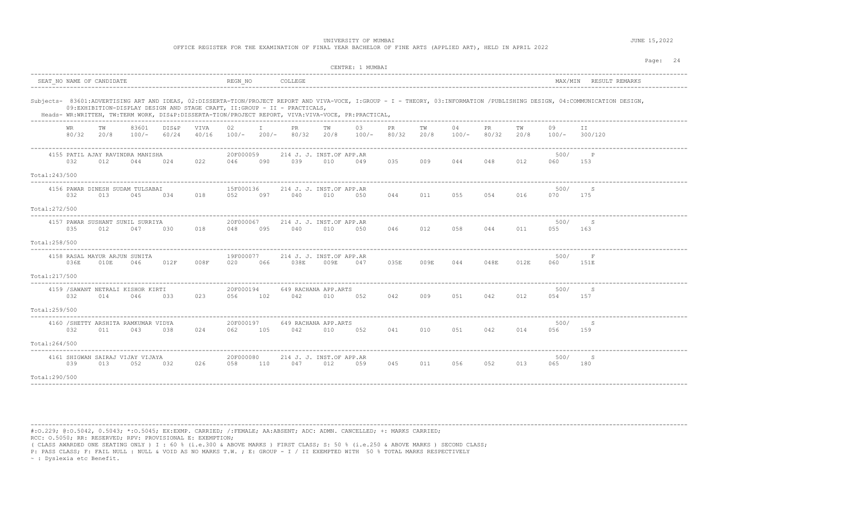|                |                           |      |                                           |                |               |                  |     | OFFICE REGISTER FOR THE EXAMINATION OF FINAL YEAR BACHELOR OF FINE ARTS (APPLIED ART), HELD IN APRIL 2022                                                                       |      | UNIVERSITY OF MUMBAI   |      |            |               |              |            |             |                                                                                                                                                                             | JUNE 15,2022 |          |  |
|----------------|---------------------------|------|-------------------------------------------|----------------|---------------|------------------|-----|---------------------------------------------------------------------------------------------------------------------------------------------------------------------------------|------|------------------------|------|------------|---------------|--------------|------------|-------------|-----------------------------------------------------------------------------------------------------------------------------------------------------------------------------|--------------|----------|--|
|                |                           |      |                                           |                |               |                  |     |                                                                                                                                                                                 |      | CENTRE: 1 MUMBAI       |      |            |               |              |            |             |                                                                                                                                                                             |              | Page: 24 |  |
|                | SEAT NO NAME OF CANDIDATE |      |                                           |                |               | REGN NO          |     | COLLEGE                                                                                                                                                                         |      |                        |      |            |               |              |            |             | MAX/MIN RESULT REMARKS                                                                                                                                                      |              |          |  |
|                |                           |      |                                           |                |               |                  |     | 09:EXHIBITION-DISPLAY DESIGN AND STAGE CRAFT, II:GROUP - II - PRACTICALS,<br>Heads- WR:WRITTEN, TW:TERM WORK, DIS&P:DISSERTA-TION/PROJECT REPORT, VIVA:VIVA-VOCE, PR:PRACTICAL, |      |                        |      |            |               |              |            |             | Subjects- 83601:ADVERTISING ART AND IDEAS, 02:DISSERTA-TION/PROJECT REPORT AND VIVA-VOCE, I:GROUP - I - THEORY, 03:INFORMATION /PUBLISHING DESIGN, 04:COMMUNICATION DESIGN, |              |          |  |
|                | WR<br>80/32 20/8          | TW   | 83601<br>$100/-$                          | DIS&P<br>60/24 | VTVA<br>40/16 | 02.              | T   | PR<br>100/- 200/- 80/32                                                                                                                                                         | TW   | 03<br>20/8 100/- 80/32 | PR   | TW<br>20/8 | 04<br>$100/-$ | PR.<br>80/32 | TW<br>20/8 | 09          | TT.<br>$100/-$ 300/120                                                                                                                                                      |              |          |  |
|                | 032                       | 012  | 4155 PATIL AJAY RAVINDRA MANISHA<br>044   | 024            | 022           | 20F000059<br>046 | 090 | 214 J. J. INST.OF APP.AR<br>039                                                                                                                                                 | 010  | 049                    | 035  | 009        | 044           | 048          | 012        | 500/<br>060 | 153                                                                                                                                                                         |              |          |  |
| Total:243/500  |                           |      |                                           |                |               |                  |     |                                                                                                                                                                                 |      |                        |      |            |               |              |            |             |                                                                                                                                                                             |              |          |  |
|                | 032                       | 013  | 4156 PAWAR DINESH SUDAM TULSABAI<br>045   | 034            | 018           | 15F000136<br>052 |     | 214 J. J. INST.OF APP.AR<br>097 040                                                                                                                                             | 010  | 050                    | 044  | 011        | 055           | 054          | 016        | 500/<br>070 | S<br>175                                                                                                                                                                    |              |          |  |
| Total:272/500  |                           |      |                                           |                |               |                  |     |                                                                                                                                                                                 |      |                        |      |            |               |              |            |             |                                                                                                                                                                             |              |          |  |
|                | 035                       | 012  | 4157 PAWAR SUSHANT SUNIL SURRIYA<br>047   | 030            | 018           | 20F000067<br>048 | 095 | 214 J. J. INST.OF APP.AR<br>040                                                                                                                                                 | 010  | 050                    | 046  | 012        | 058           | 044          | 011        | 500/<br>055 | S<br>163                                                                                                                                                                    |              |          |  |
| Total:258/500  |                           |      |                                           |                |               |                  |     |                                                                                                                                                                                 |      |                        |      |            |               |              |            |             |                                                                                                                                                                             |              |          |  |
|                | 036E                      | 010E | 4158 RASAL MAYUR ARJUN SUNITA<br>046      | 012F           | 008F          | 19F000077<br>020 | 066 | 214 J. J. INST.OF APP.AR<br>038E                                                                                                                                                | 009E | 047                    | 035E | 009E       | 044           | 048E         | 012E       | 500/<br>060 | F<br>151E                                                                                                                                                                   |              |          |  |
| Total: 217/500 |                           |      |                                           |                |               |                  |     |                                                                                                                                                                                 |      |                        |      |            |               |              |            |             |                                                                                                                                                                             |              |          |  |
|                | 032                       | 014  | 4159 / SAWANT NETRALI KISHOR KIRTI<br>046 | 0.3.3          | 023           | 20F000194<br>056 | 102 | 649 RACHANA APP.ARTS<br>042                                                                                                                                                     | 010  | 052                    | 042  | 009        | 051           | 042          | 012        | 500/<br>054 | S<br>157                                                                                                                                                                    |              |          |  |
| Total:259/500  |                           |      |                                           |                |               |                  |     |                                                                                                                                                                                 |      |                        |      |            |               |              |            |             |                                                                                                                                                                             |              |          |  |
|                |                           |      | 4160 / SHETTY ARSHITA RAMKUMAR VIDYA      |                |               | 20F000197        |     | 649 RACHANA APP.ARTS                                                                                                                                                            |      |                        |      |            |               |              |            | 500/        | S                                                                                                                                                                           |              |          |  |

|               |     |     | 4160 /SHETTY ARSHITA RAMKUMAR VIDYA     |     |     | <b>ZUFUUUIS/</b> |     |                                 | 649 KACHANA AFF.AKTS |     |     |     |     |     |     | 5007        |     |  |  |
|---------------|-----|-----|-----------------------------------------|-----|-----|------------------|-----|---------------------------------|----------------------|-----|-----|-----|-----|-----|-----|-------------|-----|--|--|
|               | 032 | 011 | 043                                     | 038 | 024 | 062              | 105 | 042                             | 010                  | 052 | 041 | 010 | 051 | 042 | 014 | 056         | 159 |  |  |
| Total:264/500 |     |     |                                         |     |     |                  |     |                                 |                      |     |     |     |     |     |     |             |     |  |  |
|               | 039 | 013 | 4161 SHIGWAN SAIRAJ VIJAY VIJAYA<br>052 | 032 | 026 | 20F000080<br>058 | 110 | 214 J. J. INST.OF APP.AR<br>047 | 012                  | 059 | 045 | 011 | 056 | 052 | 013 | 500/<br>065 | 180 |  |  |
| Total:290/500 |     |     |                                         |     |     |                  |     |                                 |                      |     |     |     |     |     |     |             |     |  |  |

----------------------------------------------------------------------------------------------------------------------------------------------------------------------------------------

#:O.229; @:O.5042, 0.5043; \*:O.5045; EX:EXMP. CARRIED; /:FEMALE; AA:ABSENT; ADC: ADMN. CANCELLED; +: MARKS CARRIED; RCC: O.5050; RR: RESERVED; RPV: PROVISIONAL E: EXEMPTION;

( CLASS AWARDED ONE SEATING ONLY ) I : 60 % (i.e.300 & ABOVE MARKS ) FIRST CLASS; S: 50 % (i.e.250 & ABOVE MARKS ) SECOND CLASS;

P: PASS CLASS; F: FAIL NULL : NULL & VOID AS NO MARKS T.W. ; E: GROUP - I / II EXEMPTED WITH 50 % TOTAL MARKS RESPECTIVELY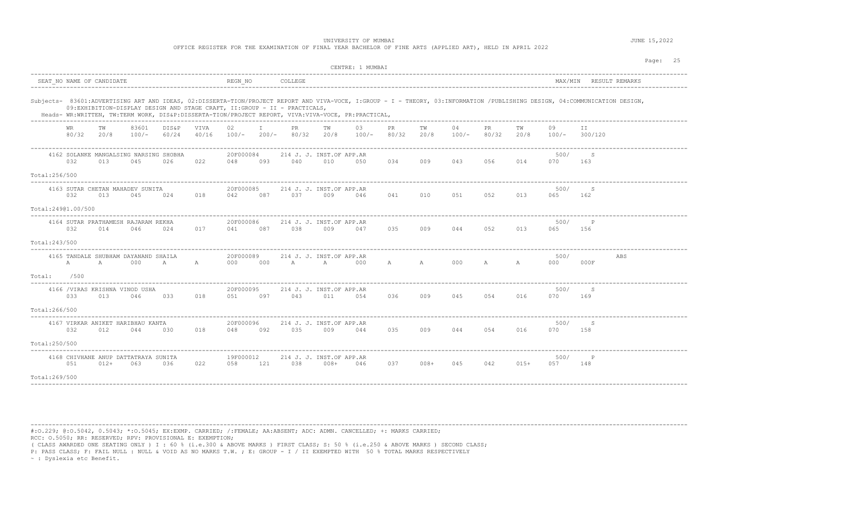|                    |              |                           |                                                                                                                                                                                 |                |               |                  |              | OFFICE REGISTER FOR THE EXAMINATION OF FINAL YEAR BACHELOR OF FINE ARTS (APPLIED ART), HELD IN APRIL 2022 |     | UNIVERSITY OF MUMBAI |              |            |             |              |              |               |                                                                                                                                                                             | JUNE 15,2022 |          |
|--------------------|--------------|---------------------------|---------------------------------------------------------------------------------------------------------------------------------------------------------------------------------|----------------|---------------|------------------|--------------|-----------------------------------------------------------------------------------------------------------|-----|----------------------|--------------|------------|-------------|--------------|--------------|---------------|-----------------------------------------------------------------------------------------------------------------------------------------------------------------------------|--------------|----------|
|                    |              |                           |                                                                                                                                                                                 |                |               |                  |              |                                                                                                           |     | CENTRE: 1 MUMBAI     |              |            |             |              |              |               |                                                                                                                                                                             |              | Page: 25 |
|                    |              | SEAT NO NAME OF CANDIDATE |                                                                                                                                                                                 |                |               | REGN NO          |              | COLLEGE                                                                                                   |     |                      |              |            |             |              |              |               | MAX/MIN RESULT REMARKS                                                                                                                                                      |              |          |
|                    |              |                           | 09:EXHIBITION-DISPLAY DESIGN AND STAGE CRAFT, II:GROUP - II - PRACTICALS,<br>Heads- WR:WRITTEN, TW:TERM WORK, DIS&P:DISSERTA-TION/PROJECT REPORT, VIVA:VIVA-VOCE, PR:PRACTICAL, |                |               |                  |              |                                                                                                           |     |                      |              |            |             |              |              |               | Subjects- 83601:ADVERTISING ART AND IDEAS, 02:DISSERTA-TION/PROJECT REPORT AND VIVA-VOCE, I:GROUP - I - THEORY, 03:INFORMATION /PUBLISHING DESIGN, 04:COMMUNICATION DESIGN, |              |          |
|                    | WR.<br>80/32 | TW<br>20/8                | 83601<br>$100/-$                                                                                                                                                                | DIS&P<br>60/24 | VIVA<br>40/16 | 02               | $\mathbb{I}$ | PR.<br>$100/-$ 200/- 80/32 20/8                                                                           | TW  | 03<br>$100/-$        | PR.<br>80/32 | TW<br>20/8 | 04<br>100/- | PR.<br>80/32 | TW<br>20/8   | 09<br>$100/-$ | II.<br>300/120                                                                                                                                                              |              |          |
|                    | 032          | 013                       | 4162 SOLANKE MANGALSING NARSING SHOBHA<br>045                                                                                                                                   | 026            | 022           | 20F000084<br>048 | 093          | 214 J. J. INST.OF APP.AR<br>040                                                                           | 010 | 050                  | 034          | 009        | 043         | 056          | 014          | 500/<br>070   | S<br>163                                                                                                                                                                    |              |          |
| Total:256/500      |              |                           |                                                                                                                                                                                 |                |               |                  |              |                                                                                                           |     |                      |              |            |             |              |              |               |                                                                                                                                                                             |              |          |
|                    | 032          | 013                       | 4163 SUTAR CHETAN MAHADEV SUNITA<br>045                                                                                                                                         | 024            | 018           | 20F000085<br>042 | 087          | 214 J. J. INST.OF APP.AR<br>037                                                                           | 009 | 046                  | 041          |            | 010 051     |              | 013          | 500/<br>065   | S<br>162                                                                                                                                                                    |              |          |
| Total:24901.00/500 |              |                           |                                                                                                                                                                                 |                |               |                  |              |                                                                                                           |     |                      |              |            |             |              |              |               |                                                                                                                                                                             |              |          |
|                    | 032          | 014                       | 4164 SUTAR PRATHAMESH RAJARAM REKHA<br>046                                                                                                                                      | 024            | 017           | 20F000086<br>041 | 087          | 214 J. J. INST.OF APP.AR<br>038                                                                           | 009 | 047                  | 035          | 009        | 044         | 052          | 013          | 500/<br>065   | $_{\rm P}$<br>156                                                                                                                                                           |              |          |
| Total:243/500      |              |                           |                                                                                                                                                                                 |                |               |                  |              |                                                                                                           |     |                      |              |            |             |              |              |               |                                                                                                                                                                             |              |          |
|                    | $\mathbb A$  | A                         | 4165 TANDALE SHUBHAM DAYANAND SHAILA<br>000                                                                                                                                     | A              | A             | 20F000089<br>000 | 000          | 214 J. J. INST.OF APP.AR<br>A A 000                                                                       |     |                      | A A          |            | 000         | $\mathbb{A}$ | $\mathbf{A}$ | 500/<br>000   | 000F                                                                                                                                                                        | ABS          |          |
| $Total:$ /500      |              |                           |                                                                                                                                                                                 |                |               |                  |              |                                                                                                           |     |                      |              |            |             |              |              |               |                                                                                                                                                                             |              |          |
|                    | 033          | 013                       | 4166 /VIRAS KRISHNA VINOD USHA<br>046                                                                                                                                           | 033            | 018           | 20F000095<br>051 | 097          | 214 J. J. INST.OF APP.AR<br>043                                                                           | 011 | 054                  | 036          | 009        | 045         | 054          | 016          | 500/<br>070   | S<br>169                                                                                                                                                                    |              |          |
| Total:266/500      |              |                           |                                                                                                                                                                                 |                |               |                  |              |                                                                                                           |     |                      |              |            |             |              |              |               |                                                                                                                                                                             |              |          |
|                    | 032          | 012                       | 4167 VIRKAR ANIKET HARIBHAU KANTA<br>044                                                                                                                                        | 030            | 018           | 20F000096<br>048 | 092          | 214 J. J. INST.OF APP.AR<br>035                                                                           | 009 | 044                  | 035          |            | 009 044     | 054 016      |              | 500/<br>070   | S<br>158                                                                                                                                                                    |              |          |
| Total:250/500      |              |                           |                                                                                                                                                                                 |                |               |                  |              |                                                                                                           |     |                      |              |            |             |              |              |               |                                                                                                                                                                             |              |          |
|                    | 051          |                           | 4168 CHIVHANE ANUP DATTATRAYA SUNITA<br>012+ 063 036                                                                                                                            |                |               | 19F000012        |              | 214 J. J. INST.OF APP.AR<br>022 058 121 038 008+ 046                                                      |     |                      | 037          |            | $008 + 045$ |              | 042 015+     | 500/<br>057   | $\mathbb{P}$<br>148                                                                                                                                                         |              |          |

Total:269/500 ----------------------------------------------------------------------------------------------------------------------------------------------------------------------------------------

#:O.229; @:O.5042, 0.5043; \*:O.5045; EX:EXMP. CARRIED; /:FEMALE; AA:ABSENT; ADC: ADMN. CANCELLED; +: MARKS CARRIED;

RCC: O.5050; RR: RESERVED; RPV: PROVISIONAL E: EXEMPTION;

( CLASS AWARDED ONE SEATING ONLY ) I : 60 % (i.e.300 & ABOVE MARKS ) FIRST CLASS; S: 50 % (i.e.250 & ABOVE MARKS ) SECOND CLASS;

P: PASS CLASS; F: FAIL NULL : NULL & VOID AS NO MARKS T.W. ; E: GROUP - I / II EXEMPTED WITH 50 % TOTAL MARKS RESPECTIVELY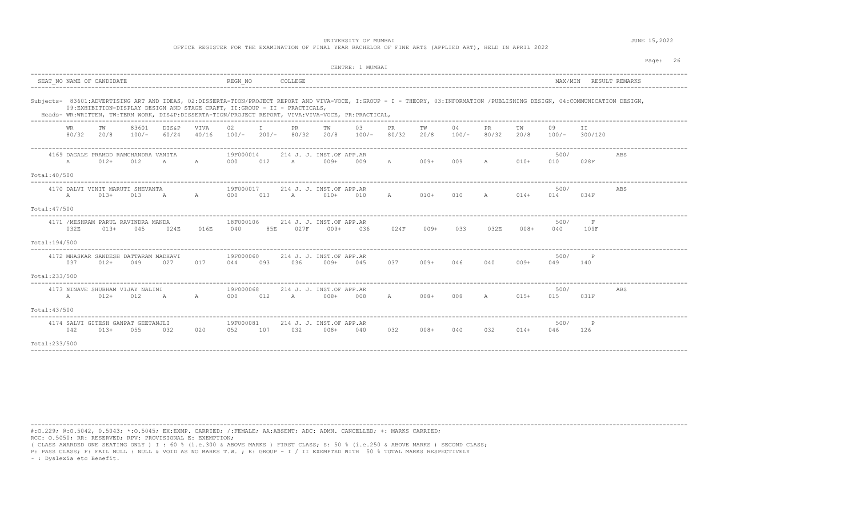| Page: 26<br>CENTRE: 1 MUMBAI<br>COLLEGE<br>MAX/MIN RESULT REMARKS<br>SEAT NO NAME OF CANDIDATE<br>REGN NO<br>Subjects- 83601:ADVERTISING ART AND IDEAS, 02:DISSERTA-TION/PROJECT REPORT AND VIVA-VOCE, I:GROUP - I - THEORY, 03:INFORMATION /PUBLISHING DESIGN, 04:COMMUNICATION DESIGN,<br>09:EXHIBITION-DISPLAY DESIGN AND STAGE CRAFT, II:GROUP - II - PRACTICALS,<br>Heads- WR:WRITTEN, TW:TERM WORK, DIS&P:DISSERTA-TION/PROJECT REPORT, VIVA:VIVA-VOCE, PR:PRACTICAL,<br>83601<br>T<br>PR<br>DIS&P<br>VIVA<br>02<br>TW<br>03<br>PR<br>04<br><b>PR</b><br>TW<br>TW<br>TW<br>09<br>TT.<br>WR<br>80/32<br>20/8<br>$100/-$<br>60/24<br>40/16<br>$100/-$ 200/- 80/32 20/8<br>$100/-$<br>80/32<br>20/8<br>80/32<br>20/8<br>100/-<br>$100/-$<br>300/120<br>19F000014<br>4169 DAGALE PRAMOD RAMCHANDRA VANITA<br>214 J. J. INST.OF APP.AR<br>500/<br>ABS<br>$012+$<br>000 012 A 009+<br>A 009+ 009 A<br>$010+$<br>$\mathbb{A}$<br>012<br>$A$ and $A$<br>A<br>009<br>010<br>028F<br>Total: 40/500<br>19F000017<br>214 J. J. INST.OF APP.AR<br>500/<br>4170 DALVI VINIT MARUTI SHEVANTA<br>ABS<br>$A \sim A$<br>A<br>013+<br>013<br>$\mathbb A$<br>A<br>013 A 010+<br>010<br>$010+$<br>010<br>A 014+<br>000<br>014<br>034F<br>Total: 47/500<br>4171 / MESHRAM PARUL RAVINDRA MANDA<br>18F000106<br>500/<br>F<br>214 J. J. INST.OF APP.AR<br>032E<br>$013+$<br>016E<br>040<br>85E<br>027F<br>$009+$<br>024F<br>$009+$<br>033<br>$008+$<br>045<br>024E<br>036<br>032E<br>040<br>109F<br>Total:194/500 |  |  |  |  |  | UNIVERSITY OF MUMBAI<br>OFFICE REGISTER FOR THE EXAMINATION OF FINAL YEAR BACHELOR OF FINE ARTS (APPLIED ART), HELD IN APRIL 2022 |  |  |  | JUNE 15,2022 |  |
|-------------------------------------------------------------------------------------------------------------------------------------------------------------------------------------------------------------------------------------------------------------------------------------------------------------------------------------------------------------------------------------------------------------------------------------------------------------------------------------------------------------------------------------------------------------------------------------------------------------------------------------------------------------------------------------------------------------------------------------------------------------------------------------------------------------------------------------------------------------------------------------------------------------------------------------------------------------------------------------------------------------------------------------------------------------------------------------------------------------------------------------------------------------------------------------------------------------------------------------------------------------------------------------------------------------------------------------------------------------------------------------------------------------------------------------------------------------------------------------------------|--|--|--|--|--|-----------------------------------------------------------------------------------------------------------------------------------|--|--|--|--------------|--|
|                                                                                                                                                                                                                                                                                                                                                                                                                                                                                                                                                                                                                                                                                                                                                                                                                                                                                                                                                                                                                                                                                                                                                                                                                                                                                                                                                                                                                                                                                                 |  |  |  |  |  |                                                                                                                                   |  |  |  |              |  |
|                                                                                                                                                                                                                                                                                                                                                                                                                                                                                                                                                                                                                                                                                                                                                                                                                                                                                                                                                                                                                                                                                                                                                                                                                                                                                                                                                                                                                                                                                                 |  |  |  |  |  |                                                                                                                                   |  |  |  |              |  |
|                                                                                                                                                                                                                                                                                                                                                                                                                                                                                                                                                                                                                                                                                                                                                                                                                                                                                                                                                                                                                                                                                                                                                                                                                                                                                                                                                                                                                                                                                                 |  |  |  |  |  |                                                                                                                                   |  |  |  |              |  |
|                                                                                                                                                                                                                                                                                                                                                                                                                                                                                                                                                                                                                                                                                                                                                                                                                                                                                                                                                                                                                                                                                                                                                                                                                                                                                                                                                                                                                                                                                                 |  |  |  |  |  |                                                                                                                                   |  |  |  |              |  |
|                                                                                                                                                                                                                                                                                                                                                                                                                                                                                                                                                                                                                                                                                                                                                                                                                                                                                                                                                                                                                                                                                                                                                                                                                                                                                                                                                                                                                                                                                                 |  |  |  |  |  |                                                                                                                                   |  |  |  |              |  |
|                                                                                                                                                                                                                                                                                                                                                                                                                                                                                                                                                                                                                                                                                                                                                                                                                                                                                                                                                                                                                                                                                                                                                                                                                                                                                                                                                                                                                                                                                                 |  |  |  |  |  |                                                                                                                                   |  |  |  |              |  |
|                                                                                                                                                                                                                                                                                                                                                                                                                                                                                                                                                                                                                                                                                                                                                                                                                                                                                                                                                                                                                                                                                                                                                                                                                                                                                                                                                                                                                                                                                                 |  |  |  |  |  |                                                                                                                                   |  |  |  |              |  |
|                                                                                                                                                                                                                                                                                                                                                                                                                                                                                                                                                                                                                                                                                                                                                                                                                                                                                                                                                                                                                                                                                                                                                                                                                                                                                                                                                                                                                                                                                                 |  |  |  |  |  |                                                                                                                                   |  |  |  |              |  |
|                                                                                                                                                                                                                                                                                                                                                                                                                                                                                                                                                                                                                                                                                                                                                                                                                                                                                                                                                                                                                                                                                                                                                                                                                                                                                                                                                                                                                                                                                                 |  |  |  |  |  |                                                                                                                                   |  |  |  |              |  |
|                                                                                                                                                                                                                                                                                                                                                                                                                                                                                                                                                                                                                                                                                                                                                                                                                                                                                                                                                                                                                                                                                                                                                                                                                                                                                                                                                                                                                                                                                                 |  |  |  |  |  |                                                                                                                                   |  |  |  |              |  |
| 4172 MHASKAR SANDESH DATTARAM MADHAVI<br>19F000060<br>214 J. J. INST.OF APP.AR<br>500/<br>P<br>037<br>$012+$<br>049<br>027<br>017<br>044<br>093<br>$036$ $009+$<br>045<br>037<br>009+<br>046<br>040<br>009+<br>049<br>140                                                                                                                                                                                                                                                                                                                                                                                                                                                                                                                                                                                                                                                                                                                                                                                                                                                                                                                                                                                                                                                                                                                                                                                                                                                                       |  |  |  |  |  |                                                                                                                                   |  |  |  |              |  |
| Total:233/500                                                                                                                                                                                                                                                                                                                                                                                                                                                                                                                                                                                                                                                                                                                                                                                                                                                                                                                                                                                                                                                                                                                                                                                                                                                                                                                                                                                                                                                                                   |  |  |  |  |  |                                                                                                                                   |  |  |  |              |  |
| 4173 NINAVE SHUBHAM VIJAY NALINI<br>19F000068<br>214 J. J. INST.OF APP.AR<br>500/<br>ABS<br>A<br>$012 +$<br>012<br>000 012 A 008+ 008<br>$008 +$<br>008 A<br>$015+$<br>015<br>$\mathbb{A}$<br>$\mathbb A$<br>A<br>031F                                                                                                                                                                                                                                                                                                                                                                                                                                                                                                                                                                                                                                                                                                                                                                                                                                                                                                                                                                                                                                                                                                                                                                                                                                                                          |  |  |  |  |  |                                                                                                                                   |  |  |  |              |  |
| Total: 43/500                                                                                                                                                                                                                                                                                                                                                                                                                                                                                                                                                                                                                                                                                                                                                                                                                                                                                                                                                                                                                                                                                                                                                                                                                                                                                                                                                                                                                                                                                   |  |  |  |  |  |                                                                                                                                   |  |  |  |              |  |
| 4174 SALVI GITESH GANPAT GEETANJLI<br>19F000081<br>214 J. J. INST.OF APP.AR<br>500/<br>P<br>042<br>$013+$<br>055<br>032<br>032<br>$008 +$<br>040<br>032<br>032<br>020<br>052<br>107<br>008+<br>040<br>$014+$<br>046<br>126                                                                                                                                                                                                                                                                                                                                                                                                                                                                                                                                                                                                                                                                                                                                                                                                                                                                                                                                                                                                                                                                                                                                                                                                                                                                      |  |  |  |  |  |                                                                                                                                   |  |  |  |              |  |
| Total:233/500                                                                                                                                                                                                                                                                                                                                                                                                                                                                                                                                                                                                                                                                                                                                                                                                                                                                                                                                                                                                                                                                                                                                                                                                                                                                                                                                                                                                                                                                                   |  |  |  |  |  |                                                                                                                                   |  |  |  |              |  |

#:O.229; @:O.5042, 0.5043; \*:O.5045; EX:EXMP. CARRIED; /:FEMALE; AA:ABSENT; ADC: ADMN. CANCELLED; +: MARKS CARRIED;

RCC: O.5050; RR: RESERVED; RPV: PROVISIONAL E: EXEMPTION;

( CLASS AWARDED ONE SEATING ONLY ) I : 60 % (i.e.300 & ABOVE MARKS ) FIRST CLASS; S: 50 % (i.e.250 & ABOVE MARKS ) SECOND CLASS;

P: PASS CLASS; F: FAIL NULL : NULL & VOID AS NO MARKS T.W. ; E: GROUP - I / II EXEMPTED WITH 50 % TOTAL MARKS RESPECTIVELY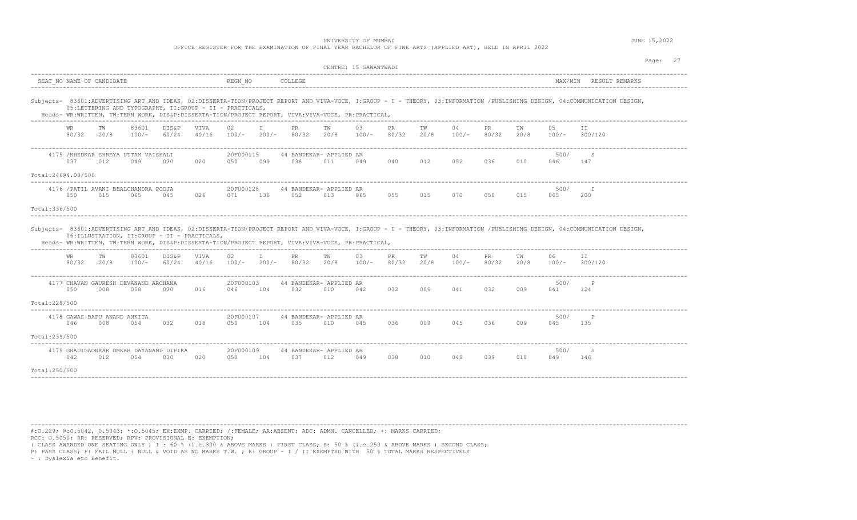|                                |                    |                                                                                                                                                                |                  |                                              |                                      |                  |                      | OFFICE REGISTER FOR THE EXAMINATION OF FINAL YEAR BACHELOR OF FINE ARTS (APPLIED ART), HELD IN APRIL 2022 | UNIVERSITY OF MUMBAI  |                |             |            |               |              |            |             |                                                                                                                                                                                                               | JUNE 15,2022 |          |
|--------------------------------|--------------------|----------------------------------------------------------------------------------------------------------------------------------------------------------------|------------------|----------------------------------------------|--------------------------------------|------------------|----------------------|-----------------------------------------------------------------------------------------------------------|-----------------------|----------------|-------------|------------|---------------|--------------|------------|-------------|---------------------------------------------------------------------------------------------------------------------------------------------------------------------------------------------------------------|--------------|----------|
|                                |                    |                                                                                                                                                                |                  |                                              |                                      |                  |                      |                                                                                                           | CENTRE: 15 SAWANTWADI |                |             |            |               |              |            |             |                                                                                                                                                                                                               |              | Page: 27 |
|                                |                    | SEAT NO NAME OF CANDIDATE                                                                                                                                      |                  |                                              |                                      | REGN NO          |                      | COLLEGE                                                                                                   |                       |                |             |            |               |              |            |             | MAX/MIN RESULT REMARKS                                                                                                                                                                                        |              |          |
|                                |                    | 05:LETTERING AND TYPOGRAPHY, II:GROUP - II - PRACTICALS,<br>Heads- WR:WRITTEN, TW:TERM WORK, DIS&P:DISSERTA-TION/PROJECT REPORT, VIVA:VIVA-VOCE, PR:PRACTICAL, |                  |                                              |                                      |                  |                      |                                                                                                           |                       |                |             |            |               |              |            |             | Subjects- 83601:ADVERTISING ART AND IDEAS, 02:DISSERTA-TION/PROJECT REPORT AND VIVA-VOCE, I:GROUP - I - THEORY, 03:INFORMATION /PUBLISHING DESIGN, 04:COMMUNICATION DESIGN,<br>------------------------------ |              |          |
|                                | <b>WR</b><br>80/32 | тw<br>20/8                                                                                                                                                     | 83601<br>$100/-$ | DIS&P<br>60/24                               | <b>VTVA</b><br>40/16                 | 02.<br>$100/-$   | T<br>$200/-$         | <b>PR</b><br>80/32                                                                                        | TW<br>20/8            | 0.3<br>$100/-$ | PR<br>80/32 | TW<br>20/8 | 04<br>$100/-$ | PR.<br>80/32 | TW<br>20/8 | 0.5         | TT.<br>$100/-$ 300/120                                                                                                                                                                                        |              |          |
| Total:24604.00/500             | 037                | 4175 / KHEDKAR SHREYA UTTAM VAISHALI<br>012                                                                                                                    | 049              | 030                                          | 020                                  | 20F000115<br>050 | 099                  | 44 BANDEKAR- APPLIED AR<br>038                                                                            | 011                   | 049            | 040         | 012        | 052           | 036          | 010        | 500/<br>046 | S.<br>147                                                                                                                                                                                                     |              |          |
| Total: 336/500                 | 050                | 4176 / PATIL AVANI BHALCHANDRA POOJA<br>015                                                                                                                    | 065              | -------------------------------------<br>045 | 026                                  | 20F000128<br>071 | 136                  | 44 BANDEKAR- APPLIED AR<br>052                                                                            | 013                   | 065            | 055         | 015        | 070           | 050          | 015        | 500/<br>065 | T<br>200                                                                                                                                                                                                      |              |          |
|                                |                    | 06: ILLUSTRATION, II: GROUP - II - PRACTICALS,<br>Heads- WR:WRITTEN, TW:TERM WORK, DIS&P:DISSERTA-TION/PROJECT REPORT, VIVA:VIVA-VOCE, PR:PRACTICAL,           |                  |                                              |                                      |                  |                      |                                                                                                           |                       |                |             |            |               |              |            |             | Subjects- 83601:ADVERTISING ART AND IDEAS, 02:DISSERTA-TION/PROJECT REPORT AND VIVA-VOCE, I:GROUP - I - THEORY, 03:INFORMATION /PUBLISHING DESIGN, 04:COMMUNICATION DESIGN,                                   |              |          |
|                                | WR<br>80/32        | TW<br>20/8                                                                                                                                                     | 83601<br>$100/-$ | DIS&P<br>60/24                               | VIVA<br>40/16                        | 02<br>$100/-$    | T<br>$200/-$         | PR.<br>80/32                                                                                              | TW<br>20/8            | 03<br>$100/-$  | PR<br>80/32 | TW<br>20/8 | 04<br>100/-   | PR.<br>80/32 | TW<br>20/8 | 06<br>100/- | TT<br>300/120                                                                                                                                                                                                 |              |          |
| Total: 228/500                 | 050                | 4177 CHAVAN GAURESH DEVANAND ARCHANA<br>008                                                                                                                    | 058              | 030                                          | 016                                  | 20F000103<br>046 | -------------<br>104 | 44 BANDEKAR- APPLIED AR<br>032                                                                            | 010                   | 042            | 032         | 009        | 041           | 032          | 009        | 500/<br>041 | P<br>124                                                                                                                                                                                                      |              |          |
|                                | 046                | 4178 GAWAS BAPU ANAND ANKITA<br>008                                                                                                                            | 054              | 032                                          | 018                                  | 20F000107<br>050 | 104                  | 44 BANDEKAR- APPLIED AR<br>035                                                                            | 010                   | 045            | 036         | 009        | 045           | 036          | 009        | 500/<br>045 | $\mathsf{P}$<br>135                                                                                                                                                                                           |              |          |
| Total:239/500<br>Total:250/500 | 042                | 4179 GHADIGAONKAR OMKAR DAYANAND DIPIKA<br>012                                                                                                                 | 054              | 030                                          | . _ _ _ _ _ _ _ _ _ _ _ _ _ _<br>020 | 20F000109<br>050 | ------------<br>104  | 44 BANDEKAR- APPLIED AR<br>037                                                                            | 012                   | 049            | 038         | 010        | 048           | 039          | 010        | 500/<br>049 | S<br>146                                                                                                                                                                                                      |              |          |
|                                |                    |                                                                                                                                                                |                  |                                              |                                      |                  |                      |                                                                                                           |                       |                |             |            |               |              |            |             |                                                                                                                                                                                                               |              |          |

#:O.229; @:O.5042, 0.5043; \*:O.5045; EX:EXMP. CARRIED; /:FEMALE; AA:ABSENT; ADC: ADMN. CANCELLED; +: MARKS CARRIED; RCC: O.5050; RR: RESERVED; RPV: PROVISIONAL E: EXEMPTION;

( CLASS AWARDED ONE SEATING ONLY ) I : 60 % (i.e.300 & ABOVE MARKS ) FIRST CLASS; S: 50 % (i.e.250 & ABOVE MARKS ) SECOND CLASS;

P: PASS CLASS; F: FAIL NULL : NULL & VOID AS NO MARKS T.W. ; E: GROUP - I / II EXEMPTED WITH 50 % TOTAL MARKS RESPECTIVELY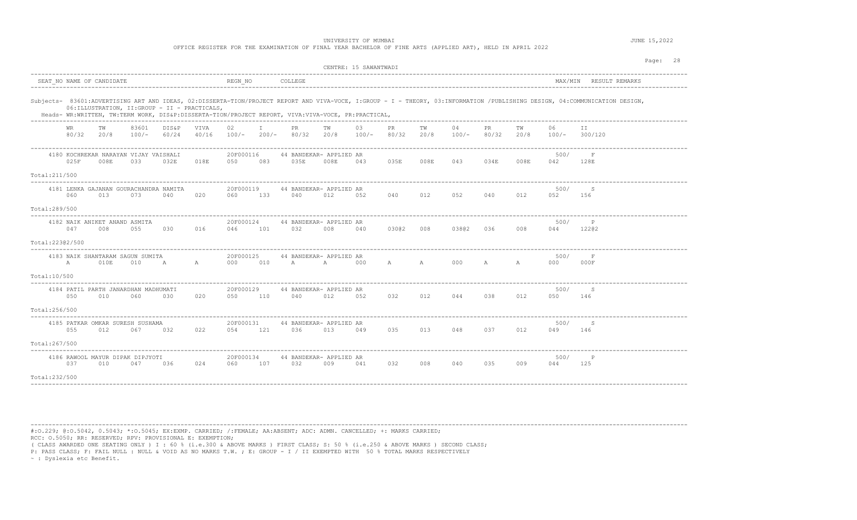UNIVERSITY OF MUMBAI **SECURE 15, 2022** 

| OFFICE REGISTER FOR THE EXAMINATION OF FINAL YEAR BACHELOR OF FINE ARTS (APPLIED ART), HELD IN APRIL 2022 |  |
|-----------------------------------------------------------------------------------------------------------|--|
|-----------------------------------------------------------------------------------------------------------|--|

|                                                                                                                                                      | CENTRE: 15 SAWANTWADI                                                                                                                                                       | Page: 28                                    |
|------------------------------------------------------------------------------------------------------------------------------------------------------|-----------------------------------------------------------------------------------------------------------------------------------------------------------------------------|---------------------------------------------|
| SEAT NO NAME OF CANDIDATE                                                                                                                            | REGN NO<br>COLLEGE                                                                                                                                                          | MAX/MIN RESULT REMARKS                      |
| 06: ILLUSTRATION, II: GROUP - II - PRACTICALS,<br>Heads- WR:WRITTEN, TW:TERM WORK, DIS&P:DISSERTA-TION/PROJECT REPORT, VIVA:VIVA-VOCE, PR:PRACTICAL, | Subjects- 83601:ADVERTISING ART AND IDEAS, 02:DISSERTA-TION/PROJECT REPORT AND VIVA-VOCE, I:GROUP - I - THEORY, 03:INFORMATION /PUBLISHING DESIGN, 04:COMMUNICATION DESIGN, |                                             |
| 83601<br>TW<br>DIS&P<br>VIVA<br>WR<br>80/32<br>20/8<br>100/-<br>60/24<br>40/16                                                                       | $\mathbb{I}$<br>03<br>04<br>02<br>PR.<br>TW<br>PR<br>TW<br>PR.<br>$100/-$<br>80/32<br>80/32<br>$200/-$<br>20/8<br>$100/-$<br>20/8<br>$100/-$<br>80/32                       | 06<br>TW<br>II.<br>300/120<br>20/8<br>100/- |
| 4180 KOCHREKAR NARAYAN VIJAY VAISHALI<br>025F<br>018E<br>008E<br>033<br>032E                                                                         | 20F000116<br>44 BANDEKAR- APPLIED AR<br>035E<br>035E<br>034E<br>050<br>083<br>008E<br>043<br>008E<br>043                                                                    | 500/<br>F<br>008E<br>042<br>128E            |
| Total: 211/500                                                                                                                                       |                                                                                                                                                                             |                                             |
| 4181 LENKA GAJANAN GOURACHANDRA NAMITA<br>060<br>020<br>013<br>073<br>040                                                                            | 20F000119<br>44 BANDEKAR- APPLIED AR<br>012<br>052<br>040<br>060<br>133<br>040<br>012<br>052<br>040                                                                         | 500/<br>-S<br>012<br>052<br>156             |
| Total:289/500                                                                                                                                        |                                                                                                                                                                             |                                             |
| 4182 NAIK ANIKET ANAND ASMITA<br>047<br>008<br>055<br>030<br>016                                                                                     | 20F000124<br>44 BANDEKAR- APPLIED AR<br>046<br>101<br>032<br>008<br>03002 008<br>03802<br>036<br>040                                                                        | 500/<br>P<br>008<br>044<br>12202            |
| Total:22302/500                                                                                                                                      |                                                                                                                                                                             |                                             |
| 4183 NAIK SHANTARAM SAGUN SUMITA<br>A<br>010E<br>010<br>A<br>$\mathbb A$                                                                             | 20F000125<br>44 BANDEKAR- APPLIED AR<br>A A 000 A<br>010<br>A A<br>000<br>000                                                                                               | 500/<br>F<br>000F<br>A<br>000               |
| Total:10/500                                                                                                                                         |                                                                                                                                                                             |                                             |
| 4184 PATIL PARTH JANARDHAN MADHUMATI<br>050<br>020<br>010<br>060<br>030                                                                              | 20F000129<br>44 BANDEKAR- APPLIED AR<br>032<br>012<br>038<br>050<br>110<br>040<br>012<br>052<br>044                                                                         | 500/<br>-S<br>012<br>050<br>146             |
| Total:256/500                                                                                                                                        |                                                                                                                                                                             |                                             |
| 4185 PATKAR OMKAR SURESH SUSHAMA<br>055<br>012<br>067<br>032<br>022                                                                                  | 20F000131<br>44 BANDEKAR- APPLIED AR<br>054<br>121<br>036<br>013<br>049<br>035<br>013<br>048<br>037                                                                         | 500/<br>-S<br>012<br>049<br>146             |
| Total:267/500                                                                                                                                        |                                                                                                                                                                             |                                             |
| 4186 RAWOOL MAYUR DIPAK DIPJYOTI<br>037<br>010<br>047<br>036<br>024                                                                                  | 20F000134<br>44 BANDEKAR- APPLIED AR<br>107<br>032<br>009<br>032<br>008<br>040<br>035<br>060<br>041                                                                         | 500/<br>P<br>009<br>044<br>125              |
| Total:232/500                                                                                                                                        |                                                                                                                                                                             |                                             |

----------------------------------------------------------------------------------------------------------------------------------------------------------------------------------------

#:O.229; @:O.5042, 0.5043; \*:O.5045; EX:EXMP. CARRIED; /:FEMALE; AA:ABSENT; ADC: ADMN. CANCELLED; +: MARKS CARRIED; RCC: O.5050; RR: RESERVED; RPV: PROVISIONAL E: EXEMPTION;

( CLASS AWARDED ONE SEATING ONLY ) I : 60 % (i.e.300 & ABOVE MARKS ) FIRST CLASS; S: 50 % (i.e.250 & ABOVE MARKS ) SECOND CLASS;

P: PASS CLASS; F: FAIL NULL : NULL & VOID AS NO MARKS T.W. ; E: GROUP - I / II EXEMPTED WITH 50 % TOTAL MARKS RESPECTIVELY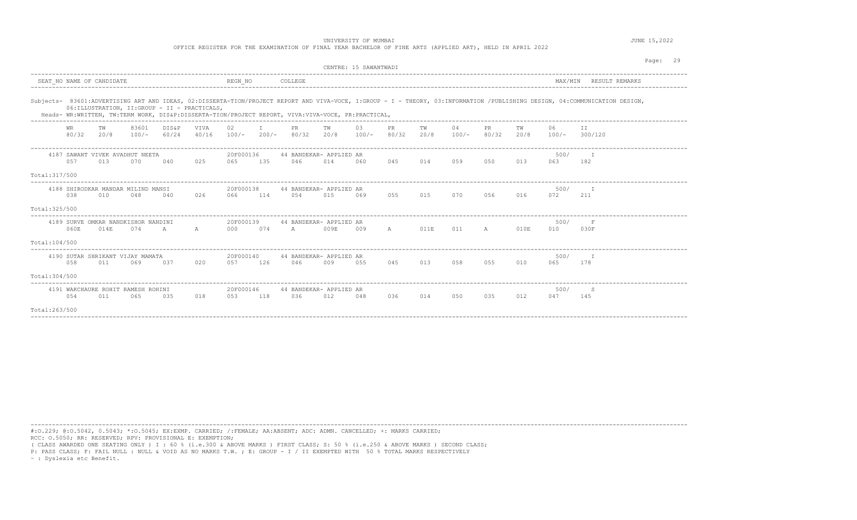UNIVERSITY OF MUMBAI **SECURE 15, 2022** 

|  |  |  |  |  |  |  |  |  | OFFICE REGISTER FOR THE EXAMINATION OF FINAL YEAR BACHELOR OF FINE ARTS (APPLIED ART), HELD IN APRIL 2022 |
|--|--|--|--|--|--|--|--|--|-----------------------------------------------------------------------------------------------------------|
|--|--|--|--|--|--|--|--|--|-----------------------------------------------------------------------------------------------------------|

|                |                    |                           |                                            |                                                                                      |                      |                   |     |                                                                                                    |            | CENTRE: 15 SAWANTWADI |                    |            |               |                    |            |                | Page:<br>29                                                                                                                                                                 |
|----------------|--------------------|---------------------------|--------------------------------------------|--------------------------------------------------------------------------------------|----------------------|-------------------|-----|----------------------------------------------------------------------------------------------------|------------|-----------------------|--------------------|------------|---------------|--------------------|------------|----------------|-----------------------------------------------------------------------------------------------------------------------------------------------------------------------------|
|                |                    | SEAT NO NAME OF CANDIDATE |                                            |                                                                                      |                      | REGN NO           |     | COLLEGE                                                                                            |            |                       |                    |            |               |                    |            | MAX/MIN        | RESULT REMARKS                                                                                                                                                              |
|                |                    |                           |                                            | 06: ILLUSTRATION, II: GROUP - II - PRACTICALS,<br>__________________________________ |                      |                   |     | Heads- WR:WRITTEN, TW:TERM WORK, DIS&P:DISSERTA-TION/PROJECT REPORT, VIVA:VIVA-VOCE, PR:PRACTICAL, |            |                       |                    |            |               |                    |            |                | Subjects- 83601:ADVERTISING ART AND IDEAS, 02:DISSERTA-TION/PROJECT REPORT AND VIVA-VOCE, I:GROUP - I - THEORY, 03:INFORMATION /PUBLISHING DESIGN, 04:COMMUNICATION DESIGN, |
|                | <b>WR</b><br>80/32 | TW<br>20/8                | 83601<br>$100/-$                           | DIS&P<br>60/24                                                                       | <b>VTVA</b><br>40/16 | 02 <sub>1</sub>   | T   | PR.<br>$100/-$ 200/- 80/32                                                                         | TW<br>20/8 | 0.3<br>$100/-$        | <b>PR</b><br>80/32 | TW<br>20/8 | 04<br>$100/-$ | <b>PR</b><br>80/32 | тw<br>20/8 | 06.<br>$100/-$ | TT<br>300/120                                                                                                                                                               |
|                | 0.57               | 013                       | 4187 SAWANT VIVEK AVADHUT NEETA<br>070     | 040                                                                                  | 025                  | 20F000136<br>065  | 135 | 44 BANDEKAR- APPLIED AR<br>046                                                                     | 014        | 060                   | 045                | 014        | 059           | 050                | 013        | 500/<br>063    | 182                                                                                                                                                                         |
| Total: 317/500 |                    |                           |                                            |                                                                                      |                      |                   |     |                                                                                                    |            |                       |                    |            |               |                    |            |                |                                                                                                                                                                             |
|                | 038                | 010                       | 4188 SHIRODKAR MANDAR MILIND MANSI<br>048  | 040                                                                                  | 026                  | 20F000138<br>066  | 114 | 44 BANDEKAR- APPLIED AR<br>0.54                                                                    | 015        | 069                   | 055                | 015        | 070           | 056                | 016        | 500/<br>072    | T<br>211                                                                                                                                                                    |
| Total: 325/500 |                    |                           |                                            |                                                                                      |                      |                   |     |                                                                                                    |            |                       |                    |            |               |                    |            |                |                                                                                                                                                                             |
|                | 060E               | 014E                      | 4189 SURVE OMKAR NANDKISHOR NANDINI<br>074 | $\overline{A}$                                                                       | A                    | 20F000139<br>000  | 074 | 44 BANDEKAR- APPLIED AR<br>A                                                                       | 009E       | 009                   | A                  | 011E       | 011           | $\overline{A}$     | 010E       | 500/<br>010    | 030F                                                                                                                                                                        |
| Total:104/500  |                    |                           |                                            |                                                                                      |                      |                   |     |                                                                                                    |            |                       |                    |            |               |                    |            |                |                                                                                                                                                                             |
|                | 0.58               | 011                       | 4190 SUTAR SHRIKANT VIJAY MAMATA<br>069    | 037                                                                                  | 020                  | 20F000140<br>0.57 | 126 | 44 BANDEKAR- APPLIED AR<br>046                                                                     | 009        | 0.55                  | 045                | 013        | 0.58          | 0.5.5              | 010        | 500/<br>065    | 178                                                                                                                                                                         |
| Total:304/500  |                    |                           |                                            |                                                                                      |                      |                   |     |                                                                                                    |            |                       |                    |            |               |                    |            |                |                                                                                                                                                                             |
|                | 0.54               | 011                       | 4191 WAKCHAURE ROHIT RAMESH ROHINI<br>065  | 0.3.5                                                                                | 018                  | 20F000146<br>0.53 | 118 | 44 BANDEKAR- APPLIED AR<br>0.36                                                                    | 012        | 048                   | 036                | 014        | 0.50          | 035                | 012        | 500/<br>047    | -S<br>145                                                                                                                                                                   |
| Total:263/500  |                    |                           |                                            |                                                                                      |                      |                   |     |                                                                                                    |            |                       |                    |            |               |                    |            |                |                                                                                                                                                                             |

----------------------------------------------------------------------------------------------------------------------------------------------------------------------------------------

#:O.229; @:O.5042, 0.5043; \*:O.5045; EX:EXMP. CARRIED; /:FEMALE; AA:ABSENT; ADC: ADMN. CANCELLED; +: MARKS CARRIED; RCC: O.5050; RR: RESERVED; RPV: PROVISIONAL E: EXEMPTION;

( CLASS AWARDED ONE SEATING ONLY ) I : 60 % (i.e.300 & ABOVE MARKS ) FIRST CLASS; S: 50 % (i.e.250 & ABOVE MARKS ) SECOND CLASS;

P: PASS CLASS; F: FAIL NULL : NULL & VOID AS NO MARKS T.W. ; E: GROUP - I / II EXEMPTED WITH 50 % TOTAL MARKS RESPECTIVELY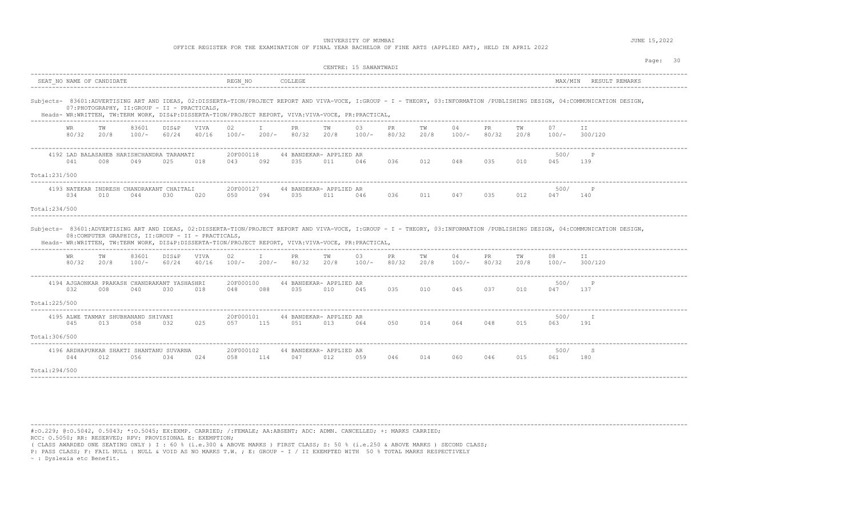| OFFICE REGISTER FOR THE EXAMINATION OF FINAL YEAR BACHELOR OF FINE ARTS (APPLIED ART), HELD IN APRIL 2022 |  |
|-----------------------------------------------------------------------------------------------------------|--|
|-----------------------------------------------------------------------------------------------------------|--|

|                                                                                                                                                           | CENTRE: 15 SAWANTWADI                                                                                                                                                       | Page: 30                                      |
|-----------------------------------------------------------------------------------------------------------------------------------------------------------|-----------------------------------------------------------------------------------------------------------------------------------------------------------------------------|-----------------------------------------------|
| SEAT NO NAME OF CANDIDATE                                                                                                                                 | REGN NO<br>COLLEGE                                                                                                                                                          | MAX/MIN<br>RESULT REMARKS                     |
| 07: PHOTOGRAPHY, II: GROUP - II - PRACTICALS,<br>Heads- WR:WRITTEN, TW:TERM WORK, DIS&P:DISSERTA-TION/PROJECT REPORT, VIVA:VIVA-VOCE, PR:PRACTICAL,       | Subjects- 83601:ADVERTISING ART AND IDEAS, 02:DISSERTA-TION/PROJECT REPORT AND VIVA-VOCE, I:GROUP - I - THEORY, 03:INFORMATION /PUBLISHING DESIGN, 04:COMMUNICATION DESIGN, |                                               |
| 83601<br>DIS&P<br>VIVA<br>WR<br>ТW<br>80/32<br>20/8<br>$100/-$<br>60/24<br>40/16                                                                          | 03<br>04<br>02<br>I.<br>PR.<br>PR.<br>TW<br>PR.<br>TW<br>$100/-$<br>$200/-$<br>80/32<br>80/32<br>20/8<br>$100/-$<br>80/32<br>20/8<br>$100/-$                                | 07<br>TW<br>II.<br>20/8<br>$100/-$<br>300/120 |
| 4192 LAD BALASAHEB HARISHCHANDRA TARAMATI<br>041<br>008<br>025<br>018<br>049                                                                              | 20F000118<br>44 BANDEKAR- APPLIED AR<br>035<br>036<br>012<br>048<br>035<br>043<br>092<br>011<br>046                                                                         | 500/<br>P<br>010<br>045<br>139                |
| Total:231/500                                                                                                                                             |                                                                                                                                                                             |                                               |
| 4193 NATEKAR INDRESH CHANDRAKANT CHAITALI<br>034<br>010<br>044<br>030<br>020                                                                              | 20F000127<br>44 BANDEKAR- APPLIED AR<br>094<br>035<br>011<br>036<br>011<br>047<br>035<br>050<br>046                                                                         | 500/<br>$_{\rm P}$<br>012<br>047<br>140       |
| Total:234/500                                                                                                                                             |                                                                                                                                                                             |                                               |
| 08: COMPUTER GRAPHICS, II: GROUP - II - PRACTICALS,<br>Heads- WR:WRITTEN, TW:TERM WORK, DIS&P:DISSERTA-TION/PROJECT REPORT, VIVA:VIVA-VOCE, PR:PRACTICAL, | Subjects- 83601:ADVERTISING ART AND IDEAS, 02:DISSERTA-TION/PROJECT REPORT AND VIVA-VOCE, I:GROUP - I - THEORY, 03:INFORMATION /PUBLISHING DESIGN, 04:COMMUNICATION DESIGN, |                                               |
| 83601<br>DIS&P<br>VIVA<br>TW<br>WR.<br>80/32<br>20/8<br>$100/-$<br>60/24<br>40/16                                                                         | 02<br>03<br>I.<br>PR .<br>TW<br>PR.<br>TW<br>04<br>PR.<br>$100/-$ 200/- 80/32 20/8<br>80/32<br>20/8<br>$100/-$<br>80/32<br>$100/-$                                          | 08<br>TW<br>TT.<br>20/8<br>300/120<br>$100/-$ |
| 4194 AJGAONKAR PRAKASH CHANDRAKANT YASHASHRI<br>032<br>030<br>008<br>040<br>018                                                                           | 20F000100<br>44 BANDEKAR- APPLIED AR<br>035<br>035<br>010<br>045<br>037<br>048<br>088<br>010<br>045                                                                         | 500/<br>$\mathsf{P}$<br>010<br>047<br>137     |
| Total: 225/500                                                                                                                                            |                                                                                                                                                                             |                                               |
| 4195 ALWE TANMAY SHUBHANAND SHIVANI<br>045<br>013<br>058<br>032<br>025                                                                                    | 20F000101<br>44 BANDEKAR- APPLIED AR<br>115<br>051<br>050<br>014<br>064<br>048<br>0.57<br>013<br>064                                                                        | 500/<br>$-\top$<br>015<br>063<br>191          |
| Total: 306/500                                                                                                                                            |                                                                                                                                                                             |                                               |
| 4196 ARDHAPURKAR SHAKTI SHANTANU SUVARNA<br>044<br>012<br>0.56<br>0.34<br>024                                                                             | 20F000102<br>44 BANDEKAR- APPLIED AR<br>114<br>047<br>012<br>0.59<br>046<br>014<br>060<br>046<br>058                                                                        | 500/<br>-S<br>015<br>061<br>180               |
| Total:294/500                                                                                                                                             |                                                                                                                                                                             |                                               |

----------------------------------------------------------------------------------------------------------------------------------------------------------------------------------------

#:O.229; @:O.5042, 0.5043; \*:O.5045; EX:EXMP. CARRIED; /:FEMALE; AA:ABSENT; ADC: ADMN. CANCELLED; +: MARKS CARRIED; RCC: O.5050; RR: RESERVED; RPV: PROVISIONAL E: EXEMPTION;

( CLASS AWARDED ONE SEATING ONLY ) I : 60 % (i.e.300 & ABOVE MARKS ) FIRST CLASS; S: 50 % (i.e.250 & ABOVE MARKS ) SECOND CLASS;

P: PASS CLASS; F: FAIL NULL : NULL & VOID AS NO MARKS T.W. ; E: GROUP - I / II EXEMPTED WITH 50 % TOTAL MARKS RESPECTIVELY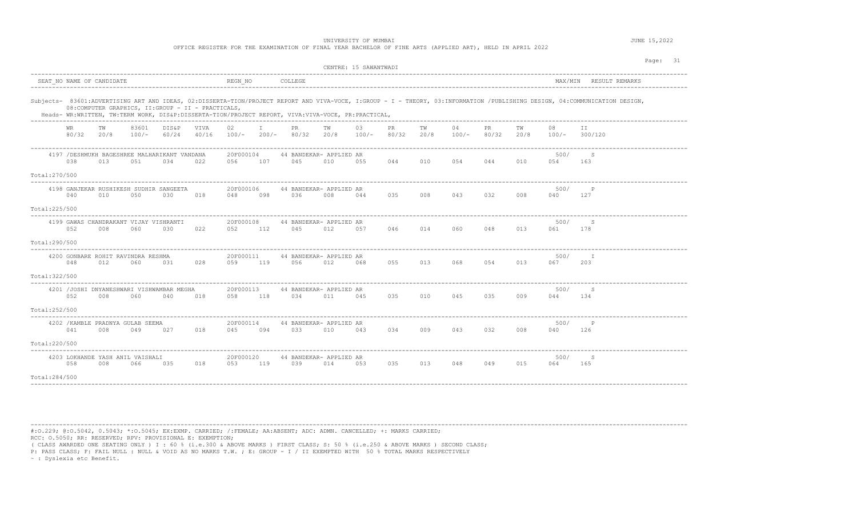UNIVERSITY OF MUMBAI **SECURE 15, 2022** 

| OFFICE REGISTER FOR THE EXAMINATION OF FINAL YEAR BACHELOR OF FINE ARTS (APPLIED ART), HELD IN APRIL 2022 |
|-----------------------------------------------------------------------------------------------------------|
|-----------------------------------------------------------------------------------------------------------|

|                                                                                                                                                           | CENTRE: 15 SAWANTWADI                                                                                                                                                       | Page: 31                                      |
|-----------------------------------------------------------------------------------------------------------------------------------------------------------|-----------------------------------------------------------------------------------------------------------------------------------------------------------------------------|-----------------------------------------------|
| SEAT NO NAME OF CANDIDATE                                                                                                                                 | REGN NO<br>COLLEGE                                                                                                                                                          | MAX/MIN RESULT REMARKS                        |
| 08: COMPUTER GRAPHICS, II: GROUP - II - PRACTICALS,<br>Heads- WR:WRITTEN, TW:TERM WORK, DIS&P:DISSERTA-TION/PROJECT REPORT, VIVA:VIVA-VOCE, PR:PRACTICAL, | Subjects- 83601:ADVERTISING ART AND IDEAS, 02:DISSERTA-TION/PROJECT REPORT AND VIVA-VOCE, I:GROUP - I - THEORY, 03:INFORMATION /PUBLISHING DESIGN, 04:COMMUNICATION DESIGN, |                                               |
| 83601<br>TW<br>DIS&P<br>VIVA<br>WR<br>80/32<br>20/8<br>100/-<br>60/24<br>40/16                                                                            | 03<br>04<br>02<br>I.<br>PR.<br>TW<br>PR<br>TW<br>PR.<br>$100/-$<br>80/32<br>80/32<br>$200/-$<br>20/8<br>$100/-$<br>20/8<br>$100/-$<br>80/32                                 | 08<br>TW<br>II.<br>20/8<br>$100/-$<br>300/120 |
| 4197 / DESHMUKH BAGESHREE MALHARIKANT VANDANA<br>038<br>013<br>051<br>034<br>022                                                                          | 20F000104<br>44 BANDEKAR- APPLIED AR<br>045<br>010<br>054<br>044<br>056<br>107<br>010<br>055<br>044                                                                         | 500/<br>-S<br>010<br>054<br>163               |
| Total: 270/500                                                                                                                                            |                                                                                                                                                                             |                                               |
| 4198 GANJEKAR RUSHIKESH SUDHIR SANGEETA<br>018<br>040<br>010<br>050<br>030                                                                                | 20F000106<br>44 BANDEKAR- APPLIED AR<br>036<br>035<br>008<br>043<br>032<br>048<br>098<br>008<br>044                                                                         | 500/<br>$\mathsf{P}$<br>008<br>040<br>127     |
| Total: 225/500                                                                                                                                            |                                                                                                                                                                             |                                               |
| 4199 GAWAS CHANDRAKANT VIJAY VISHRANTI<br>052<br>008<br>060<br>030<br>022                                                                                 | 20F000108<br>44 BANDEKAR- APPLIED AR<br>014<br>060<br>048<br>052<br>112<br>045<br>012<br>046<br>057                                                                         | 500/<br>-S<br>013<br>061<br>178               |
| Total:290/500<br>----------                                                                                                                               |                                                                                                                                                                             |                                               |
| 4200 GONBARE ROHIT RAVINDRA RESHMA<br>048<br>012<br>060<br>031<br>028                                                                                     | 20F000111<br>44 BANDEKAR- APPLIED AR<br>119<br>055<br>013<br>068<br>054<br>056<br>012<br>068<br>059                                                                         | 500/<br>I.<br>013<br>067<br>203               |
| Total: 322/500                                                                                                                                            |                                                                                                                                                                             |                                               |
| 4201 / JOSHI DNYANESHWARI VISHWAMBAR MEGHA<br>052<br>018<br>008<br>060<br>040                                                                             | 20F000113<br>44 BANDEKAR- APPLIED AR<br>118<br>035<br>010<br>045<br>035<br>058<br>034<br>011<br>045                                                                         | 500/<br>-S<br>009<br>044<br>134               |
| Total:252/500                                                                                                                                             |                                                                                                                                                                             |                                               |
| 4202 / KAMBLE PRADNYA GULAB SEEMA<br>041<br>008<br>049<br>027<br>018                                                                                      | 20F000114<br>44 BANDEKAR- APPLIED AR<br>045<br>094<br>033<br>010<br>043<br>034<br>009<br>043<br>032                                                                         | 500/<br>008<br>040<br>126                     |
| Total:220/500                                                                                                                                             |                                                                                                                                                                             |                                               |
| 4203 LOKHANDE YASH ANIL VAISHALI<br>058<br>008<br>035<br>018<br>066                                                                                       | 20F000120<br>44 BANDEKAR- APPLIED AR<br>119<br>039<br>053<br>035<br>013<br>048<br>049<br>053<br>014                                                                         | 500/<br>-S<br>015<br>064<br>165               |
| Total:284/500                                                                                                                                             |                                                                                                                                                                             |                                               |

----------------------------------------------------------------------------------------------------------------------------------------------------------------------------------------

#:O.229; @:O.5042, 0.5043; \*:O.5045; EX:EXMP. CARRIED; /:FEMALE; AA:ABSENT; ADC: ADMN. CANCELLED; +: MARKS CARRIED; RCC: O.5050; RR: RESERVED; RPV: PROVISIONAL E: EXEMPTION;

( CLASS AWARDED ONE SEATING ONLY ) I : 60 % (i.e.300 & ABOVE MARKS ) FIRST CLASS; S: 50 % (i.e.250 & ABOVE MARKS ) SECOND CLASS;

P: PASS CLASS; F: FAIL NULL : NULL & VOID AS NO MARKS T.W. ; E: GROUP - I / II EXEMPTED WITH 50 % TOTAL MARKS RESPECTIVELY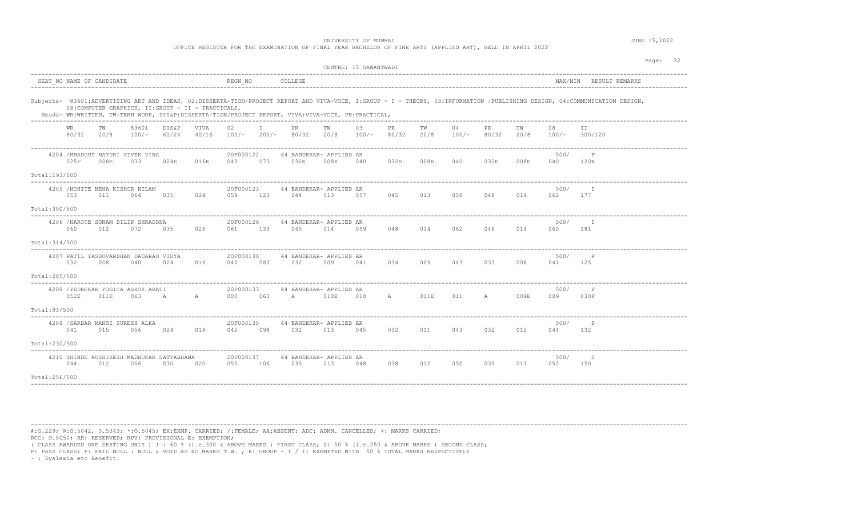UNIVERSITY OF MUMBAI **SECURE 15, 2022** 

|  |  |  |  |  |  |  | OFFICE REGISTER FOR THE EXAMINATION OF FINAL YEAR BACHELOR OF FINE ARTS (APPLIED ART), HELD IN APRIL 2 |  |
|--|--|--|--|--|--|--|--------------------------------------------------------------------------------------------------------|--|
|--|--|--|--|--|--|--|--------------------------------------------------------------------------------------------------------|--|

|                |                           |            |                                                     |                |               |                  |               |                                                                                                    | CENTRE: 15 SAWANTWADI |               |             |            |               |              |            |             | Page: 32                                                                                                                                                                    |
|----------------|---------------------------|------------|-----------------------------------------------------|----------------|---------------|------------------|---------------|----------------------------------------------------------------------------------------------------|-----------------------|---------------|-------------|------------|---------------|--------------|------------|-------------|-----------------------------------------------------------------------------------------------------------------------------------------------------------------------------|
|                | SEAT NO NAME OF CANDIDATE |            |                                                     |                |               | REGN NO          |               | COLLEGE                                                                                            |                       |               |             |            |               |              |            |             | MAX/MIN RESULT REMARKS                                                                                                                                                      |
|                |                           |            | 08: COMPUTER GRAPHICS, II: GROUP - II - PRACTICALS, |                |               |                  |               | Heads- WR:WRITTEN, TW:TERM WORK, DIS&P:DISSERTA-TION/PROJECT REPORT, VIVA:VIVA-VOCE, PR:PRACTICAL, |                       |               |             |            |               |              |            |             | Subjects- 83601:ADVERTISING ART AND IDEAS, 02:DISSERTA-TION/PROJECT REPORT AND VIVA-VOCE, I:GROUP - I - THEORY, 03:INFORMATION /PUBLISHING DESIGN, 04:COMMUNICATION DESIGN, |
|                | WR<br>80/32               | ТW<br>20/8 | 83601<br>100/-                                      | DIS&P<br>60/24 | VIVA<br>40/16 | 02<br>100/-      | T<br>$200/-$  | PR.<br>80/32                                                                                       | TW<br>20/8            | 03<br>$100/-$ | PR<br>80/32 | TW<br>20/8 | 04<br>$100/-$ | PR.<br>80/32 | TW<br>20/8 | 08<br>100/- | T T<br>300/120                                                                                                                                                              |
|                | 025F                      | 008E       | 4204 / MHADGUT MAYURI VIVEK VINA<br>033             | 024E           | 016E          | 20F000122<br>040 | 073           | 44 BANDEKAR- APPLIED AR<br>032E                                                                    | 008E                  | 040           | 032E        | 008E       | 040           | 032E         | 008E       | 500/<br>040 | F<br>120E                                                                                                                                                                   |
| Total:193/500  |                           |            |                                                     |                |               |                  |               |                                                                                                    |                       |               |             |            |               |              |            |             |                                                                                                                                                                             |
|                | 053                       | 011        | 4205 / MOHITE NEHA KISHOR NILAM<br>064              | 035            | 024           | 20F000123<br>059 | 123           | 44 BANDEKAR- APPLIED AR<br>044                                                                     | 013                   | 057           | 045         | 013        | 058           | 048          | 014        | 500/<br>062 | T<br>177                                                                                                                                                                    |
| Total: 300/500 |                           |            |                                                     |                | .             |                  |               |                                                                                                    |                       |               |             |            |               |              |            |             |                                                                                                                                                                             |
|                | 060                       | 012        | 4206 / NAROTE SONAM DILIP SHRADDHA<br>072           | 035            | 026           | 20F000126<br>061 | 133           | 44 BANDEKAR- APPLIED AR<br>045                                                                     | 014                   | 059           | 048         | 014        | 062           | 046          | 014        | 500/<br>060 | $\mathbb{I}$<br>181                                                                                                                                                         |
| Total: 314/500 |                           |            |                                                     |                |               |                  | ------------- |                                                                                                    |                       |               |             |            |               |              |            |             |                                                                                                                                                                             |
|                | 032                       | 008        | 4207 PATIL YASHOVARDHAN DADARAO VIDYA<br>040        | 024            | 016           | 20F000130<br>040 | 080           | 44 BANDEKAR- APPLIED AR<br>032                                                                     | 009                   | 041           | 034         | 009        | 043           | 033          | 008        | 500/<br>041 | $\mathbb{P}$<br>125                                                                                                                                                         |
| Total:205/500  |                           |            |                                                     |                |               |                  |               |                                                                                                    |                       |               |             |            |               |              |            |             |                                                                                                                                                                             |
|                | 052E                      | 011E       | 4208 / PEDNEKAR YOGITA ASHOK ARATI<br>063           | A              | $\mathbb{A}$  | 20F000133<br>000 | 063           | 44 BANDEKAR- APPLIED AR<br>$\overline{A}$                                                          | 010E                  | 010           | A           | 011E       | 011           | $\mathbb A$  | 009E       | 500/<br>009 | F<br>030F                                                                                                                                                                   |
| Total:93/500   |                           |            |                                                     |                |               |                  |               |                                                                                                    |                       |               |             |            |               |              |            |             |                                                                                                                                                                             |
|                | 041                       | 015        | 4209 / SARDAR MANSI SURESH ALKA<br>056              | 024            | 018           | 20F000135<br>042 | 098           | 44 BANDEKAR- APPLIED AR<br>032                                                                     | 013                   | 045           | 032         | 011        | 043           | 032          | 012        | 500/<br>044 | P<br>132                                                                                                                                                                    |
| Total:230/500  |                           |            |                                                     |                |               |                  |               |                                                                                                    |                       |               |             |            |               |              |            |             |                                                                                                                                                                             |
|                | 044                       | 012        | 4210 SHINDE RUSHIKESH MADHUKAR SATYABHAMA<br>056    | 030            | 020           | 20F000137<br>050 | 106           | 44 BANDEKAR- APPLIED AR<br>035                                                                     | 013                   | 048           | 038         | 012        | 050           | 039          | 013        | 500/<br>052 | - S<br>150                                                                                                                                                                  |
| Total:256/500  |                           |            |                                                     |                |               |                  |               |                                                                                                    |                       |               |             |            |               |              |            |             |                                                                                                                                                                             |

----------------------------------------------------------------------------------------------------------------------------------------------------------------------------------------

#:O.229; @:O.5042, 0.5043; \*:O.5045; EX:EXMP. CARRIED; /:FEMALE; AA:ABSENT; ADC: ADMN. CANCELLED; +: MARKS CARRIED; RCC: O.5050; RR: RESERVED; RPV: PROVISIONAL E: EXEMPTION;

( CLASS AWARDED ONE SEATING ONLY ) I : 60 % (i.e.300 & ABOVE MARKS ) FIRST CLASS; S: 50 % (i.e.250 & ABOVE MARKS ) SECOND CLASS;

P: PASS CLASS; F: FAIL NULL : NULL & VOID AS NO MARKS T.W. ; E: GROUP - I / II EXEMPTED WITH 50 % TOTAL MARKS RESPECTIVELY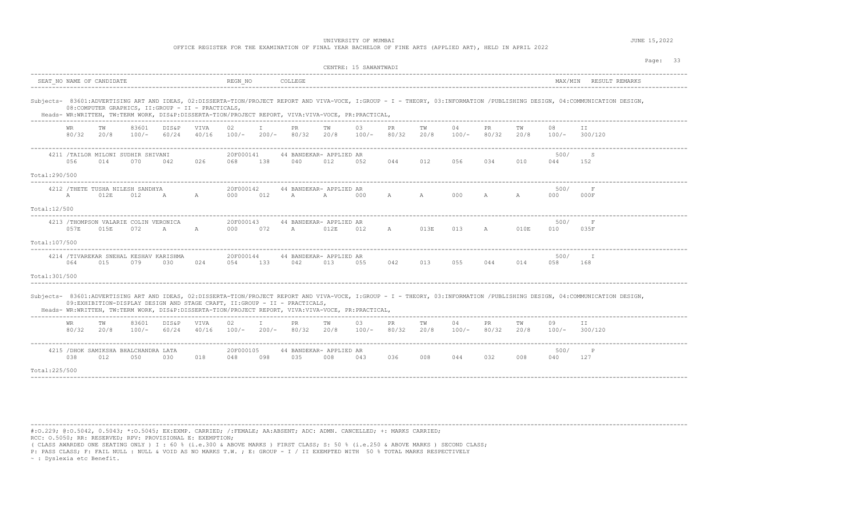| OFFICE REGISTER FOR THE EXAMINATION OF FINAL YEAR BACHELOR OF FINE ARTS (APPLIED ART), HELD IN APRIL 2022 |  |
|-----------------------------------------------------------------------------------------------------------|--|
|                                                                                                           |  |

|                |                    |                                               |                  |                                                     |                      |                  |              |                                                                                                                                                                                 | CENTRE: 15 SAWANTWADI |               |                    |            |               |              |            |               |                                                                                                                                                                             |
|----------------|--------------------|-----------------------------------------------|------------------|-----------------------------------------------------|----------------------|------------------|--------------|---------------------------------------------------------------------------------------------------------------------------------------------------------------------------------|-----------------------|---------------|--------------------|------------|---------------|--------------|------------|---------------|-----------------------------------------------------------------------------------------------------------------------------------------------------------------------------|
|                |                    | SEAT NO NAME OF CANDIDATE                     |                  |                                                     |                      | REGN NO          |              | COLLEGE                                                                                                                                                                         |                       |               |                    |            |               |              |            | MAX/MIN       | RESULT REMARKS<br>________________                                                                                                                                          |
|                |                    |                                               |                  | 08: COMPUTER GRAPHICS, II: GROUP - II - PRACTICALS, |                      |                  |              | Heads- WR:WRITTEN, TW:TERM WORK, DIS&P:DISSERTA-TION/PROJECT REPORT, VIVA:VIVA-VOCE, PR:PRACTICAL,                                                                              |                       |               |                    |            |               |              |            |               | Subjects- 83601:ADVERTISING ART AND IDEAS, 02:DISSERTA-TION/PROJECT REPORT AND VIVA-VOCE, I:GROUP - I - THEORY, 03:INFORMATION /PUBLISHING DESIGN, 04:COMMUNICATION DESIGN, |
|                | 80/32              | TW<br>20/8                                    | 83601<br>$100/-$ | <b>DIS&amp;P</b><br>60/24                           | <b>VIVA</b><br>40/16 | 02.<br>$100/-$   | $200/-$      | PR.<br>80/32                                                                                                                                                                    | TW<br>20/8            | 03<br>$100/-$ | <b>PR</b><br>80/32 | TW<br>20/8 | 04<br>$100/-$ | PR<br>80/32  | ТW<br>20/8 | 08<br>$100/-$ | TT.<br>300/120                                                                                                                                                              |
|                | 056                | 4211 /TAILOR MILONI SUDHIR SHIVANI<br>014     | 070              | 042                                                 | 026                  | 20F000141<br>068 | 138          | 44 BANDEKAR- APPLIED AR<br>040                                                                                                                                                  | 012                   | 052           | 044                | 012        | 056           | 034          | 010        | 500/<br>044   | -S<br>152                                                                                                                                                                   |
| Total:290/500  |                    |                                               |                  |                                                     |                      |                  |              |                                                                                                                                                                                 |                       |               |                    |            |               |              |            |               |                                                                                                                                                                             |
|                | $\mathbb{A}$       | 4212 / THETE TUSHA NILESH SANDHYA<br>012E     | 012              | A                                                   | A                    | 20F000142<br>000 | 012          | 44 BANDEKAR- APPLIED AR<br>$\mathbb{A}$                                                                                                                                         | A                     | 000           | A                  | A          | 000           | A            | A          | 500/<br>000   | $\mathbf{F}$<br>000F                                                                                                                                                        |
| Total:12/500   |                    |                                               |                  |                                                     |                      |                  |              |                                                                                                                                                                                 |                       |               |                    |            |               |              |            |               |                                                                                                                                                                             |
|                | 057E               | 4213 /THOMPSON VALARIE COLIN VERONICA<br>015E | 072              | $\mathbb{A}$                                        | A                    | 20F000143<br>000 | 072          | 44 BANDEKAR- APPLIED AR<br>A                                                                                                                                                    | 012E                  | 012           | A                  | 013E       | 013           | $\mathbb{A}$ | 010E       | 500/<br>010   | F<br>035F                                                                                                                                                                   |
| Total:107/500  |                    |                                               |                  |                                                     |                      |                  |              |                                                                                                                                                                                 |                       |               |                    |            |               |              |            |               |                                                                                                                                                                             |
|                | 064                | 4214 /TIVAREKAR SNEHAL KESHAV KARISHMA<br>015 | 079              | 030                                                 | 024                  | 20F000144<br>054 | 133          | 44 BANDEKAR- APPLIED AR<br>042                                                                                                                                                  | 013                   | 055           | 042                | 013        | 055           | 044          | 014        | 500/<br>058   | <b>I</b><br>168                                                                                                                                                             |
| Total: 301/500 |                    |                                               |                  |                                                     |                      |                  |              |                                                                                                                                                                                 |                       |               |                    |            |               |              |            |               |                                                                                                                                                                             |
|                |                    |                                               |                  |                                                     |                      |                  |              | 09:EXHIBITION-DISPLAY DESIGN AND STAGE CRAFT, II:GROUP - II - PRACTICALS,<br>Heads- WR:WRITTEN, TW:TERM WORK, DIS&P:DISSERTA-TION/PROJECT REPORT, VIVA:VIVA-VOCE, PR:PRACTICAL, |                       |               |                    |            |               |              |            |               | Subjects- 83601:ADVERTISING ART AND IDEAS, 02:DISSERTA-TION/PROJECT REPORT AND VIVA-VOCE, I:GROUP - I - THEORY, 03:INFORMATION /PUBLISHING DESIGN, 04:COMMUNICATION DESIGN, |
|                | <b>WR</b><br>80/32 | TW<br>20/8                                    | 83601<br>$100/-$ | DIS&P<br>60/24                                      | VIVA<br>40/16        | 02<br>$100/-$    | T<br>$200/-$ | PR.<br>80/32                                                                                                                                                                    | TW<br>20/8            | 03<br>$100/-$ | PR.<br>80/32       | TW<br>20/8 | 04<br>$100/-$ | PR.<br>80/32 | TW<br>20/8 | 09<br>$100/-$ | TT.<br>300/120                                                                                                                                                              |
|                | 038                | 4215 / DHOK SAMIKSHA BHALCHANDRA LATA<br>012  | 050              | 030                                                 | 018                  | 20F000105<br>048 | 098          | 44 BANDEKAR- APPLIED AR<br>035                                                                                                                                                  | 008                   | 043           | 036                | 008        | 044           | 032          | 008        | 500/<br>040   | $\mathbb{P}$<br>127                                                                                                                                                         |
| Total: 225/500 |                    |                                               |                  |                                                     |                      |                  |              |                                                                                                                                                                                 |                       |               |                    |            |               |              |            |               |                                                                                                                                                                             |
|                |                    |                                               |                  |                                                     |                      |                  |              |                                                                                                                                                                                 |                       |               |                    |            |               |              |            |               |                                                                                                                                                                             |

----------------------------------------------------------------------------------------------------------------------------------------------------------------------------------------

#:O.229; @:O.5042, 0.5043; \*:O.5045; EX:EXMP. CARRIED; /:FEMALE; AA:ABSENT; ADC: ADMN. CANCELLED; +: MARKS CARRIED; RCC: O.5050; RR: RESERVED; RPV: PROVISIONAL E: EXEMPTION;

( CLASS AWARDED ONE SEATING ONLY ) I : 60 % (i.e.300 & ABOVE MARKS ) FIRST CLASS; S: 50 % (i.e.250 & ABOVE MARKS ) SECOND CLASS;

P: PASS CLASS; F: FAIL NULL : NULL & VOID AS NO MARKS T.W. ; E: GROUP - I / II EXEMPTED WITH 50 % TOTAL MARKS RESPECTIVELY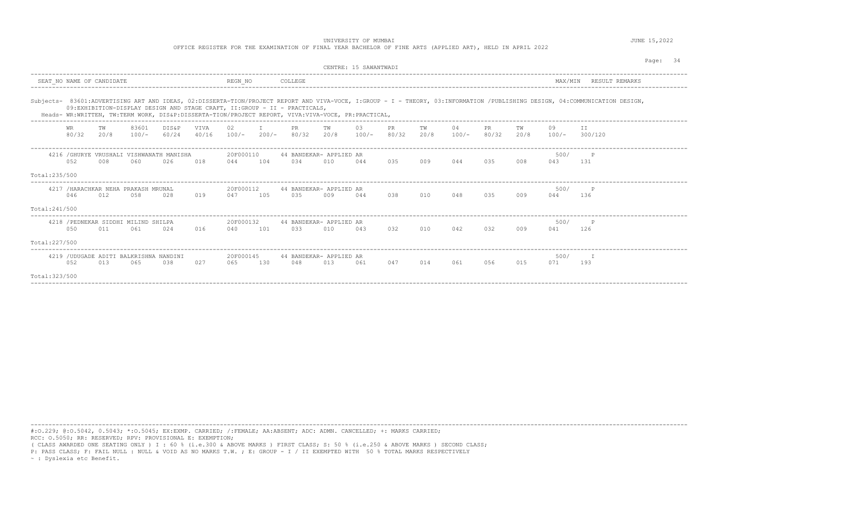UNIVERSITY OF MUMBAI **SECURE 15, 2022** 

OFFICE REGISTER FOR THE EXAMINATION OF FINAL YEAR BACHELOR OF FINE ARTS (APPLIED ART), HELD IN APRIL 2022

|                |             |                                                |                  |                                                  |               |                  |         |                                                                                                                                                                                 | CENTRE: 15 SAWANTWADT |               |              |            |               |              |            |               |                                                                                                                                                                             | Page: 34 |  |
|----------------|-------------|------------------------------------------------|------------------|--------------------------------------------------|---------------|------------------|---------|---------------------------------------------------------------------------------------------------------------------------------------------------------------------------------|-----------------------|---------------|--------------|------------|---------------|--------------|------------|---------------|-----------------------------------------------------------------------------------------------------------------------------------------------------------------------------|----------|--|
|                |             | SEAT NO NAME OF CANDIDATE                      |                  |                                                  |               | REGN NO          |         | COLLEGE                                                                                                                                                                         |                       |               |              |            |               |              |            | MAX/MIN       | RESULT REMARKS                                                                                                                                                              |          |  |
|                |             |                                                |                  |                                                  |               |                  |         | 09:EXHIBITION-DISPLAY DESIGN AND STAGE CRAFT, II:GROUP - II - PRACTICALS,<br>Heads- WR:WRITTEN, TW:TERM WORK, DIS&P:DISSERTA-TION/PROJECT REPORT, VIVA:VIVA-VOCE, PR:PRACTICAL, |                       |               |              |            |               |              |            |               | Subjects- 83601:ADVERTISING ART AND IDEAS, 02:DISSERTA-TION/PROJECT REPORT AND VIVA-VOCE, I:GROUP - I - THEORY, 03:INFORMATION /PUBLISHING DESIGN, 04:COMMUNICATION DESIGN, |          |  |
|                | WR<br>80/32 | TW<br>20/8                                     | 83601<br>$100/-$ | DIS&P<br>60/24                                   | VIVA<br>40/16 | $100/-$          | $200/-$ | PR.<br>80/32                                                                                                                                                                    | TW<br>20/8            | 03<br>$100/-$ | PR.<br>80/32 | TW<br>20/8 | 04<br>$100/-$ | PR.<br>80/32 | TW<br>20/8 | 09<br>$100/-$ | 300/120                                                                                                                                                                     |          |  |
|                | 0.52        | 008                                            | 060              | 4216 / GHURYE VRUSHALI VISHWANATH MANISHA<br>026 | 018           | 20F000110<br>044 | 104     | 44 BANDEKAR- APPLIED AR<br>0.34                                                                                                                                                 | 010                   | 044           | 0.3.5        | 009        | 044           | 035          | 008        | 500/<br>043   | P<br>131                                                                                                                                                                    |          |  |
| Total:235/500  |             |                                                |                  |                                                  |               |                  |         |                                                                                                                                                                                 |                       |               |              |            |               |              |            |               |                                                                                                                                                                             |          |  |
|                | 046         | 4217 / HARACHKAR NEHA PRAKASH MRUNAL<br>012    | 0.58             | 028                                              | 019           | 20F000112<br>047 | 105     | 44 BANDEKAR- APPLIED AR<br>035                                                                                                                                                  | 009                   | 044           | 0.38         | 010        | 048           | 035          | 009        | 500/<br>044   | 136                                                                                                                                                                         |          |  |
| Total:241/500  |             |                                                |                  |                                                  |               |                  |         |                                                                                                                                                                                 |                       |               |              |            |               |              |            |               |                                                                                                                                                                             |          |  |
|                | 0.50        | 4218 / PEDNEKAR SIDDHI MILIND SHILPA<br>011    | 061              | 02.4                                             | 016           | 20F000132<br>040 | 101     | 44 BANDEKAR- APPLIED AR<br>0.3.3                                                                                                                                                | 010                   | 043           | 032          | 010        | 042           | 032          | 009        | 500/<br>041   | P<br>126                                                                                                                                                                    |          |  |
| Total: 227/500 |             |                                                |                  |                                                  |               |                  |         |                                                                                                                                                                                 |                       |               |              |            |               |              |            |               |                                                                                                                                                                             |          |  |
|                | 052         | 4219 / UDUGADE ADITI BALKRISHNA NANDINI<br>013 | 065              | 038                                              | 027           | 20F000145<br>065 | 130     | 44 BANDEKAR- APPLIED AR<br>048                                                                                                                                                  | 013                   | 061           | 047          | 014        | 061           | 056          | 015        | 500/<br>071   | 193                                                                                                                                                                         |          |  |
| Total: 323/500 |             |                                                |                  |                                                  |               |                  |         |                                                                                                                                                                                 |                       |               |              |            |               |              |            |               |                                                                                                                                                                             |          |  |

----------------------------------------------------------------------------------------------------------------------------------------------------------------------------------------

----------------------------------------------------------------------------------------------------------------------------------------------------------------------------------------

#:O.229; @:O.5042, 0.5043; \*:O.5045; EX:EXMP. CARRIED; /:FEMALE; AA:ABSENT; ADC: ADMN. CANCELLED; +: MARKS CARRIED; RCC: O.5050; RR: RESERVED; RPV: PROVISIONAL E: EXEMPTION;

( CLASS AWARDED ONE SEATING ONLY ) I : 60 % (i.e.300 & ABOVE MARKS ) FIRST CLASS; S: 50 % (i.e.250 & ABOVE MARKS ) SECOND CLASS;

P: PASS CLASS; F: FAIL NULL : NULL & VOID AS NO MARKS T.W. ; E: GROUP - I / II EXEMPTED WITH 50 % TOTAL MARKS RESPECTIVELY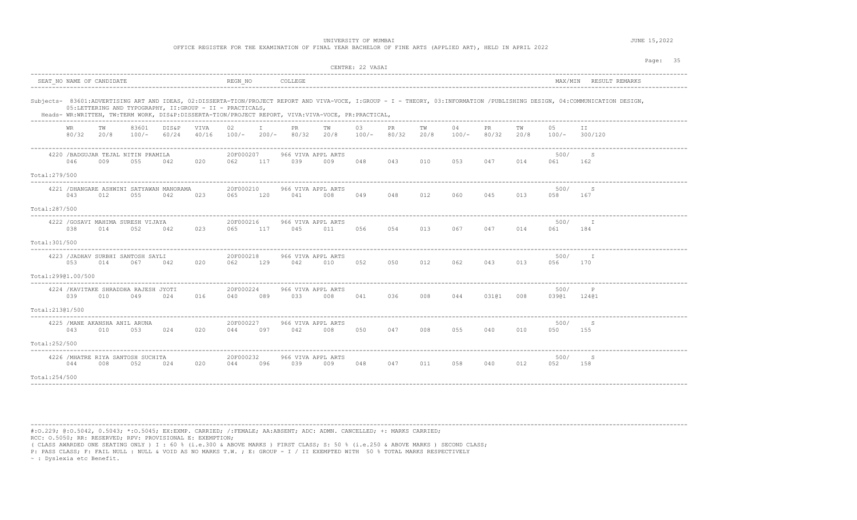| OFFICE REGISTER FOR THE EXAMINATION OF FINAL YEAR BACHELOR OF FINE ARTS (APPLIED ART), HELD IN APRIL 2022 |  |
|-----------------------------------------------------------------------------------------------------------|--|
|-----------------------------------------------------------------------------------------------------------|--|

|                                                                                                                                                                                                                                                                                                                                               |                                                                        | CENTRE: 22 VASAI                                                         | Page: 35                                             |
|-----------------------------------------------------------------------------------------------------------------------------------------------------------------------------------------------------------------------------------------------------------------------------------------------------------------------------------------------|------------------------------------------------------------------------|--------------------------------------------------------------------------|------------------------------------------------------|
| SEAT NO NAME OF CANDIDATE                                                                                                                                                                                                                                                                                                                     | REGN NO<br>COLLEGE                                                     |                                                                          | MAX/MIN RESULT REMARKS                               |
| Subjects- 83601:ADVERTISING ART AND IDEAS, 02:DISSERTA-TION/PROJECT REPORT AND VIVA-VOCE, I:GROUP - I - THEORY, 03:INFORMATION /PUBLISHING DESIGN, 04:COMMUNICATION DESIGN,<br>05:LETTERING AND TYPOGRAPHY, II:GROUP - II - PRACTICALS,<br>Heads- WR:WRITTEN, TW:TERM WORK, DIS&P:DISSERTA-TION/PROJECT REPORT, VIVA:VIVA-VOCE, PR:PRACTICAL, |                                                                        |                                                                          |                                                      |
| 83601<br>DIS&P<br>VIVA<br>WR<br>ТW<br>80/32<br>$100/-$<br>60/24<br>40/16<br>20/8                                                                                                                                                                                                                                                              | 02<br>$\mathbb{I}$<br>PR.<br>TW<br>$100/-$<br>$200/-$<br>80/32<br>20/8 | 03<br>PR<br>TW<br>04<br><b>PR</b><br>80/32<br>20/8<br>$100/-$<br>$100/-$ | TW<br>0.5<br>TT<br>80/32<br>300/120<br>20/8<br>100/- |
| 4220 / BADGUJAR TEJAL NITIN PRAMILA<br>046<br>009<br>055<br>042<br>020                                                                                                                                                                                                                                                                        | 20F000207<br>966 VIVA APPL ARTS<br>062<br>117<br>039<br>009            | 048<br>043<br>010<br>053                                                 | 500/<br>-S<br>047<br>014<br>061<br>162               |
| Total: 279/500                                                                                                                                                                                                                                                                                                                                |                                                                        |                                                                          |                                                      |
| 4221 / DHANGARE ASHWINI SATYAWAN MANORAMA<br>043<br>012<br>055<br>042<br>023                                                                                                                                                                                                                                                                  | 20F000210<br>966 VIVA APPL ARTS<br>065<br>120<br>041<br>008            | 060<br>049<br>048<br>012                                                 | 500/<br>S<br>045<br>013<br>058<br>167                |
| Total:287/500                                                                                                                                                                                                                                                                                                                                 |                                                                        |                                                                          |                                                      |
| 4222 / GOSAVI MAHIMA SURESH VIJAYA<br>038<br>014<br>052<br>042<br>023                                                                                                                                                                                                                                                                         | 20F000216<br>966 VIVA APPL ARTS<br>117<br>065<br>045<br>011            | 056<br>054 013<br>067 047                                                | 500/<br>- т<br>014<br>061<br>184                     |
| Total: 301/500                                                                                                                                                                                                                                                                                                                                |                                                                        |                                                                          |                                                      |
| ----------<br>4223 /JADHAV SURBHI SANTOSH SAYLI<br>020<br>053<br>014<br>067<br>042                                                                                                                                                                                                                                                            | 20F000218<br>966 VIVA APPL ARTS<br>062<br>129<br>042<br>010            | 052<br>050<br>012<br>062                                                 | 500/<br>T<br>013<br>043<br>056<br>170                |
| Total:29901.00/500                                                                                                                                                                                                                                                                                                                            |                                                                        |                                                                          |                                                      |
| 4224 / KAVITAKE SHRADDHA RAJESH JYOTI<br>039<br>016<br>010<br>049<br>024                                                                                                                                                                                                                                                                      | 20F000224<br>966 VIVA APPL ARTS<br>033<br>008<br>040<br>089            | 041<br>008<br>036<br>044                                                 | 500/<br>P<br>03101<br>03901 12401<br>008             |
| Total:21301/500                                                                                                                                                                                                                                                                                                                               |                                                                        |                                                                          |                                                      |
| 4225 / MANE AKANSHA ANIL ARUNA<br>043<br>010<br>053<br>024<br>020                                                                                                                                                                                                                                                                             | 20F000227<br>966 VIVA APPL ARTS<br>044<br>097<br>042<br>008            | 055<br>050<br>047<br>008                                                 | 500/<br>- S<br>040<br>010<br>050<br>155              |
| Total:252/500                                                                                                                                                                                                                                                                                                                                 |                                                                        |                                                                          |                                                      |
| 4226 / MHATRE RIYA SANTOSH SUCHITA<br>044<br>008<br>052<br>024<br>020                                                                                                                                                                                                                                                                         | 20F000232<br>966 VIVA APPL ARTS<br>039<br>009<br>044<br>096            | 058<br>048<br>047<br>011                                                 | 500/<br>S<br>040<br>012<br>052<br>158                |
| Total: 254/500                                                                                                                                                                                                                                                                                                                                |                                                                        |                                                                          |                                                      |

----------------------------------------------------------------------------------------------------------------------------------------------------------------------------------------

#:O.229; @:O.5042, 0.5043; \*:O.5045; EX:EXMP. CARRIED; /:FEMALE; AA:ABSENT; ADC: ADMN. CANCELLED; +: MARKS CARRIED; RCC: O.5050; RR: RESERVED; RPV: PROVISIONAL E: EXEMPTION;

( CLASS AWARDED ONE SEATING ONLY ) I : 60 % (i.e.300 & ABOVE MARKS ) FIRST CLASS; S: 50 % (i.e.250 & ABOVE MARKS ) SECOND CLASS;

P: PASS CLASS; F: FAIL NULL : NULL & VOID AS NO MARKS T.W. ; E: GROUP - I / II EXEMPTED WITH 50 % TOTAL MARKS RESPECTIVELY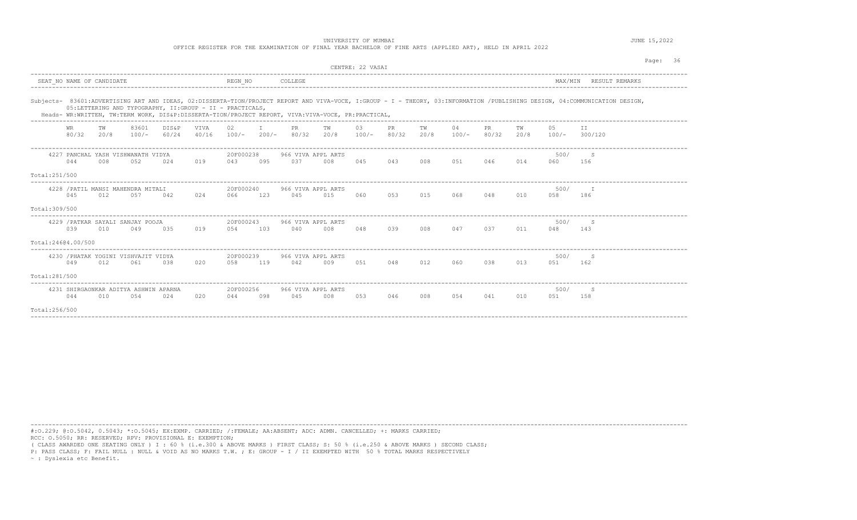OFFICE REGISTER FOR THE EXAMINATION OF FINAL YEAR BACHELOR OF FINE ARTS (APPLIED ART), HELD IN APRIL 2022

|                    |             |                           |                                              |                                                          |               |                     |     |                                                                                                    |            | CENTRE: 22 VASAI |              |            |               |              |            |               | Page: 36                                                                                                                                                                    |
|--------------------|-------------|---------------------------|----------------------------------------------|----------------------------------------------------------|---------------|---------------------|-----|----------------------------------------------------------------------------------------------------|------------|------------------|--------------|------------|---------------|--------------|------------|---------------|-----------------------------------------------------------------------------------------------------------------------------------------------------------------------------|
|                    |             | SEAT NO NAME OF CANDIDATE |                                              |                                                          |               | REGN NO             |     | COLLEGE                                                                                            |            |                  |              |            |               |              |            |               | MAX/MIN RESULT REMARKS                                                                                                                                                      |
|                    |             |                           |                                              | 05:LETTERING AND TYPOGRAPHY, II:GROUP - II - PRACTICALS, |               |                     |     | Heads- WR:WRITTEN, TW:TERM WORK, DIS&P:DISSERTA-TION/PROJECT REPORT, VIVA:VIVA-VOCE, PR:PRACTICAL, |            |                  |              |            |               |              |            |               | Subjects- 83601:ADVERTISING ART AND IDEAS, 02:DISSERTA-TION/PROJECT REPORT AND VIVA-VOCE, I:GROUP - I - THEORY, 03:INFORMATION /PUBLISHING DESIGN, 04:COMMUNICATION DESIGN, |
|                    | WR<br>80/32 | TW<br>20/8                | 83601<br>$100/-$                             | DIS&P<br>60/24                                           | VTVA<br>40/16 | 02<br>$100/- 200/-$ |     | PR.<br>80/32                                                                                       | TW<br>20/8 | 03<br>$100/-$    | PR.<br>80/32 | TW<br>20/8 | 04<br>$100/-$ | PR.<br>80/32 | TW<br>20/8 | 05<br>$100/-$ | TT.<br>300/120                                                                                                                                                              |
|                    | 044         | 008                       | 4227 PANCHAL YASH VISHWANATH VIDYA<br>052    | 02.4                                                     | 019           | 20F000238<br>043    | 095 | 966 VIVA APPL ARTS<br>0.37                                                                         | 008        | 045              | 043          | 008        | 051           | 046          | 014        | 500/<br>060   | S.<br>156                                                                                                                                                                   |
| Total:251/500      |             |                           |                                              |                                                          |               |                     |     |                                                                                                    |            |                  |              |            |               |              |            |               |                                                                                                                                                                             |
|                    | 045         | 012                       | 4228 / PATIL MANSI MAHENDRA MITALI<br>0.57   | 042                                                      | 024           | 20F000240<br>066    | 123 | 966 VIVA APPL ARTS<br>045                                                                          | 015        | 060              | 0.53         | 015        | 068           | 048          | 010        | 500/<br>0.58  | T<br>186                                                                                                                                                                    |
| Total: 309/500     |             |                           |                                              |                                                          |               |                     |     |                                                                                                    |            |                  |              |            |               |              |            |               |                                                                                                                                                                             |
|                    | 039         | 010                       | 4229 / PATKAR SAYALI SANJAY POOJA<br>049     | 0.3.5                                                    | 019           | 20F000243<br>0.54   | 103 | 966 VIVA APPL ARTS<br>040                                                                          | 008        | 048              | 039          | 008        | 047           | 037          | 011        | 500/<br>048   | S.<br>143                                                                                                                                                                   |
| Total:24604.00/500 |             |                           |                                              |                                                          |               |                     |     |                                                                                                    |            |                  |              |            |               |              |            |               |                                                                                                                                                                             |
|                    | 049         | 012                       | 4230 / PHATAK YOGINI VISHVAJIT VIDYA<br>061  | 038                                                      | 020           | 20F000239<br>058    | 119 | 966 VIVA APPL ARTS<br>042                                                                          | 009        | 051              | 048          | 012        | 060           | 038          | 013        | 500/<br>051   | S.<br>162                                                                                                                                                                   |
| Total:281/500      |             |                           |                                              |                                                          |               |                     |     |                                                                                                    |            |                  |              |            |               |              |            |               |                                                                                                                                                                             |
|                    | 044         | 010                       | 4231 SHIRGAONKAR ADITYA ASHWIN APARNA<br>054 | 024                                                      | 020           | 20F000256<br>044    | 098 | 966 VIVA APPL ARTS<br>045                                                                          | 008        | 053              | 046          | 008        | 054           | 041          | 010        | 500/<br>051   | S.<br>158                                                                                                                                                                   |
| Total:256/500      |             |                           |                                              |                                                          |               |                     |     |                                                                                                    |            |                  |              |            |               |              |            |               |                                                                                                                                                                             |

----------------------------------------------------------------------------------------------------------------------------------------------------------------------------------------

----------------------------------------------------------------------------------------------------------------------------------------------------------------------------------------

#:O.229; @:O.5042, 0.5043; \*:O.5045; EX:EXMP. CARRIED; /:FEMALE; AA:ABSENT; ADC: ADMN. CANCELLED; +: MARKS CARRIED; RCC: O.5050; RR: RESERVED; RPV: PROVISIONAL E: EXEMPTION;

( CLASS AWARDED ONE SEATING ONLY ) I : 60 % (i.e.300 & ABOVE MARKS ) FIRST CLASS; S: 50 % (i.e.250 & ABOVE MARKS ) SECOND CLASS;

P: PASS CLASS; F: FAIL NULL : NULL & VOID AS NO MARKS T.W. ; E: GROUP - I / II EXEMPTED WITH 50 % TOTAL MARKS RESPECTIVELY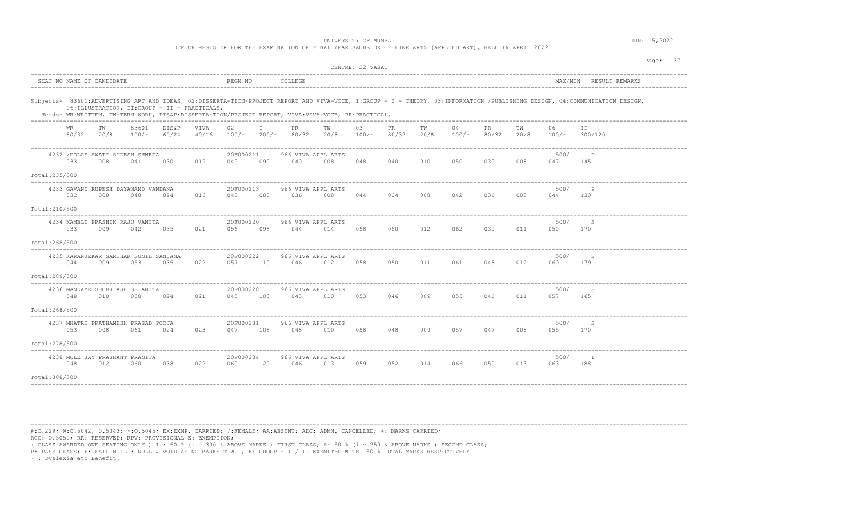OFFICE REGISTER FOR THE EXAMINATION OF FINAL YEAR BACHELOR OF FINE ARTS (APPLIED ART), HELD IN APRIL 2022

|                                |             |                           |                                                |                |                   |                      |     |                                                                                                    |            | CENTRE: 22 VASAI |              |            |             |              |            |               |                                                                                                                                                                             | Page: 37 |
|--------------------------------|-------------|---------------------------|------------------------------------------------|----------------|-------------------|----------------------|-----|----------------------------------------------------------------------------------------------------|------------|------------------|--------------|------------|-------------|--------------|------------|---------------|-----------------------------------------------------------------------------------------------------------------------------------------------------------------------------|----------|
|                                |             | SEAT NO NAME OF CANDIDATE |                                                |                |                   | REGN NO              |     | COLLEGE                                                                                            |            |                  |              |            |             |              |            |               | MAX/MIN RESULT REMARKS                                                                                                                                                      |          |
|                                |             |                           | 06: ILLUSTRATION, II: GROUP - II - PRACTICALS, |                |                   |                      |     | Heads- WR:WRITTEN, TW:TERM WORK, DIS&P:DISSERTA-TION/PROJECT REPORT, VIVA:VIVA-VOCE, PR:PRACTICAL, |            |                  |              |            |             |              |            |               | Subjects- 83601:ADVERTISING ART AND IDEAS, 02:DISSERTA-TION/PROJECT REPORT AND VIVA-VOCE, I:GROUP - I - THEORY, 03:INFORMATION /PUBLISHING DESIGN, 04:COMMUNICATION DESIGN, |          |
|                                | WR<br>80/32 | TW<br>20/8                | 83601<br>$100/-$                               | DIS&P<br>60/24 | VIVA<br>40/16     | 02                   |     | PR<br>$100/-$ 200/- 80/32                                                                          | TW<br>20/8 | 03<br>$100/-$    | PR.<br>80/32 | TW<br>20/8 | 04<br>100/- | PR.<br>80/32 | TW<br>20/8 | 06<br>$100/-$ | TT.<br>300/120                                                                                                                                                              |          |
|                                | 033         | 008                       | 4232 / DOLAS SWATI SUDESH SHWETA<br>041        | 030            | 019               | 20F000211<br>049     | 090 | 966 VIVA APPL ARTS<br>040                                                                          | 008        | 048              | 040          | 010        | 050         | 039          | 008        | 500/<br>047   | $\mathbb{P}$<br>145                                                                                                                                                         |          |
| Total:235/500<br>Total:210/500 | 032         | 008                       | 4233 GAVAND RUPESH DAYANAND VANDANA<br>040     | 024            | 016               | 20F000213<br>040     | 080 | 966 VIVA APPL ARTS<br>036                                                                          | 008        | 044              | 034          | 008        | 042         | 036          | 008        | 500/<br>044   | $\mathsf{P}$<br>130                                                                                                                                                         |          |
| Total:268/500                  | 033         | 009                       | 4234 KAMBLE PRASHIK RAJU VANITA<br>042         | 035            | 021               | 20F000220<br>056     | 098 | 966 VIVA APPL ARTS<br>044                                                                          | 014        | 058              | 050          | 012        | 062         | 039          | 011        | 500/<br>050   | S<br>170                                                                                                                                                                    |          |
| Total:289/500                  | 044         | 009                       | 4235 KARANJEKAR SARTHAK SUNIL SANJANA<br>053   | 035            | ----------<br>022 | 20F000222<br>057 110 |     | 966 VIVA APPL ARTS<br>046                                                                          | 012        | 058              | 050          | 011        | 061 0       | 048          | 012        | 500/<br>060   | -S<br>179                                                                                                                                                                   |          |
| Total:268/500                  | 048         | 010                       | 4236 MANKAME SHUBH ASHISH ANITA<br>058         | 024            | 021               | 20F000228<br>045     | 103 | 966 VIVA APPL ARTS<br>043                                                                          | 010        | 053              | 046          | 009        | 055         | 046          | 011        | 500/<br>057   | -S<br>165                                                                                                                                                                   |          |
| Total:278/500                  | 053         | 008                       | 4237 MHATRE PRATHAMESH PRASAD POOJA<br>061     | 024            | 023               | 20F000231<br>047     | 108 | 966 VIVA APPL ARTS<br>048                                                                          | 010        | 058              | 048          | 009        | 057         | 047          | 008        | 500/<br>055   | S<br>170                                                                                                                                                                    |          |
| Total: 308/500                 | 048         | 012                       | 4238 MULE JAY PRASHANT PRANITA<br>060          | 038            | 022               | 20F000234<br>060     | 120 | 966 VIVA APPL ARTS<br>046                                                                          | 013        | 059              | 052          | 014        | 066         | 050          | 013        | 500/<br>063   | I<br>188                                                                                                                                                                    |          |

----------------------------------------------------------------------------------------------------------------------------------------------------------------------------------------

#:O.229; @:O.5042, 0.5043; \*:O.5045; EX:EXMP. CARRIED; /:FEMALE; AA:ABSENT; ADC: ADMN. CANCELLED; +: MARKS CARRIED; RCC: O.5050; RR: RESERVED; RPV: PROVISIONAL E: EXEMPTION;

( CLASS AWARDED ONE SEATING ONLY ) I : 60 % (i.e.300 & ABOVE MARKS ) FIRST CLASS; S: 50 % (i.e.250 & ABOVE MARKS ) SECOND CLASS;

P: PASS CLASS; F: FAIL NULL : NULL & VOID AS NO MARKS T.W. ; E: GROUP - I / II EXEMPTED WITH 50 % TOTAL MARKS RESPECTIVELY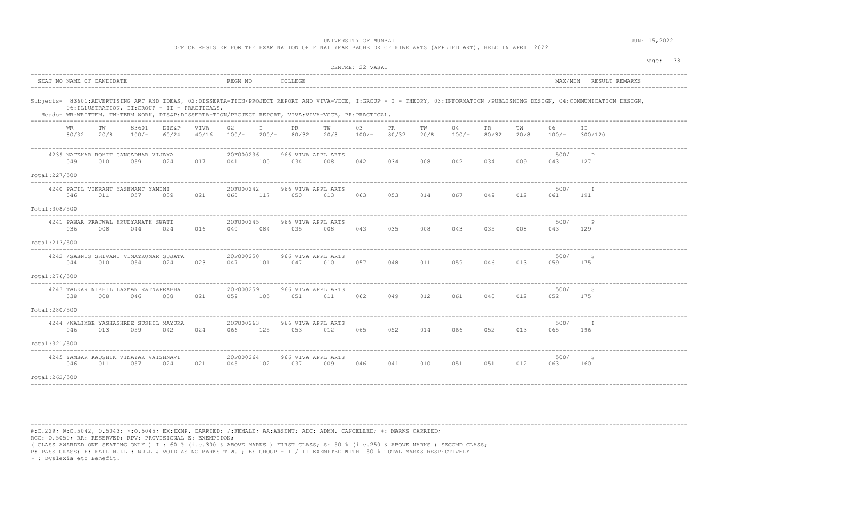OFFICE REGISTER FOR THE EXAMINATION OF FINAL YEAR BACHELOR OF FINE ARTS (APPLIED ART), HELD IN APRIL 2022

|                                                                                                    |            |                  |                                                                                       |               |                  |         |                           |            | CENTRE: 22 VASAI |              |            |             |              |            |             |                                                                                                                                                                             | Page: 38 |
|----------------------------------------------------------------------------------------------------|------------|------------------|---------------------------------------------------------------------------------------|---------------|------------------|---------|---------------------------|------------|------------------|--------------|------------|-------------|--------------|------------|-------------|-----------------------------------------------------------------------------------------------------------------------------------------------------------------------------|----------|
| SEAT NO NAME OF CANDIDATE                                                                          |            |                  |                                                                                       |               | REGN NO          |         | COLLEGE                   |            |                  |              |            |             |              |            |             | MAX/MIN RESULT REMARKS                                                                                                                                                      |          |
| Heads- WR:WRITTEN, TW:TERM WORK, DIS&P:DISSERTA-TION/PROJECT REPORT, VIVA:VIVA-VOCE, PR:PRACTICAL, |            |                  | 06: ILLUSTRATION, II: GROUP - II - PRACTICALS,<br>___________________________________ |               |                  |         |                           |            |                  |              |            |             |              |            |             | Subjects- 83601:ADVERTISING ART AND IDEAS, 02:DISSERTA-TION/PROJECT REPORT AND VIVA-VOCE, I:GROUP - I - THEORY, 03:INFORMATION /PUBLISHING DESIGN, 04:COMMUNICATION DESIGN, |          |
| <b>WR</b><br>80/32                                                                                 | TW<br>20/8 | 83601<br>$100/-$ | DIS&P<br>60/24                                                                        | VIVA<br>40/16 | 02<br>$100/-$    | $200/-$ | PR.<br>80/32              | TW<br>20/8 | 03<br>$100/-$    | PR.<br>80/32 | TW<br>20/8 | 04<br>100/- | PR.<br>80/32 | тw<br>20/8 | 06<br>100/- | ΙI<br>300/120                                                                                                                                                               |          |
| 4239 NATEKAR ROHIT GANGADHAR VIJAYA<br>049                                                         | 010        | 059              | 024                                                                                   | 017           | 20F000236<br>041 | 100     | 966 VIVA APPL ARTS<br>034 | 008        | 042              | 034          | 008        | 042         | 034          | 009        | 500/<br>043 | P<br>127                                                                                                                                                                    |          |
| Total:227/500<br>4240 PATIL VIKRANT YASHWANT YAMINI<br>046<br>Total: 308/500                       | 011        | 057              | 039                                                                                   | 021           | 20F000242<br>060 | 117     | 966 VIVA APPL ARTS<br>050 | 013        | 063              | 053          | 014        | 067         | 049          | 012        | 500/<br>061 | - т<br>191                                                                                                                                                                  |          |
| 4241 PAWAR PRAJWAL HRUDYANATH SWATI<br>036<br>Total: 213/500                                       | 008        | 044              | 024                                                                                   | 016           | 20F000245<br>040 | 084     | 966 VIVA APPL ARTS<br>035 | 008        | 043              | 035          | 008        | 043         | 035          | 008        | 500/<br>043 | $\mathsf{P}$<br>129                                                                                                                                                         |          |
| 4242 / SABNIS SHIVANI VINAYKUMAR SUJATA<br>044<br>Total: 276/500                                   | 010        | 054              | 024                                                                                   | 023           | 20F000250<br>047 | 101     | 966 VIVA APPL ARTS<br>047 | 010        | 057              | 048          | 011        | 059         | 046          | 013        | 500/<br>059 | S<br>175                                                                                                                                                                    |          |
| 4243 TALKAR NIKHIL LAXMAN RATNAPRABHA<br>038<br>Total:280/500                                      | 008        | 046              | 038                                                                                   | 021           | 20F000259<br>059 | 105     | 966 VIVA APPL ARTS<br>051 | 011        | 062              | 049          | 012        | 061         | 040          | 012        | 500/<br>052 | S<br>175                                                                                                                                                                    |          |
| 4244 / WALIMBE YASHASHREE SUSHIL MAYURA<br>046<br>Total: 321/500                                   | 013        | 059              | 042                                                                                   | 024           | 20F000263<br>066 | 125     | 966 VIVA APPL ARTS<br>053 | 012        | 065              | 052          | 014        | 066         | 052          | 013        | 500/<br>065 | I<br>196                                                                                                                                                                    |          |
| 4245 YAMBAR KAUSHIK VINAYAK VAISHNAVI<br>046<br>Total:262/500                                      | 011        | 057              | 024                                                                                   | 021           | 20F000264<br>045 | 102     | 966 VIVA APPL ARTS<br>037 | 009        | 046              | 041          | 010        | 051         | 051          | 012        | 500/<br>063 | S<br>160                                                                                                                                                                    |          |

----------------------------------------------------------------------------------------------------------------------------------------------------------------------------------------

#:O.229; @:O.5042, 0.5043; \*:O.5045; EX:EXMP. CARRIED; /:FEMALE; AA:ABSENT; ADC: ADMN. CANCELLED; +: MARKS CARRIED; RCC: O.5050; RR: RESERVED; RPV: PROVISIONAL E: EXEMPTION;

( CLASS AWARDED ONE SEATING ONLY ) I : 60 % (i.e.300 & ABOVE MARKS ) FIRST CLASS; S: 50 % (i.e.250 & ABOVE MARKS ) SECOND CLASS;

P: PASS CLASS; F: FAIL NULL : NULL & VOID AS NO MARKS T.W. ; E: GROUP - I / II EXEMPTED WITH 50 % TOTAL MARKS RESPECTIVELY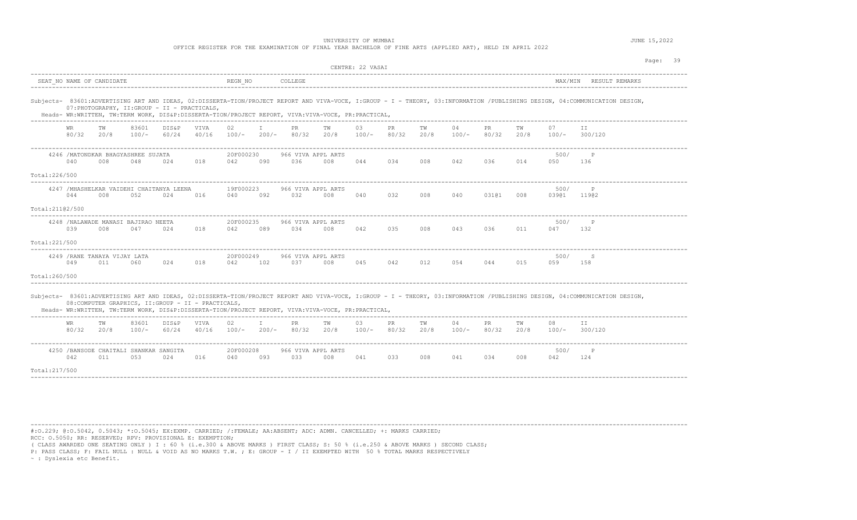OFFICE REGISTER FOR THE EXAMINATION OF FINAL YEAR BACHELOR OF FINE ARTS (APPLIED ART), HELD IN APRIL 2022

|                  |                    |                                                                            |                  |                |                      |                  |         |                           |                                                                                                    | CENTRE: 22 VASAI |             |            |               |              |            |               |                                                                                                                                                                             | Page: 39 |  |
|------------------|--------------------|----------------------------------------------------------------------------|------------------|----------------|----------------------|------------------|---------|---------------------------|----------------------------------------------------------------------------------------------------|------------------|-------------|------------|---------------|--------------|------------|---------------|-----------------------------------------------------------------------------------------------------------------------------------------------------------------------------|----------|--|
|                  |                    | SEAT NO NAME OF CANDIDATE                                                  |                  |                |                      | REGN NO          |         | COLLEGE                   |                                                                                                    |                  |             |            |               |              |            | MAX/MIN       | RESULT REMARKS                                                                                                                                                              |          |  |
|                  |                    | 07: PHOTOGRAPHY, II: GROUP - II - PRACTICALS,                              |                  |                |                      |                  |         |                           | Heads- WR:WRITTEN, TW:TERM WORK, DIS&P:DISSERTA-TION/PROJECT REPORT, VIVA:VIVA-VOCE, PR:PRACTICAL, |                  |             |            |               |              |            |               | Subjects- 83601:ADVERTISING ART AND IDEAS, 02:DISSERTA-TION/PROJECT REPORT AND VIVA-VOCE, I:GROUP - I - THEORY, 03:INFORMATION /PUBLISHING DESIGN, 04:COMMUNICATION DESIGN, |          |  |
|                  | <b>WR</b><br>80/32 | TW<br>20/8                                                                 | 83601<br>$100/-$ | DIS&P<br>60/24 | <b>VIVA</b><br>40/16 | 02<br>$100/-$    | $200/-$ | PR.<br>80/32              | тw<br>20/8                                                                                         | 03<br>$100/-$    | PR<br>80/32 | TW<br>20/8 | 04<br>100/-   | PR.<br>80/32 | тw<br>20/8 | 07<br>100/-   | ΙI<br>300/120                                                                                                                                                               |          |  |
|                  | 040                | 4246 / MATONDKAR BHAGYASHREE SUJATA<br>008                                 | 048              | 024            | 018                  | 20F000230<br>042 | 090     | 966 VIVA APPL ARTS<br>036 | 008                                                                                                | 044              | 034         | 008        | 042           | 036          | 014        | 500/<br>050   | P<br>136                                                                                                                                                                    |          |  |
| Total: 226/500   |                    |                                                                            |                  |                |                      |                  |         |                           |                                                                                                    |                  |             |            |               |              |            |               |                                                                                                                                                                             |          |  |
|                  | 044                | 4247 / MHASHELKAR VAIDEHI CHAITANYA LEENA<br>008                           | 052              | 024            | 016                  | 19F000223<br>040 | 092     | 966 VIVA APPL ARTS<br>032 | 008                                                                                                | 040              | 032         | 008        | 040           | 03101        | 008        | 500/<br>03901 | $\mathsf{P}$<br>11902                                                                                                                                                       |          |  |
| Total: 21102/500 |                    |                                                                            |                  |                |                      |                  |         |                           |                                                                                                    |                  |             |            |               |              |            |               |                                                                                                                                                                             |          |  |
|                  | 039                | 4248 /NALAWADE MANASI BAJIRAO NEETA<br>008                                 | 047              | 024            | 018                  | 20F000235<br>042 | 089     | 966 VIVA APPL ARTS<br>034 | 008                                                                                                | 042              | 035         | 008        | 043           | 036          | 011        | 500/<br>047   | P<br>132                                                                                                                                                                    |          |  |
| Total: 221/500   |                    |                                                                            |                  |                |                      |                  |         |                           |                                                                                                    |                  |             |            |               |              |            |               |                                                                                                                                                                             |          |  |
| Total:260/500    | 049                | 4249 / RANE TANAYA VIJAY LATA<br>011                                       | 060              | 024            | 018                  | 20F000249<br>042 | 102     | 966 VIVA APPL ARTS<br>037 | 008                                                                                                | 045              | 042         | 012        | 054           | 044          | 015        | 500/<br>059   | S<br>158                                                                                                                                                                    |          |  |
|                  |                    | 08: COMPUTER GRAPHICS, II: GROUP - II - PRACTICALS,<br>------------------- |                  |                |                      |                  |         |                           | Heads- WR:WRITTEN, TW:TERM WORK, DIS&P:DISSERTA-TION/PROJECT REPORT, VIVA:VIVA-VOCE, PR:PRACTICAL, |                  |             |            |               |              |            |               | Subjects- 83601:ADVERTISING ART AND IDEAS, 02:DISSERTA-TION/PROJECT REPORT AND VIVA-VOCE, I:GROUP - I - THEORY, 03:INFORMATION /PUBLISHING DESIGN, 04:COMMUNICATION DESIGN, |          |  |
|                  | WR<br>80/32        | ΤW<br>20/8                                                                 | 83601<br>$100/-$ | DIS&P<br>60/24 | VIVA<br>40/16        | 02<br>$100/-$    | $200/-$ | PR<br>80/32               | ΤW<br>20/8                                                                                         | 03<br>$100/-$    | PR<br>80/32 | ΤW<br>20/8 | 04<br>$100/-$ | PR<br>80/32  | ΤW<br>20/8 | 08<br>$100/-$ | ΙI<br>300/120                                                                                                                                                               |          |  |
|                  | 042                | 4250 / BANSODE CHAITALI SHANKAR SANGITA<br>011                             | 053              | 024            | 016                  | 20F000208<br>040 | 093     | 966 VIVA APPL ARTS<br>033 | 008                                                                                                | 041              | 033         | 008        | 041           | 034          | 008        | 500/<br>042   | P<br>124                                                                                                                                                                    |          |  |
| Total: 217/500   |                    |                                                                            |                  |                |                      |                  |         |                           |                                                                                                    |                  |             |            |               |              |            |               |                                                                                                                                                                             |          |  |
|                  |                    |                                                                            |                  |                |                      |                  |         |                           |                                                                                                    |                  |             |            |               |              |            |               |                                                                                                                                                                             |          |  |

----------------------------------------------------------------------------------------------------------------------------------------------------------------------------------------

#:O.229; @:O.5042, 0.5043; \*:O.5045; EX:EXMP. CARRIED; /:FEMALE; AA:ABSENT; ADC: ADMN. CANCELLED; +: MARKS CARRIED; RCC: O.5050; RR: RESERVED; RPV: PROVISIONAL E: EXEMPTION;

( CLASS AWARDED ONE SEATING ONLY ) I : 60 % (i.e.300 & ABOVE MARKS ) FIRST CLASS; S: 50 % (i.e.250 & ABOVE MARKS ) SECOND CLASS;

P: PASS CLASS; F: FAIL NULL : NULL & VOID AS NO MARKS T.W. ; E: GROUP - I / II EXEMPTED WITH 50 % TOTAL MARKS RESPECTIVELY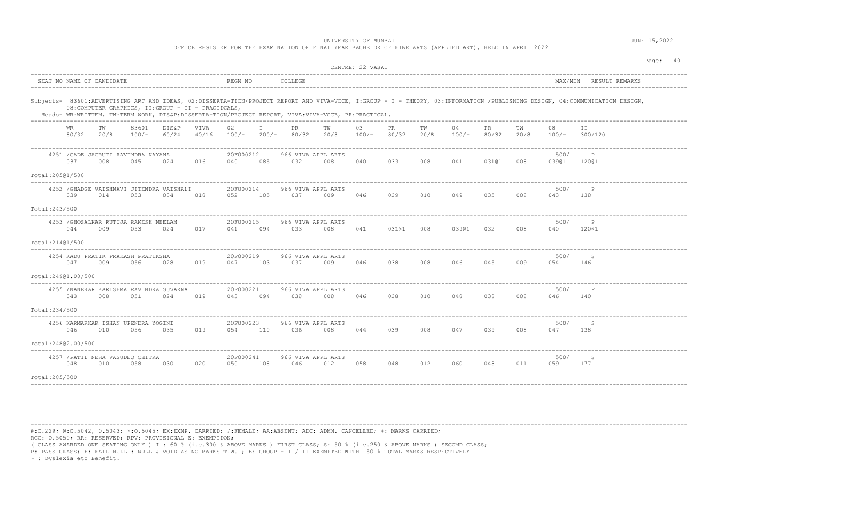|                    |                    |                           |                                              |                                                     |               |                      |              |                                                                                                    |     | CENTRE: 22 VASAI |             |            |               |              |            |                 | Page: 40                                                                                                                                                                    |
|--------------------|--------------------|---------------------------|----------------------------------------------|-----------------------------------------------------|---------------|----------------------|--------------|----------------------------------------------------------------------------------------------------|-----|------------------|-------------|------------|---------------|--------------|------------|-----------------|-----------------------------------------------------------------------------------------------------------------------------------------------------------------------------|
|                    |                    | SEAT NO NAME OF CANDIDATE |                                              |                                                     |               | REGN NO              |              | COLLEGE                                                                                            |     |                  |             |            |               |              |            |                 | MAX/MIN RESULT REMARKS                                                                                                                                                      |
|                    |                    |                           |                                              | 08: COMPUTER GRAPHICS, II: GROUP - II - PRACTICALS, |               |                      |              | Heads- WR:WRITTEN, TW:TERM WORK, DIS&P:DISSERTA-TION/PROJECT REPORT, VIVA:VIVA-VOCE, PR:PRACTICAL, |     |                  |             |            |               |              |            |                 | Subjects- 83601:ADVERTISING ART AND IDEAS, 02:DISSERTA-TION/PROJECT REPORT AND VIVA-VOCE, I:GROUP - I - THEORY, 03:INFORMATION /PUBLISHING DESIGN, 04:COMMUNICATION DESIGN, |
|                    | WR<br>80/32        | TW<br>20/8                | 83601<br>100/-                               | DIS&P<br>60/24                                      | VIVA<br>40/16 | 02<br>$100/-$        | T<br>$200/-$ | PR.<br>80/32 20/8                                                                                  | TW  | 03<br>$100/-$    | PR<br>80/32 | TW<br>20/8 | 04<br>$100/-$ | PR.<br>80/32 | TW<br>20/8 | 08<br>100/-     | T T<br>300/120                                                                                                                                                              |
|                    | 0.37               | 008                       | 4251 / GADE JAGRUTI RAVINDRA NAYANA<br>045   | 024                                                 | 016           | 20F000212<br>040     | 085          | 966 VIVA APPL ARTS<br>032                                                                          | 008 | 040              | 033         | 008        | 041           | 03101        | 008        | 500/<br>03901   | P<br>12001                                                                                                                                                                  |
| Total:20501/500    |                    |                           |                                              |                                                     |               |                      |              |                                                                                                    |     |                  |             |            |               |              |            |                 |                                                                                                                                                                             |
|                    | 039                | 014                       | 053                                          | 4252 / GHADGE VAISHNAVI JITENDRA VAISHALI<br>034    | 018           | 20F000214<br>052     | 105          | 966 VIVA APPL ARTS<br>037                                                                          | 009 | 046              | 039         | 010        | 049           | 035          | 008        | 500/<br>043     | $\mathbb{P}$<br>138                                                                                                                                                         |
| Total: 243/500     |                    |                           |                                              |                                                     |               |                      |              |                                                                                                    |     |                  |             |            |               |              |            |                 |                                                                                                                                                                             |
|                    | 044                | 009                       | 4253 / GHOSALKAR RUTUJA RAKESH NEELAM<br>053 | 024                                                 | 017           | 20F000215<br>041     | 094          | 966 VIVA APPL ARTS<br>033                                                                          | 008 | 041              | 03101 008   |            | 03901 032     |              | 008        | 500/<br>040     | P<br>12001                                                                                                                                                                  |
| Total:21401/500    |                    |                           |                                              |                                                     |               |                      |              |                                                                                                    |     |                  |             |            |               |              |            |                 |                                                                                                                                                                             |
|                    | 047                | 009                       | 4254 KADU PRATIK PRAKASH PRATIKSHA<br>056    | 028                                                 | 019           | 20F000219<br>047     | 103          | 966 VIVA APPL ARTS<br>037                                                                          | 009 | 046              | 038         | 008        | 046           | 045          | 009        | 500/<br>054     | -S<br>146                                                                                                                                                                   |
| Total:24901.00/500 |                    |                           |                                              |                                                     |               |                      |              |                                                                                                    |     |                  |             |            |               |              |            |                 |                                                                                                                                                                             |
|                    | 043                | 008                       | 051                                          | 4255 / KANEKAR KARISHMA RAVINDRA SUVARNA<br>024     | 019           | 20F000221<br>043     | 094          | 966 VIVA APPL ARTS<br>038                                                                          | 008 | 046              | 038         | 010        | 048           | 038          | 008        | 500/<br>046 140 | P                                                                                                                                                                           |
| Total:234/500      |                    |                           |                                              |                                                     |               |                      |              |                                                                                                    |     |                  |             |            |               |              |            |                 |                                                                                                                                                                             |
|                    | 046                | 010                       | 4256 KARMARKAR ISHAN UPENDRA YOGINI<br>056   | 035                                                 | 019           | 20F000223<br>054 110 |              | 966 VIVA APPL ARTS<br>036                                                                          | 008 | 044              | 039         | 008        | 047           | 039          | 008        | 500/<br>047     | - S<br>138                                                                                                                                                                  |
|                    | Total:24802.00/500 |                           |                                              |                                                     |               |                      |              |                                                                                                    |     |                  |             |            |               |              |            |                 |                                                                                                                                                                             |
|                    | 048                | 010                       | 4257 / PATIL NEHA VASUDEO CHITRA<br>058      | 030                                                 | 020           | 20F000241<br>050     | 108          | 966 VIVA APPL ARTS<br>046                                                                          | 012 | 058              | 048         | 012        | 060           | 048          | 011        | 500/<br>059     | S<br>177                                                                                                                                                                    |
| Total:285/500      |                    |                           |                                              |                                                     |               |                      |              |                                                                                                    |     |                  |             |            |               |              |            |                 |                                                                                                                                                                             |

----------------------------------------------------------------------------------------------------------------------------------------------------------------------------------------

#:O.229; @:O.5042, 0.5043; \*:O.5045; EX:EXMP. CARRIED; /:FEMALE; AA:ABSENT; ADC: ADMN. CANCELLED; +: MARKS CARRIED;

RCC: O.5050; RR: RESERVED; RPV: PROVISIONAL E: EXEMPTION;

( CLASS AWARDED ONE SEATING ONLY ) I : 60 % (i.e.300 & ABOVE MARKS ) FIRST CLASS; S: 50 % (i.e.250 & ABOVE MARKS ) SECOND CLASS;

P: PASS CLASS; F: FAIL NULL : NULL & VOID AS NO MARKS T.W. ; E: GROUP - I / II EXEMPTED WITH 50 % TOTAL MARKS RESPECTIVELY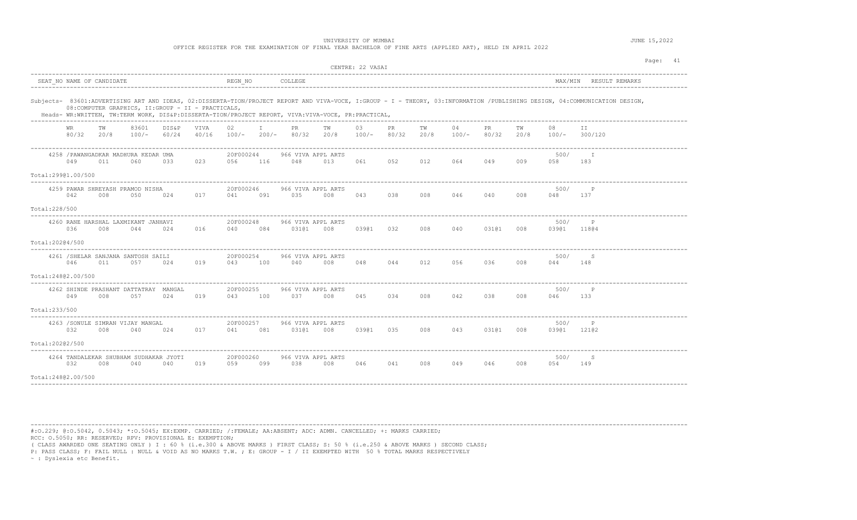OFFICE REGISTER FOR THE EXAMINATION OF FINAL YEAR BACHELOR OF FINE ARTS (APPLIED ART), HELD IN APRIL 2022

|                                                                                                                                                                                                                                                                                                                                          |     |                              |                |               |                      |              |                             |                         | CENTRE: 22 VASAI    |     |            |               |              |            |                     | Page: 41               |
|------------------------------------------------------------------------------------------------------------------------------------------------------------------------------------------------------------------------------------------------------------------------------------------------------------------------------------------|-----|------------------------------|----------------|---------------|----------------------|--------------|-----------------------------|-------------------------|---------------------|-----|------------|---------------|--------------|------------|---------------------|------------------------|
| SEAT NO NAME OF CANDIDATE                                                                                                                                                                                                                                                                                                                |     |                              |                |               | REGN NO              |              | COLLEGE                     |                         |                     |     |            |               |              |            |                     | MAX/MIN RESULT REMARKS |
| Subjects- 83601:ADVERTISING ART AND IDEAS, 02:DISSERTA-TION/PROJECT REPORT AND VIVA-VOCE, I:GROUP - I - THEORY, 03:INFORMATION /PUBLISHING DESIGN, 04:COMMUNICATION DESIGN,<br>08: COMPUTER GRAPHICS, II: GROUP - II - PRACTICALS,<br>Heads- WR:WRITTEN, TW:TERM WORK, DIS&P:DISSERTA-TION/PROJECT REPORT, VIVA:VIVA-VOCE, PR:PRACTICAL, |     | ---------------------------- |                |               |                      |              |                             |                         |                     |     |            |               |              |            |                     |                        |
| WR.<br>80/32 20/8                                                                                                                                                                                                                                                                                                                        | TW  | 83601<br>$100/-$             | DIS&P<br>60/24 | VIVA<br>40/16 | 02<br>$100/-$        | $\mathbb{I}$ | <b>PR</b><br>200/- 80/32    | TW<br>20/8              | 03<br>$100/-$ 80/32 | PR  | TW<br>20/8 | 04<br>$100/-$ | PR.<br>80/32 | TW<br>20/8 | 08                  | II.<br>$100/-$ 300/120 |
| 4258 / PAWANGADKAR MADHURA KEDAR UMA<br>049                                                                                                                                                                                                                                                                                              | 011 | 060                          | 033            | 023           | 20F000244<br>056 116 |              | 966 VIVA APPL ARTS<br>048   | 013                     | 061                 | 052 | 012        | 064           | 049          | 009        | 500/<br>058         | T<br>183               |
| Total:29901.00/500                                                                                                                                                                                                                                                                                                                       |     |                              |                |               |                      |              |                             |                         |                     |     |            |               |              |            |                     |                        |
| 4259 PAWAR SHREYASH PRAMOD NISHA<br>042                                                                                                                                                                                                                                                                                                  | 008 | 050                          | 024            | 017           | 20F000246<br>041     | 091          | 966 VIVA APPL ARTS<br>035   | 008                     | 043                 | 038 | 008        | 046           | 040          | 008        | 500/<br>048         | 137                    |
| Total: 228/500                                                                                                                                                                                                                                                                                                                           |     |                              |                |               |                      |              |                             |                         |                     |     |            |               |              |            |                     |                        |
| 4260 RANE HARSHAL LAXMIKANT JANHAVI<br>036                                                                                                                                                                                                                                                                                               | 008 | 044                          | 024            | 016           | 20F000248<br>040     | 084          | 966 VIVA APPL ARTS<br>03101 | 008                     | 03901               | 032 | 008        | 040           | 03101        | 008        | 500/<br>03901 11804 | P                      |
| Total:20204/500                                                                                                                                                                                                                                                                                                                          |     |                              |                |               |                      |              |                             |                         |                     |     |            |               |              |            |                     |                        |
| 4261 / SHELAR SANJANA SANTOSH SAILI<br>046                                                                                                                                                                                                                                                                                               | 011 | 057                          | 024            | 019           | 20F000254<br>043     | 100          | 966 VIVA APPL ARTS<br>040   | 008                     | 048                 |     |            | 044 012 056   | 036 008      |            | 500/<br>044         | S<br>148               |
| Total:24802.00/500                                                                                                                                                                                                                                                                                                                       |     |                              |                |               |                      |              |                             |                         |                     |     |            |               |              |            |                     |                        |
| 4262 SHINDE PRASHANT DATTATRAY MANGAL<br>049                                                                                                                                                                                                                                                                                             | 008 | 057                          | 024            | 019           | 20F000255<br>043     | 100          | 966 VIVA APPL ARTS<br>037   | 008                     | 045                 | 034 | 008        | 042           | 038          | 008        | 500/<br>046         | $_{\rm P}$<br>133      |
| Total:233/500                                                                                                                                                                                                                                                                                                                            |     |                              |                |               |                      |              |                             |                         |                     |     |            |               |              |            |                     |                        |
| 4263 / SONULE SIMRAN VIJAY MANGAL<br>032                                                                                                                                                                                                                                                                                                 | 008 | 040                          | 024            | 017           | 20F000257<br>041     | 081          | 966 VIVA APPL ARTS          | 03101 008 03901 035 008 |                     |     |            | 043           | 03101        | 008        | 500/<br>03901 12102 | P                      |
| Total:20202/500                                                                                                                                                                                                                                                                                                                          |     |                              |                |               |                      |              |                             |                         |                     |     |            |               |              |            |                     |                        |
| 4264 TANDALEKAR SHUBHAM SUDHAKAR JYOTI<br>032                                                                                                                                                                                                                                                                                            | 008 | 040                          | 040            | 019           | 20F000260<br>059     | 099          | 966 VIVA APPL ARTS<br>038   | 008                     | 046                 | 041 | 008        | 049           | 046 008      |            | 500/<br>054         | S<br>149               |
| Total:24802.00/500                                                                                                                                                                                                                                                                                                                       |     |                              |                |               |                      |              |                             |                         |                     |     |            |               |              |            |                     |                        |

----------------------------------------------------------------------------------------------------------------------------------------------------------------------------------------

#:O.229; @:O.5042, 0.5043; \*:O.5045; EX:EXMP. CARRIED; /:FEMALE; AA:ABSENT; ADC: ADMN. CANCELLED; +: MARKS CARRIED; RCC: O.5050; RR: RESERVED; RPV: PROVISIONAL E: EXEMPTION;

( CLASS AWARDED ONE SEATING ONLY ) I : 60 % (i.e.300 & ABOVE MARKS ) FIRST CLASS; S: 50 % (i.e.250 & ABOVE MARKS ) SECOND CLASS;

P: PASS CLASS; F: FAIL NULL : NULL & VOID AS NO MARKS T.W. ; E: GROUP - I / II EXEMPTED WITH 50 % TOTAL MARKS RESPECTIVELY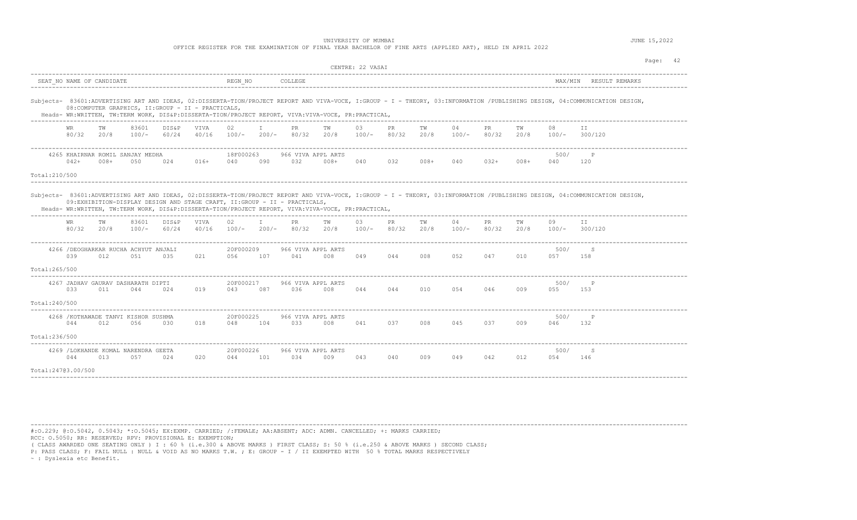OFFICE REGISTER FOR THE EXAMINATION OF FINAL YEAR BACHELOR OF FINE ARTS (APPLIED ART), HELD IN APRIL 2022

|                                     |             |                           |                                              |                |                                                     |                  |                    |                                                                                                                                                                                 |            | CENTRE: 22 VASAI    |             |            |               |              |            |               |                                                                                                                                                                             | Page: 42 |  |
|-------------------------------------|-------------|---------------------------|----------------------------------------------|----------------|-----------------------------------------------------|------------------|--------------------|---------------------------------------------------------------------------------------------------------------------------------------------------------------------------------|------------|---------------------|-------------|------------|---------------|--------------|------------|---------------|-----------------------------------------------------------------------------------------------------------------------------------------------------------------------------|----------|--|
|                                     |             | SEAT NO NAME OF CANDIDATE |                                              |                |                                                     | REGN NO          |                    | COLLEGE                                                                                                                                                                         |            |                     |             |            |               |              |            |               | MAX/MIN RESULT REMARKS                                                                                                                                                      |          |  |
|                                     |             |                           |                                              |                | 08: COMPUTER GRAPHICS, II: GROUP - II - PRACTICALS, |                  |                    | Heads- WR:WRITTEN, TW:TERM WORK, DIS&P:DISSERTA-TION/PROJECT REPORT, VIVA:VIVA-VOCE, PR:PRACTICAL,                                                                              |            |                     |             |            |               |              |            |               | Subjects- 83601:ADVERTISING ART AND IDEAS, 02:DISSERTA-TION/PROJECT REPORT AND VIVA-VOCE, I:GROUP - I - THEORY, 03:INFORMATION /PUBLISHING DESIGN, 04:COMMUNICATION DESIGN, |          |  |
|                                     | WR<br>80/32 | TW<br>20/8                | 83601<br>$100/-$                             | DIS&P<br>60/24 | VIVA<br>40/16                                       | 02<br>$100/-$    | $\top$<br>$200/ -$ | PR<br>80/32                                                                                                                                                                     | TW<br>20/8 | 03<br>$100/-$ 80/32 | PR          | TW<br>20/8 | 04<br>$100/-$ | PR.<br>80/32 | TW<br>20/8 | 08<br>$100/-$ | TT.<br>300/120                                                                                                                                                              |          |  |
| Total:210/500                       | $042+$      | $008+$                    | 4265 KHAIRNAR ROMIL SANJAY MEDHA<br>050      | 024            | 016+                                                | 18F000263<br>040 | 090                | 966 VIVA APPL ARTS<br>032                                                                                                                                                       | $008 +$    | 040                 | 032         | $008 +$    | 040           | $032+$       | $008 +$    | 500/<br>040   | P<br>120                                                                                                                                                                    |          |  |
|                                     |             |                           |                                              |                |                                                     |                  |                    | 09:EXHIBITION-DISPLAY DESIGN AND STAGE CRAFT, II:GROUP - II - PRACTICALS,<br>Heads- WR:WRITTEN, TW:TERM WORK, DIS&P:DISSERTA-TION/PROJECT REPORT, VIVA:VIVA-VOCE, PR:PRACTICAL, |            |                     |             |            |               |              |            |               | Subjects- 83601:ADVERTISING ART AND IDEAS, 02:DISSERTA-TION/PROJECT REPORT AND VIVA-VOCE, I:GROUP - I - THEORY, 03:INFORMATION /PUBLISHING DESIGN, 04:COMMUNICATION DESIGN, |          |  |
|                                     | WR<br>80/32 | TW<br>20/8                | 83601<br>$100/-$                             | DIS&P<br>60/24 | VIVA<br>40/16                                       | 02<br>$100/-$    | $\mathbb{I}$       | PR<br>$200/-$ 80/32                                                                                                                                                             | TW<br>20/8 | 03<br>$100/-$       | PR<br>80/32 | TW<br>20/8 | 04<br>$100/-$ | PR<br>80/32  | ТW<br>20/8 | 09<br>$100/-$ | II.<br>300/120                                                                                                                                                              |          |  |
| Total: 265/500                      | 039         | 012                       | 4266 / DEOGHARKAR RUCHA ACHYUT ANJALI<br>051 | 035            | 021                                                 | 20F000209<br>056 | 107                | 966 VIVA APPL ARTS<br>041                                                                                                                                                       | 008        | 049                 | 044         | 008        | 052           | 047          | 010        | 500/<br>057   | S<br>158                                                                                                                                                                    |          |  |
| Total: 240/500                      | 033         | 011                       | 4267 JADHAV GAURAV DASHARATH DIPTI<br>044    | 024            | 019                                                 | 20F000217<br>043 | 087                | 966 VIVA APPL ARTS<br>036                                                                                                                                                       | 008        | 044                 | 044         | 010        | 054           | 046          | 009        | 500/<br>055   | $\mathbb{P}$<br>153                                                                                                                                                         |          |  |
|                                     | 044         | 012                       | 4268 / KOTHAWADE TANVI KISHOR SUSHMA<br>056  | 030            | 018                                                 | 20F000225<br>048 | 104                | 966 VIVA APPL ARTS<br>033                                                                                                                                                       | 008        | 041                 | 037         | 008        | 045           | 037          | 009        | 500/<br>046   | P<br>132                                                                                                                                                                    |          |  |
| Total:236/500<br>Total:24703.00/500 | 044         | 013                       | 4269 / LOKHANDE KOMAL NARENDRA GEETA<br>057  | 024            | 020                                                 | 20F000226<br>044 | 101                | 966 VIVA APPL ARTS<br>034                                                                                                                                                       | 009        | 043                 | 040         | 009        | 049           | 042          | 012        | 500/<br>054   | S<br>146                                                                                                                                                                    |          |  |
|                                     |             |                           |                                              |                |                                                     |                  |                    |                                                                                                                                                                                 |            |                     |             |            |               |              |            |               |                                                                                                                                                                             |          |  |

----------------------------------------------------------------------------------------------------------------------------------------------------------------------------------------

#:O.229; @:O.5042, 0.5043; \*:O.5045; EX:EXMP. CARRIED; /:FEMALE; AA:ABSENT; ADC: ADMN. CANCELLED; +: MARKS CARRIED; RCC: O.5050; RR: RESERVED; RPV: PROVISIONAL E: EXEMPTION;

( CLASS AWARDED ONE SEATING ONLY ) I : 60 % (i.e.300 & ABOVE MARKS ) FIRST CLASS; S: 50 % (i.e.250 & ABOVE MARKS ) SECOND CLASS;

P: PASS CLASS; F: FAIL NULL : NULL & VOID AS NO MARKS T.W. ; E: GROUP - I / II EXEMPTED WITH 50 % TOTAL MARKS RESPECTIVELY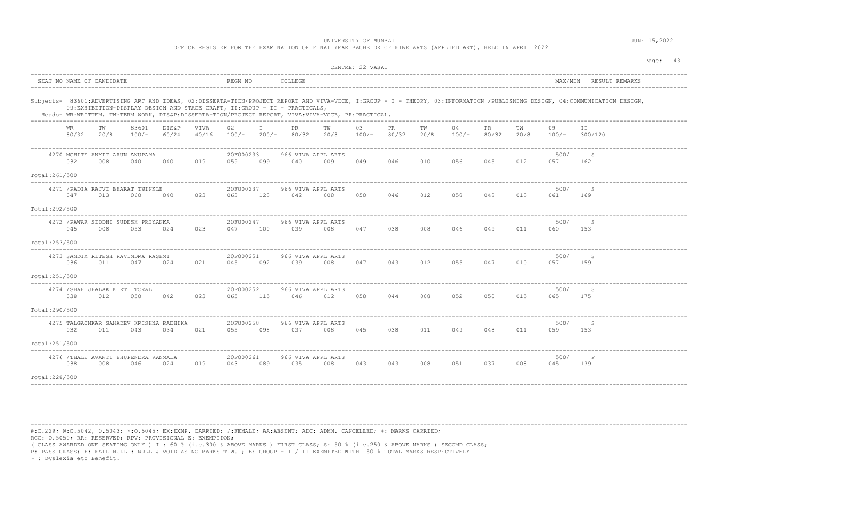| JUNE 15,2022 | UNIVERSITY OF MUMBAI                                                                                      |
|--------------|-----------------------------------------------------------------------------------------------------------|
|              | OFFICE REGISTER FOR THE EXAMINATION OF FINAL YEAR BACHELOR OF FINE ARTS (APPLIED ART), HELD IN APRIL 2022 |
|              |                                                                                                           |
| Page:        |                                                                                                           |

|                |              |                                                |                  |                |               |                  |                   |                                                                                                                                                                                 |            | CENTRE: 22 VASAI |             |            |             |             |            |             |                                                                                                                                                                             |
|----------------|--------------|------------------------------------------------|------------------|----------------|---------------|------------------|-------------------|---------------------------------------------------------------------------------------------------------------------------------------------------------------------------------|------------|------------------|-------------|------------|-------------|-------------|------------|-------------|-----------------------------------------------------------------------------------------------------------------------------------------------------------------------------|
|                |              | SEAT NO NAME OF CANDIDATE                      |                  |                |               | REGN NO          |                   | COLLEGE                                                                                                                                                                         |            |                  |             |            |             |             |            | MAX/MIN     | RESULT REMARKS                                                                                                                                                              |
|                |              |                                                |                  |                |               |                  |                   | 09:EXHIBITION-DISPLAY DESIGN AND STAGE CRAFT, II:GROUP - II - PRACTICALS,<br>Heads- WR:WRITTEN, TW:TERM WORK, DIS&P:DISSERTA-TION/PROJECT REPORT, VIVA:VIVA-VOCE, PR:PRACTICAL, |            |                  |             |            |             |             |            |             | Subjects- 83601:ADVERTISING ART AND IDEAS, 02:DISSERTA-TION/PROJECT REPORT AND VIVA-VOCE, I:GROUP - I - THEORY, 03:INFORMATION /PUBLISHING DESIGN, 04:COMMUNICATION DESIGN, |
|                | WR.<br>80/32 | TW<br>20/8                                     | 83601<br>$100/-$ | DIS&P<br>60/24 | VIVA<br>40/16 | 02<br>100/-      | $\top$<br>$200/-$ | PR.<br>80/32                                                                                                                                                                    | TW<br>20/8 | 03<br>100/-      | PR<br>80/32 | TW<br>20/8 | 04<br>100/- | PR<br>80/32 | TW<br>20/8 | 09<br>100/- | ΙI<br>300/120                                                                                                                                                               |
|                | 032          | 4270 MOHITE ANKIT ARUN ANUPAMA<br>008          | 040              | 040            | 019           | 20F000233<br>059 | 099               | 966 VIVA APPL ARTS<br>040                                                                                                                                                       | 009        | 049              | 046         | 010        | 056         | 045         | 012        | 500/<br>057 | - S<br>162                                                                                                                                                                  |
| Total:261/500  |              |                                                |                  |                |               |                  |                   |                                                                                                                                                                                 |            |                  |             |            |             |             |            |             |                                                                                                                                                                             |
|                | 047          | 4271 / PADIA RAJVI BHARAT TWINKLE<br>013       | 060              | 040            | 023           | 20F000237<br>063 | 123               | 966 VIVA APPL ARTS<br>042                                                                                                                                                       | 008        | 050              | 046         | 012        | 058         | 048         | 013        | 500/<br>061 | -S<br>169                                                                                                                                                                   |
| Total:292/500  |              |                                                |                  |                |               |                  |                   |                                                                                                                                                                                 |            |                  |             |            |             |             |            |             |                                                                                                                                                                             |
|                | 045          | 4272 / PAWAR SIDDHI SUDESH PRIYANKA<br>008     | 053              | 024            | 023           | 20F000247<br>047 | 100               | 966 VIVA APPL ARTS<br>039                                                                                                                                                       | 008        | 047              | 038         | 008        | 046         | 049         | 011        | 500/<br>060 | -S<br>153                                                                                                                                                                   |
| Total: 253/500 |              |                                                |                  |                |               |                  |                   |                                                                                                                                                                                 |            |                  |             |            |             |             |            |             |                                                                                                                                                                             |
|                | 036          | 4273 SANDIM RITESH RAVINDRA RASHMI<br>011      | 047              | 024            | 021           | 20F000251<br>045 | 092               | 966 VIVA APPL ARTS<br>039                                                                                                                                                       | 008        | 047              | 043         | 012        | 055         | 047         | 010        | 500/<br>057 | -S<br>159                                                                                                                                                                   |
| Total:251/500  |              |                                                |                  |                |               |                  |                   |                                                                                                                                                                                 |            |                  |             |            |             |             |            |             |                                                                                                                                                                             |
|                | 038          | 4274 / SHAH JHALAK KIRTI TORAL<br>012          | 050              | 042            | 023           | 20F000252<br>065 | 115               | 966 VIVA APPL ARTS<br>046                                                                                                                                                       | 012        | 058              | 044         | 008        | 052         | 050         | 015        | 500/<br>065 | -S<br>175                                                                                                                                                                   |
| Total:290/500  |              |                                                |                  |                |               |                  |                   |                                                                                                                                                                                 |            |                  |             |            |             |             |            |             |                                                                                                                                                                             |
|                | 032          | 4275 TALGAONKAR SAHADEV KRISHNA RADHIKA<br>011 | 043              | 034            | 021           | 20F000258<br>055 | 098               | 966 VIVA APPL ARTS<br>037                                                                                                                                                       | 008        | 045              | 038         | 011        | 049         | 048         | 011        | 500/<br>059 | -S<br>153                                                                                                                                                                   |
| Total:251/500  |              |                                                |                  |                |               |                  |                   |                                                                                                                                                                                 |            |                  |             |            |             |             |            |             |                                                                                                                                                                             |
|                | 038          | 4276 /THALE AVANTI BHUPENDRA VANMALA<br>008    | 046              | 024            | 019           | 20F000261<br>043 | 089               | 966 VIVA APPL ARTS<br>035                                                                                                                                                       | 008        | 043              | 043         | 008        | 051         | 037         | 008        | 500/<br>045 | $_{\rm P}$<br>139                                                                                                                                                           |
| Total: 228/500 |              |                                                |                  |                |               |                  |                   |                                                                                                                                                                                 |            |                  |             |            |             |             |            |             |                                                                                                                                                                             |

#:O.229; @:O.5042, 0.5043; \*:O.5045; EX:EXMP. CARRIED; /:FEMALE; AA:ABSENT; ADC: ADMN. CANCELLED; +: MARKS CARRIED; RCC: O.5050; RR: RESERVED; RPV: PROVISIONAL E: EXEMPTION;

( CLASS AWARDED ONE SEATING ONLY ) I : 60 % (i.e.300 & ABOVE MARKS ) FIRST CLASS; S: 50 % (i.e.250 & ABOVE MARKS ) SECOND CLASS;

P: PASS CLASS; F: FAIL NULL : NULL & VOID AS NO MARKS T.W. ; E: GROUP - I / II EXEMPTED WITH 50 % TOTAL MARKS RESPECTIVELY